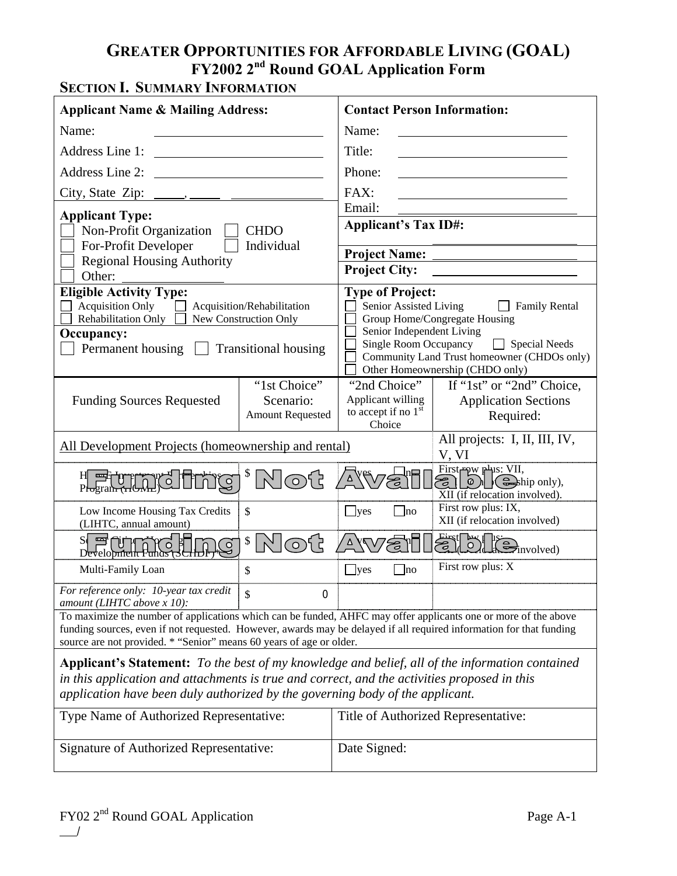## **GREATER OPPORTUNITIES FOR AFFORDABLE LIVING (GOAL) FY2002 2nd Round GOAL Application Form**

## **SECTION I. SUMMARY INFORMATION**

| <b>Applicant Name &amp; Mailing Address:</b>                                                                                                                                                                                                                                                                                                                                                                                |                                                                                    | <b>Contact Person Information:</b>                                                                             |                                                                                                                                                                                                                                                                                                                                                                                                        |  |
|-----------------------------------------------------------------------------------------------------------------------------------------------------------------------------------------------------------------------------------------------------------------------------------------------------------------------------------------------------------------------------------------------------------------------------|------------------------------------------------------------------------------------|----------------------------------------------------------------------------------------------------------------|--------------------------------------------------------------------------------------------------------------------------------------------------------------------------------------------------------------------------------------------------------------------------------------------------------------------------------------------------------------------------------------------------------|--|
| Name:                                                                                                                                                                                                                                                                                                                                                                                                                       |                                                                                    | Name:                                                                                                          |                                                                                                                                                                                                                                                                                                                                                                                                        |  |
| Address Line 1:<br><u> 1989 - Johann Stein, Amerikaansk kanton (</u>                                                                                                                                                                                                                                                                                                                                                        |                                                                                    | Title:                                                                                                         |                                                                                                                                                                                                                                                                                                                                                                                                        |  |
| Address Line 2:                                                                                                                                                                                                                                                                                                                                                                                                             |                                                                                    | Phone:                                                                                                         |                                                                                                                                                                                                                                                                                                                                                                                                        |  |
|                                                                                                                                                                                                                                                                                                                                                                                                                             |                                                                                    | FAX:                                                                                                           |                                                                                                                                                                                                                                                                                                                                                                                                        |  |
| <b>Applicant Type:</b><br>Non-Profit Organization<br><b>CHDO</b><br>For-Profit Developer<br>Individual<br><b>Regional Housing Authority</b>                                                                                                                                                                                                                                                                                 |                                                                                    | Email:<br><b>Applicant's Tax ID#:</b><br><b>Project Name:</b><br><b>Project City:</b>                          |                                                                                                                                                                                                                                                                                                                                                                                                        |  |
| Other:<br><b>Eligible Activity Type:</b><br><b>Acquisition Only</b><br>Rehabilitation Only<br>Occupancy:<br>Permanent housing                                                                                                                                                                                                                                                                                               | Acquisition/Rehabilitation<br>New Construction Only<br><b>Transitional housing</b> | <b>Type of Project:</b><br>Senior Assisted Living<br>Senior Independent Living<br><b>Single Room Occupancy</b> | $\Box$ Family Rental<br>Group Home/Congregate Housing<br>$\Box$ Special Needs<br>Community Land Trust homeowner (CHDOs only)<br>Other Homeownership (CHDO only)                                                                                                                                                                                                                                        |  |
| <b>Funding Sources Requested</b>                                                                                                                                                                                                                                                                                                                                                                                            | "1st Choice"<br>Scenario:<br><b>Amount Requested</b>                               | "2nd Choice"<br>Applicant willing<br>to accept if no $1st$<br>Choice                                           | If "1st" or "2nd" Choice,<br><b>Application Sections</b><br>Required:                                                                                                                                                                                                                                                                                                                                  |  |
| All Development Projects (homeownership and rental)                                                                                                                                                                                                                                                                                                                                                                         |                                                                                    |                                                                                                                | All projects: I, II, III, IV,<br>V, VI                                                                                                                                                                                                                                                                                                                                                                 |  |
| H Shot H Program (HO<br>$\mathbb{C}$                                                                                                                                                                                                                                                                                                                                                                                        | <sup>\$</sup> Not                                                                  |                                                                                                                | First pw plus: VII,<br>$\mathcal{E}$ $\Omega$ $\mathbb{Q}$ $\mathbb{Q}$ $\mathbb{Q}$ $\mathbb{Z}$ $\mathbb{Z}$ $\mathbb{Q}$ $\mathbb{Z}$ $\mathbb{Z}$ $\mathbb{Z}$ $\mathbb{Z}$ $\mathbb{Z}$ $\mathbb{Z}$ $\mathbb{Z}$ $\mathbb{Z}$ $\mathbb{Z}$ $\mathbb{Z}$ $\mathbb{Z}$ $\mathbb{Z}$ $\mathbb{Z}$ $\mathbb{Z}$ $\mathbb{Z}$ $\mathbb{Z}$ $\mathbb{Z}$<br>$\overline{XII}$ (if relocation involved). |  |
| Low Income Housing Tax Credits<br>(LIHTC, annual amount)                                                                                                                                                                                                                                                                                                                                                                    | \$                                                                                 | $\mathbf{\underline{J}^{yes}}$<br> no                                                                          | First row plus: IX,<br>XII (if relocation involved)                                                                                                                                                                                                                                                                                                                                                    |  |
| September 1997<br>$\overline{S}$                                                                                                                                                                                                                                                                                                                                                                                            | $\frac{1}{2}$                                                                      |                                                                                                                | First Day 18:00 involved)                                                                                                                                                                                                                                                                                                                                                                              |  |
| Multi-Family Loan                                                                                                                                                                                                                                                                                                                                                                                                           | \$                                                                                 | $\mathbf{\square}$ yes<br>$\ln$                                                                                | First row plus: X                                                                                                                                                                                                                                                                                                                                                                                      |  |
| For reference only: 10-year tax credit<br>$\mathsf{\$}$<br>$\boldsymbol{0}$<br>amount (LIHTC above $x$ 10):<br>To maximize the number of applications which can be funded, AHFC may offer applicants one or more of the above<br>funding sources, even if not requested. However, awards may be delayed if all required information for that funding<br>source are not provided. * "Senior" means 60 years of age or older. |                                                                                    |                                                                                                                |                                                                                                                                                                                                                                                                                                                                                                                                        |  |
| Applicant's Statement: To the best of my knowledge and belief, all of the information contained<br>in this application and attachments is true and correct, and the activities proposed in this<br>application have been duly authorized by the governing body of the applicant.                                                                                                                                            |                                                                                    |                                                                                                                |                                                                                                                                                                                                                                                                                                                                                                                                        |  |
| Type Name of Authorized Representative:                                                                                                                                                                                                                                                                                                                                                                                     |                                                                                    |                                                                                                                | Title of Authorized Representative:                                                                                                                                                                                                                                                                                                                                                                    |  |
| Signature of Authorized Representative:                                                                                                                                                                                                                                                                                                                                                                                     |                                                                                    | Date Signed:                                                                                                   |                                                                                                                                                                                                                                                                                                                                                                                                        |  |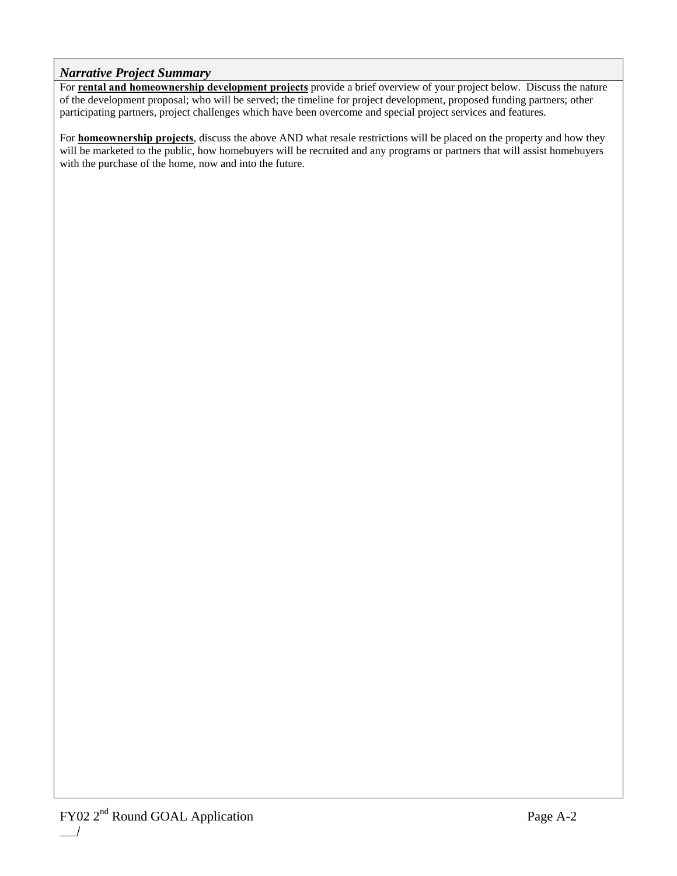#### *Narrative Project Summary*

For **rental and homeownership development projects** provide a brief overview of your project below. Discuss the nature of the development proposal; who will be served; the timeline for project development, proposed funding partners; other participating partners, project challenges which have been overcome and special project services and features.

For **homeownership projects**, discuss the above AND what resale restrictions will be placed on the property and how they will be marketed to the public, how homebuyers will be recruited and any programs or partners that will assist homebuyers with the purchase of the home, now and into the future.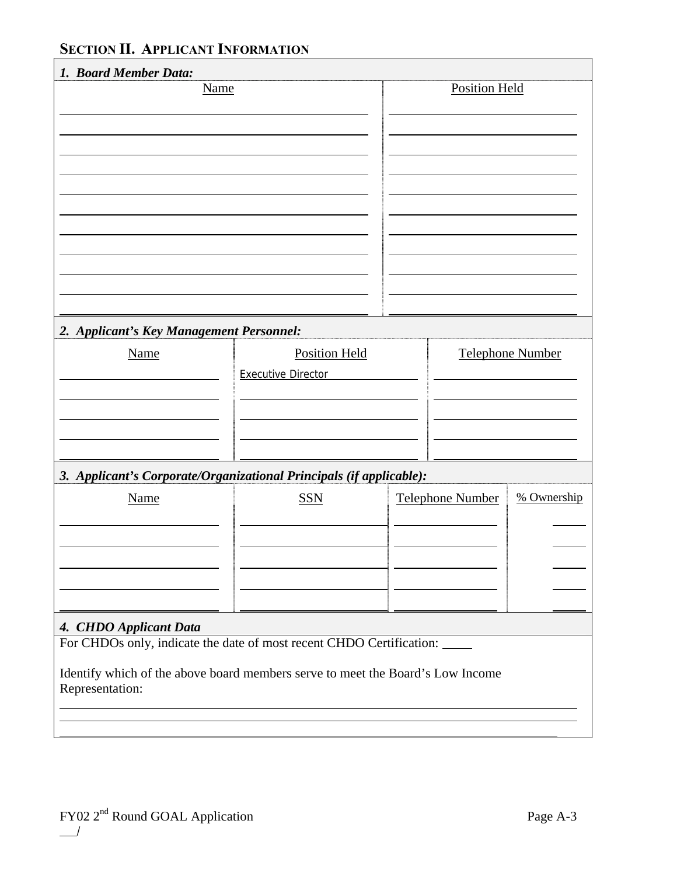## **SECTION II. APPLICANT INFORMATION**

| 1. Board Member Data:                                   |                                                                                                                                                        |                         |                  |
|---------------------------------------------------------|--------------------------------------------------------------------------------------------------------------------------------------------------------|-------------------------|------------------|
|                                                         | <b>Name</b>                                                                                                                                            | <b>Position Held</b>    |                  |
| 2. Applicant's Key Management Personnel:<br><b>Name</b> | <b>Position Held</b>                                                                                                                                   |                         | Telephone Number |
|                                                         | <b>Executive Director</b>                                                                                                                              |                         |                  |
|                                                         | 3. Applicant's Corporate/Organizational Principals (if applicable):                                                                                    |                         |                  |
| <b>Name</b>                                             | <b>SSN</b>                                                                                                                                             | <b>Telephone Number</b> | % Ownership      |
| 4. CHDO Applicant Data                                  |                                                                                                                                                        |                         |                  |
| Representation:                                         | For CHDOs only, indicate the date of most recent CHDO Certification:<br>Identify which of the above board members serve to meet the Board's Low Income |                         |                  |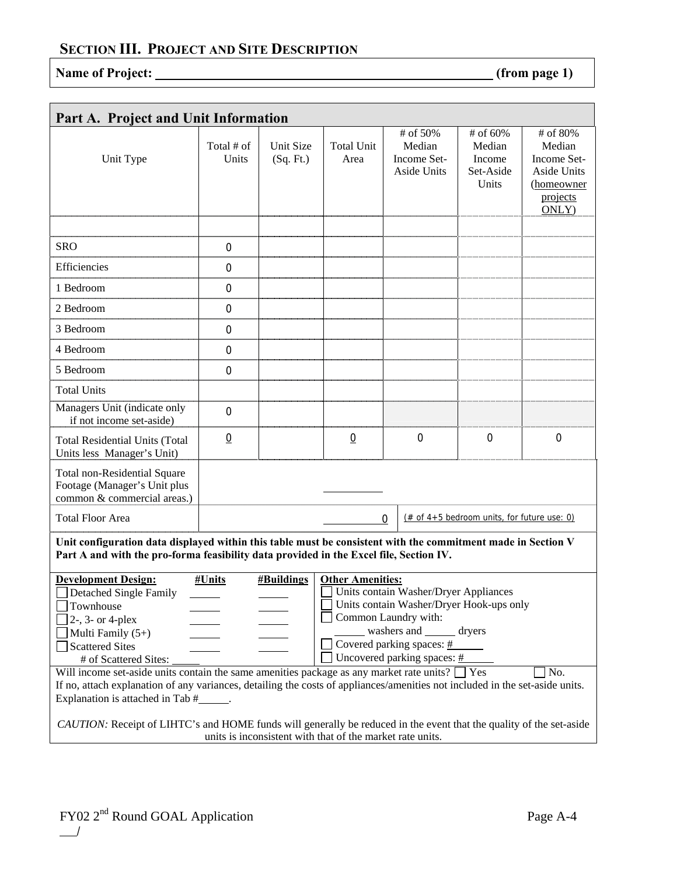# Name of Project: <u>(from page 1)</u>

| Part A. Project and Unit Information                                                                                                                                                                                                                                                                                                                                                                                                                      |                     |                        |                                                           |                                                                                                                                                                                                         |                                                    |                                                                                     |
|-----------------------------------------------------------------------------------------------------------------------------------------------------------------------------------------------------------------------------------------------------------------------------------------------------------------------------------------------------------------------------------------------------------------------------------------------------------|---------------------|------------------------|-----------------------------------------------------------|---------------------------------------------------------------------------------------------------------------------------------------------------------------------------------------------------------|----------------------------------------------------|-------------------------------------------------------------------------------------|
| Unit Type                                                                                                                                                                                                                                                                                                                                                                                                                                                 | Total # of<br>Units | Unit Size<br>(Sq. Ft.) | <b>Total Unit</b><br>Area                                 | # of 50%<br>Median<br>Income Set-<br>Aside Units                                                                                                                                                        | # of 60%<br>Median<br>Income<br>Set-Aside<br>Units | # of 80%<br>Median<br>Income Set-<br>Aside Units<br>(homeowner<br>projects<br>ONLY) |
| <b>SRO</b>                                                                                                                                                                                                                                                                                                                                                                                                                                                | 0                   |                        |                                                           |                                                                                                                                                                                                         |                                                    |                                                                                     |
| Efficiencies                                                                                                                                                                                                                                                                                                                                                                                                                                              | $\mathbf 0$         |                        |                                                           |                                                                                                                                                                                                         |                                                    |                                                                                     |
| 1 Bedroom                                                                                                                                                                                                                                                                                                                                                                                                                                                 | 0                   |                        |                                                           |                                                                                                                                                                                                         |                                                    |                                                                                     |
| 2 Bedroom                                                                                                                                                                                                                                                                                                                                                                                                                                                 | $\Omega$            |                        |                                                           |                                                                                                                                                                                                         |                                                    |                                                                                     |
| 3 Bedroom                                                                                                                                                                                                                                                                                                                                                                                                                                                 | $\overline{0}$      |                        |                                                           |                                                                                                                                                                                                         |                                                    |                                                                                     |
| 4 Bedroom                                                                                                                                                                                                                                                                                                                                                                                                                                                 | $\mathbf 0$         |                        |                                                           |                                                                                                                                                                                                         |                                                    |                                                                                     |
| 5 Bedroom                                                                                                                                                                                                                                                                                                                                                                                                                                                 | $\mathbf 0$         |                        |                                                           |                                                                                                                                                                                                         |                                                    |                                                                                     |
| <b>Total Units</b>                                                                                                                                                                                                                                                                                                                                                                                                                                        |                     |                        |                                                           |                                                                                                                                                                                                         |                                                    |                                                                                     |
| Managers Unit (indicate only<br>if not income set-aside)                                                                                                                                                                                                                                                                                                                                                                                                  | $\mathbf 0$         |                        |                                                           |                                                                                                                                                                                                         |                                                    |                                                                                     |
| <b>Total Residential Units (Total</b><br>Units less Manager's Unit)                                                                                                                                                                                                                                                                                                                                                                                       | $\overline{0}$      |                        | $\underline{0}$                                           | $\mathbf 0$                                                                                                                                                                                             | $\mathbf 0$                                        | $\mathbf 0$                                                                         |
| <b>Total non-Residential Square</b><br>Footage (Manager's Unit plus<br>common & commercial areas.)                                                                                                                                                                                                                                                                                                                                                        |                     |                        |                                                           |                                                                                                                                                                                                         |                                                    |                                                                                     |
| <b>Total Floor Area</b>                                                                                                                                                                                                                                                                                                                                                                                                                                   |                     |                        |                                                           | $\boldsymbol{0}$                                                                                                                                                                                        | $#$ of 4+5 bedroom units, for future use: 0)       |                                                                                     |
| Unit configuration data displayed within this table must be consistent with the commitment made in Section V<br>Part A and with the pro-forma feasibility data provided in the Excel file, Section IV.                                                                                                                                                                                                                                                    |                     |                        |                                                           |                                                                                                                                                                                                         |                                                    |                                                                                     |
| <b>Development Design:</b><br>Detached Single Family<br>Townhouse<br>$2-$ , $3-$ or $4$ -plex<br>Multi Family $(5+)$<br><b>Scattered Sites</b><br># of Scattered Sites:<br>Will income set-aside units contain the same amenities package as any market rate units? $\Box$ Yes<br>If no, attach explanation of any variances, detailing the costs of appliances/amenities not included in the set-aside units.<br>Explanation is attached in Tab #______. | #Units              | <b>#Buildings</b>      | <b>Other Amenities:</b>                                   | Units contain Washer/Dryer Appliances<br>J Units contain Washer/Dryer Hook-ups only<br>Common Laundry with:<br>washers and _______ dryers<br>Covered parking spaces: #<br>Uncovered parking spaces: $#$ |                                                    | No.                                                                                 |
| CAUTION: Receipt of LIHTC's and HOME funds will generally be reduced in the event that the quality of the set-aside                                                                                                                                                                                                                                                                                                                                       |                     |                        | units is inconsistent with that of the market rate units. |                                                                                                                                                                                                         |                                                    |                                                                                     |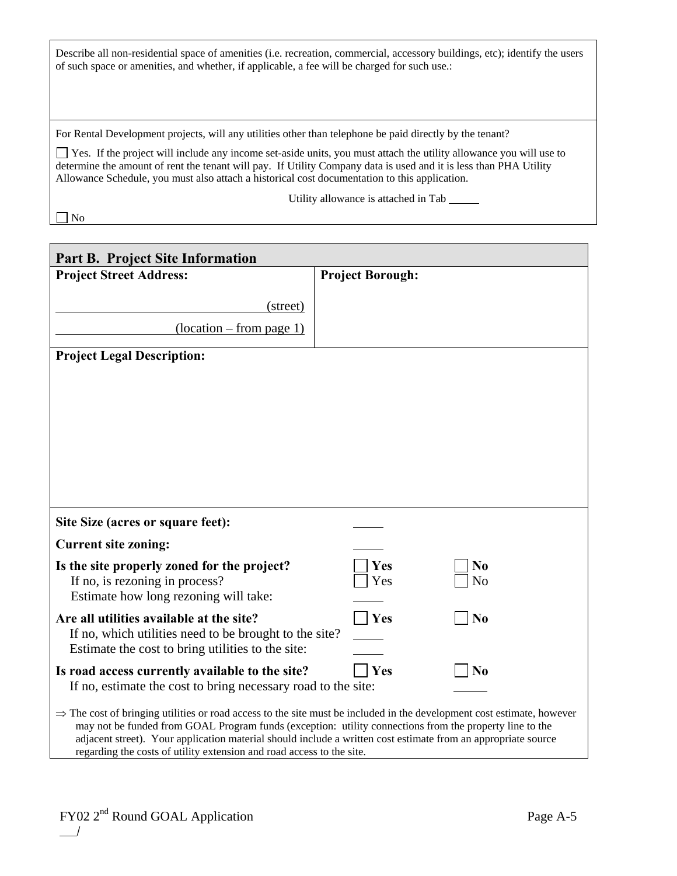Describe all non-residential space of amenities (i.e. recreation, commercial, accessory buildings, etc); identify the users of such space or amenities, and whether, if applicable, a fee will be charged for such use.:

For Rental Development projects, will any utilities other than telephone be paid directly by the tenant?

 Yes. If the project will include any income set-aside units, you must attach the utility allowance you will use to determine the amount of rent the tenant will pay. If Utility Company data is used and it is less than PHA Utility Allowance Schedule, you must also attach a historical cost documentation to this application.

Utility allowance is attached in Tab

No

| <b>Part B. Project Site Information</b>                                                                                                                                                                                                       |                         |                |
|-----------------------------------------------------------------------------------------------------------------------------------------------------------------------------------------------------------------------------------------------|-------------------------|----------------|
| <b>Project Street Address:</b>                                                                                                                                                                                                                | <b>Project Borough:</b> |                |
| (street)                                                                                                                                                                                                                                      |                         |                |
| $\frac{1}{\text{10}}$                                                                                                                                                                                                                         |                         |                |
| <b>Project Legal Description:</b>                                                                                                                                                                                                             |                         |                |
|                                                                                                                                                                                                                                               |                         |                |
|                                                                                                                                                                                                                                               |                         |                |
|                                                                                                                                                                                                                                               |                         |                |
|                                                                                                                                                                                                                                               |                         |                |
|                                                                                                                                                                                                                                               |                         |                |
|                                                                                                                                                                                                                                               |                         |                |
| Site Size (acres or square feet):                                                                                                                                                                                                             |                         |                |
| <b>Current site zoning:</b>                                                                                                                                                                                                                   |                         |                |
| Is the site properly zoned for the project?                                                                                                                                                                                                   | Yes                     | N <sub>0</sub> |
| If no, is rezoning in process?<br>Estimate how long rezoning will take:                                                                                                                                                                       | Yes                     | N <sub>o</sub> |
| Are all utilities available at the site?                                                                                                                                                                                                      | Yes                     | N <sub>0</sub> |
| If no, which utilities need to be brought to the site?                                                                                                                                                                                        |                         |                |
| Estimate the cost to bring utilities to the site:                                                                                                                                                                                             |                         |                |
| Is road access currently available to the site?<br>If no, estimate the cost to bring necessary road to the site:                                                                                                                              | Yes                     | N <sub>0</sub> |
|                                                                                                                                                                                                                                               |                         |                |
| $\Rightarrow$ The cost of bringing utilities or road access to the site must be included in the development cost estimate, however<br>may not be funded from GOAL Program funds (exception: utility connections from the property line to the |                         |                |
| adjacent street). Your application material should include a written cost estimate from an appropriate source<br>regarding the costs of utility extension and road access to the site.                                                        |                         |                |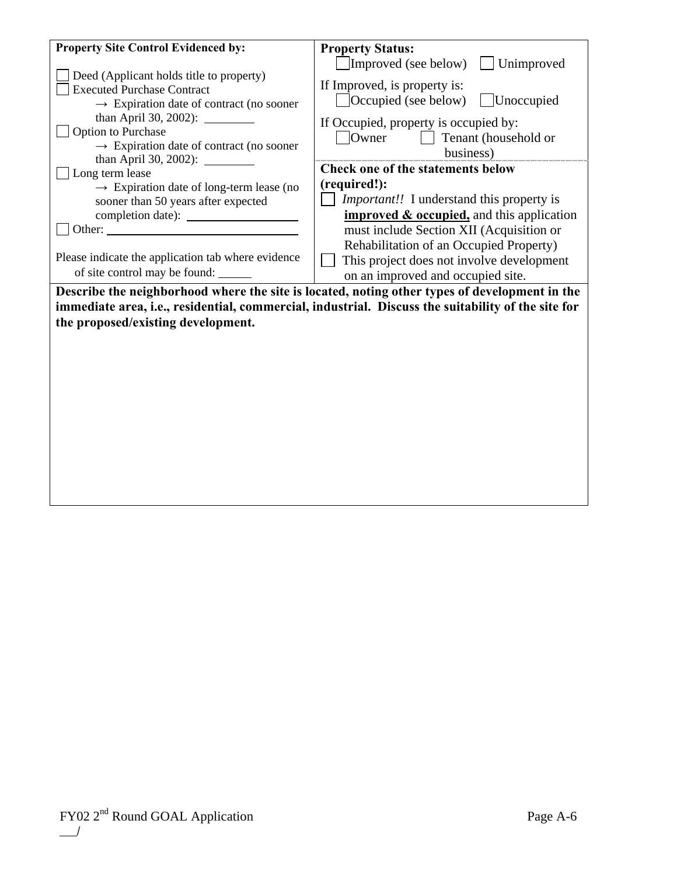| <b>Property Site Control Evidenced by:</b><br>Deed (Applicant holds title to property)<br><b>Executed Purchase Contract</b><br>$\rightarrow$ Expiration date of contract (no sooner<br>than April 30, 2002): __________<br>Option to Purchase | <b>Property Status:</b><br>$\Box$ Improved (see below)<br>Unimproved<br>If Improved, is property is:<br>Occupied (see below)<br>  Unoccupied<br>If Occupied, property is occupied by:<br>Owner<br>Tenant (household or |
|-----------------------------------------------------------------------------------------------------------------------------------------------------------------------------------------------------------------------------------------------|------------------------------------------------------------------------------------------------------------------------------------------------------------------------------------------------------------------------|
| $\rightarrow$ Expiration date of contract (no sooner                                                                                                                                                                                          | business)                                                                                                                                                                                                              |
| than April 30, 2002): $\frac{1}{2}$                                                                                                                                                                                                           | <b>Check one of the statements below</b>                                                                                                                                                                               |
| Long term lease                                                                                                                                                                                                                               |                                                                                                                                                                                                                        |
| $\rightarrow$ Expiration date of long-term lease (no                                                                                                                                                                                          | (required!):                                                                                                                                                                                                           |
| sooner than 50 years after expected                                                                                                                                                                                                           | <i>Important!!</i> I understand this property is                                                                                                                                                                       |
|                                                                                                                                                                                                                                               | <b>improved &amp; occupied</b> , and this application                                                                                                                                                                  |
| Other:                                                                                                                                                                                                                                        | must include Section XII (Acquisition or                                                                                                                                                                               |
|                                                                                                                                                                                                                                               | Rehabilitation of an Occupied Property)                                                                                                                                                                                |
| Please indicate the application tab where evidence                                                                                                                                                                                            | This project does not involve development                                                                                                                                                                              |
| of site control may be found:                                                                                                                                                                                                                 | on an improved and occupied site.                                                                                                                                                                                      |
|                                                                                                                                                                                                                                               |                                                                                                                                                                                                                        |
|                                                                                                                                                                                                                                               | Describe the neighborhood where the site is located, noting other types of development in the                                                                                                                          |
|                                                                                                                                                                                                                                               | immediate area, i.e., residential, commercial, industrial. Discuss the suitability of the site for                                                                                                                     |
| the proposed/existing development.                                                                                                                                                                                                            |                                                                                                                                                                                                                        |
|                                                                                                                                                                                                                                               |                                                                                                                                                                                                                        |
|                                                                                                                                                                                                                                               |                                                                                                                                                                                                                        |
|                                                                                                                                                                                                                                               |                                                                                                                                                                                                                        |
|                                                                                                                                                                                                                                               |                                                                                                                                                                                                                        |
|                                                                                                                                                                                                                                               |                                                                                                                                                                                                                        |
|                                                                                                                                                                                                                                               |                                                                                                                                                                                                                        |
|                                                                                                                                                                                                                                               |                                                                                                                                                                                                                        |
|                                                                                                                                                                                                                                               |                                                                                                                                                                                                                        |
|                                                                                                                                                                                                                                               |                                                                                                                                                                                                                        |
|                                                                                                                                                                                                                                               |                                                                                                                                                                                                                        |
|                                                                                                                                                                                                                                               |                                                                                                                                                                                                                        |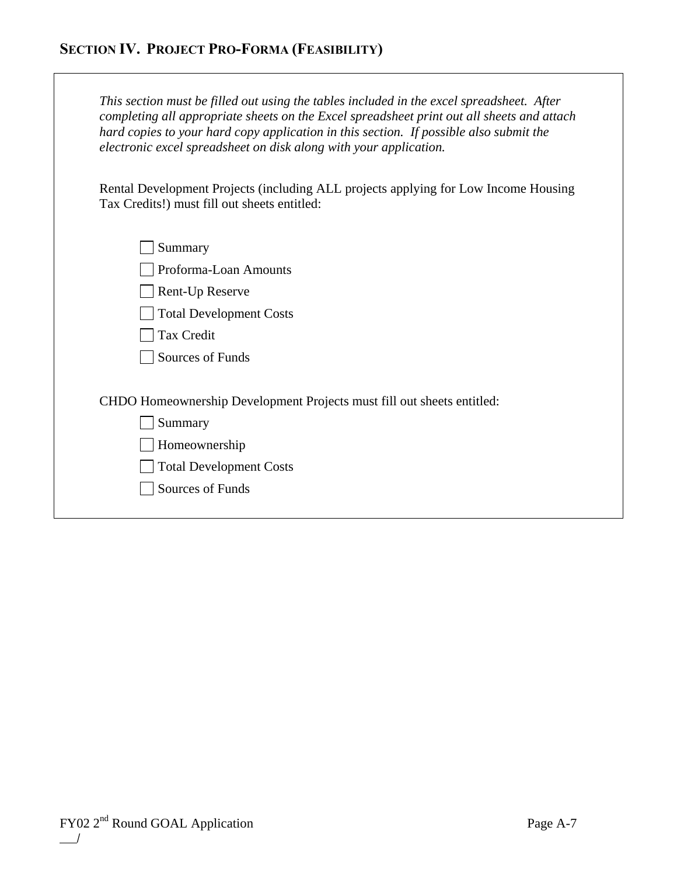| This section must be filled out using the tables included in the excel spreadsheet. After<br>completing all appropriate sheets on the Excel spreadsheet print out all sheets and attach<br>hard copies to your hard copy application in this section. If possible also submit the<br>electronic excel spreadsheet on disk along with your application. |
|--------------------------------------------------------------------------------------------------------------------------------------------------------------------------------------------------------------------------------------------------------------------------------------------------------------------------------------------------------|
| Rental Development Projects (including ALL projects applying for Low Income Housing<br>Tax Credits!) must fill out sheets entitled:                                                                                                                                                                                                                    |
| Summary                                                                                                                                                                                                                                                                                                                                                |
| Proforma-Loan Amounts                                                                                                                                                                                                                                                                                                                                  |
| Rent-Up Reserve                                                                                                                                                                                                                                                                                                                                        |
| <b>Total Development Costs</b>                                                                                                                                                                                                                                                                                                                         |
| <b>Tax Credit</b>                                                                                                                                                                                                                                                                                                                                      |
| Sources of Funds                                                                                                                                                                                                                                                                                                                                       |
| CHDO Homeownership Development Projects must fill out sheets entitled:                                                                                                                                                                                                                                                                                 |
| Summary                                                                                                                                                                                                                                                                                                                                                |
| Homeownership                                                                                                                                                                                                                                                                                                                                          |
| <b>Total Development Costs</b>                                                                                                                                                                                                                                                                                                                         |
| Sources of Funds                                                                                                                                                                                                                                                                                                                                       |
|                                                                                                                                                                                                                                                                                                                                                        |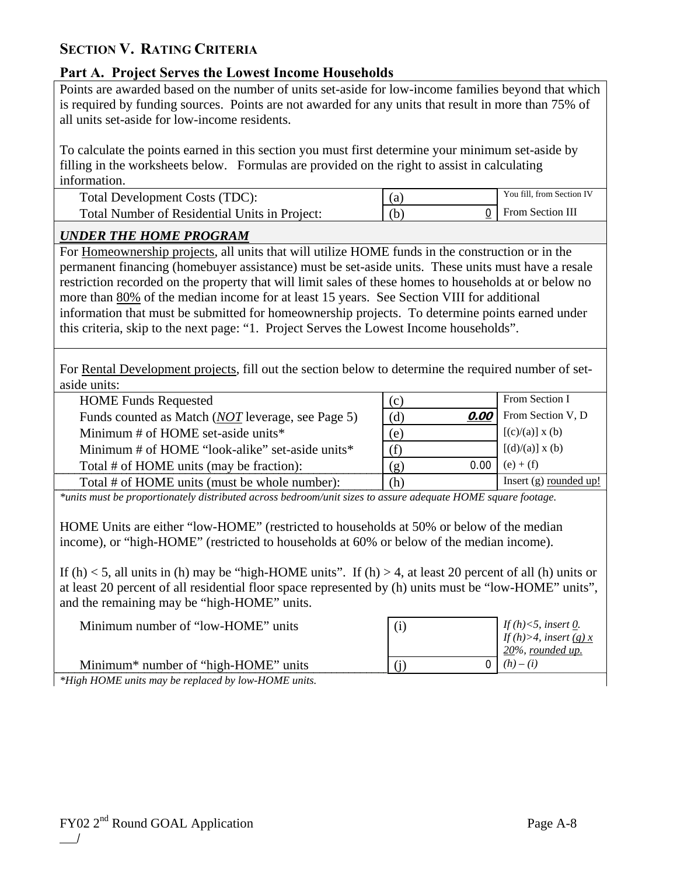## **SECTION V. RATING CRITERIA**

## **Part A. Project Serves the Lowest Income Households**

Points are awarded based on the number of units set-aside for low-income families beyond that which is required by funding sources. Points are not awarded for any units that result in more than 75% of all units set-aside for low-income residents.

To calculate the points earned in this section you must first determine your minimum set-aside by filling in the worksheets below. Formulas are provided on the right to assist in calculating information.

| Total Development Costs (TDC):                | a.  | You fill, from Section IV |
|-----------------------------------------------|-----|---------------------------|
| Total Number of Residential Units in Project: | (b) | From Section III          |

## *UNDER THE HOME PROGRAM*

For Homeownership projects, all units that will utilize HOME funds in the construction or in the permanent financing (homebuyer assistance) must be set-aside units. These units must have a resale restriction recorded on the property that will limit sales of these homes to households at or below no more than 80% of the median income for at least 15 years. See Section VIII for additional information that must be submitted for homeownership projects. To determine points earned under this criteria, skip to the next page: "1. Project Serves the Lowest Income households".

For Rental Development projects, fill out the section below to determine the required number of setaside units:

| <b>HOME Funds Requested</b>                               | (c)         | From Section I           |
|-----------------------------------------------------------|-------------|--------------------------|
| Funds counted as Match ( <i>NOT</i> leverage, see Page 5) | (d)<br>0.00 | From Section V, D        |
| Minimum $#$ of HOME set-aside units*                      | (e)         | $[(c)/(a)] \times (b)$   |
| Minimum # of HOME "look-alike" set-aside units*           | (f)         | $[(d)/(a)] \times (b)$   |
| Total # of HOME units (may be fraction):                  | 0.00<br>(g) | $(e) + (f)$              |
| Total # of HOME units (must be whole number):             | (h)         | Insert $(g)$ rounded up! |

*\*units must be proportionately distributed across bedroom/unit sizes to assure adequate HOME square footage.* 

HOME Units are either "low-HOME" (restricted to households at 50% or below of the median income), or "high-HOME" (restricted to households at 60% or below of the median income).

If (h)  $<$  5, all units in (h) may be "high-HOME units". If (h)  $>$  4, at least 20 percent of all (h) units or at least 20 percent of all residential floor space represented by (h) units must be "low-HOME" units", and the remaining may be "high-HOME" units.

| Minimum number of "low-HOME" units               | (i) | If (h)<5, insert $\underline{0}$ .<br>If (h)>4, insert <u>(g) x</u><br>20%, rounded up. |
|--------------------------------------------------|-----|-----------------------------------------------------------------------------------------|
| Minimum <sup>*</sup> number of "high-HOME" units |     | $(h) - (i)$                                                                             |
|                                                  |     |                                                                                         |

*\*High HOME units may be replaced by low-HOME units.*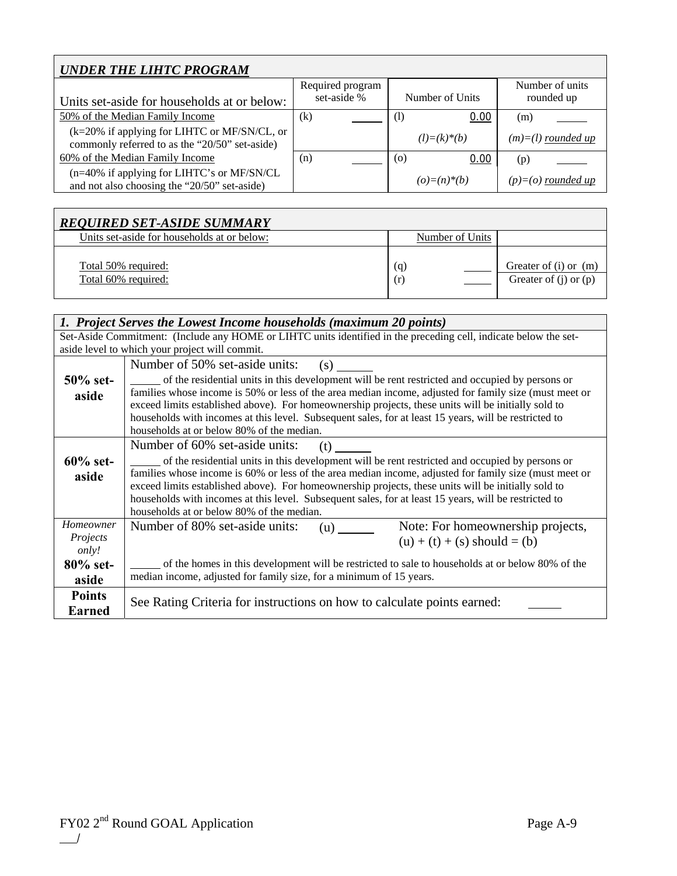| <b>UNDER THE LIHTC PROGRAM</b>                                                                 |                  |                   |                      |
|------------------------------------------------------------------------------------------------|------------------|-------------------|----------------------|
|                                                                                                | Required program |                   | Number of units      |
| Units set-aside for households at or below:                                                    | set-aside %      | Number of Units   | rounded up           |
| 50% of the Median Family Income                                                                | $\rm(k)$         | 0.00<br>$\rm(l)$  | (m)                  |
| (k=20% if applying for LIHTC or MF/SN/CL, or<br>commonly referred to as the "20/50" set-aside) |                  | $(l)=(k)*(b)$     | $(m)=(l)$ rounded up |
| 60% of the Median Family Income                                                                | (n)              | 0.00<br>(0)       | (p)                  |
| (n=40% if applying for LIHTC's or MF/SN/CL<br>and not also choosing the "20/50" set-aside)     |                  | $(o) = (n) * (b)$ | $(p)=(o)$ rounded up |

| <b>REQUIRED SET-ASIDE SUMMARY</b>           |                 |                                                        |
|---------------------------------------------|-----------------|--------------------------------------------------------|
| Units set-aside for households at or below: | Number of Units |                                                        |
| Total 50% required:<br>Total 60% required:  | (q)<br>(r)      | Greater of $(i)$ or $(m)$<br>Greater of $(i)$ or $(p)$ |

|               | 1. Project Serves the Lowest Income households (maximum 20 points)                                               |  |  |  |
|---------------|------------------------------------------------------------------------------------------------------------------|--|--|--|
|               | Set-Aside Commitment: (Include any HOME or LIHTC units identified in the preceding cell, indicate below the set- |  |  |  |
|               | aside level to which your project will commit.                                                                   |  |  |  |
|               | Number of 50% set-aside units:<br>(s)                                                                            |  |  |  |
| $50\%$ set-   | of the residential units in this development will be rent restricted and occupied by persons or                  |  |  |  |
| aside         | families whose income is 50% or less of the area median income, adjusted for family size (must meet or           |  |  |  |
|               | exceed limits established above). For homeownership projects, these units will be initially sold to              |  |  |  |
|               | households with incomes at this level. Subsequent sales, for at least 15 years, will be restricted to            |  |  |  |
|               | households at or below 80% of the median.                                                                        |  |  |  |
|               | Number of 60% set-aside units:<br>(t)                                                                            |  |  |  |
| $60\%$ set-   | of the residential units in this development will be rent restricted and occupied by persons or                  |  |  |  |
| aside         | families whose income is 60% or less of the area median income, adjusted for family size (must meet or           |  |  |  |
|               | exceed limits established above). For homeownership projects, these units will be initially sold to              |  |  |  |
|               | households with incomes at this level. Subsequent sales, for at least 15 years, will be restricted to            |  |  |  |
|               | households at or below 80% of the median.                                                                        |  |  |  |
| Homeowner     | Note: For homeownership projects,<br>Number of 80% set-aside units:<br>(u)                                       |  |  |  |
| Projects      | $(u) + (t) + (s)$ should = (b)                                                                                   |  |  |  |
| only!         |                                                                                                                  |  |  |  |
| $80\%$ set-   | of the homes in this development will be restricted to sale to households at or below 80% of the                 |  |  |  |
| aside         | median income, adjusted for family size, for a minimum of 15 years.                                              |  |  |  |
| <b>Points</b> |                                                                                                                  |  |  |  |
| <b>Earned</b> | See Rating Criteria for instructions on how to calculate points earned:                                          |  |  |  |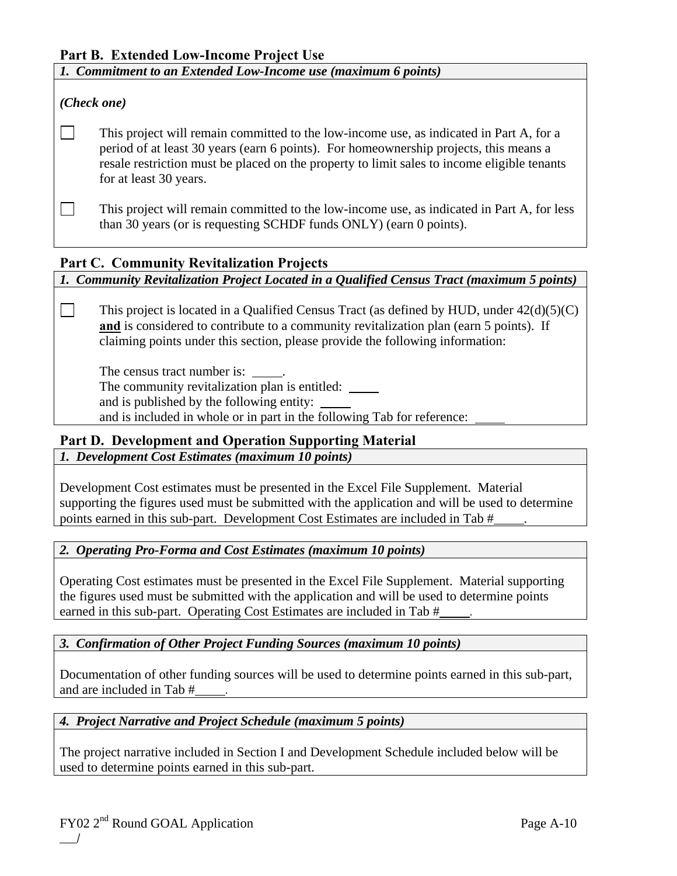## **Part B. Extended Low-Income Project Use**

*1. Commitment to an Extended Low-Income use (maximum 6 points)* 

### *(Check one)*

 This project will remain committed to the low-income use, as indicated in Part A, for a period of at least 30 years (earn 6 points). For homeownership projects, this means a resale restriction must be placed on the property to limit sales to income eligible tenants for at least 30 years.

 $\Box$  This project will remain committed to the low-income use, as indicated in Part A, for less than 30 years (or is requesting SCHDF funds ONLY) (earn 0 points).

## **Part C. Community Revitalization Projects**

*1. Community Revitalization Project Located in a Qualified Census Tract (maximum 5 points)* 

This project is located in a Qualified Census Tract (as defined by HUD, under  $42(d)(5)(C)$ ) **and** is considered to contribute to a community revitalization plan (earn 5 points). If claiming points under this section, please provide the following information:

The census tract number is: The community revitalization plan is entitled: and is published by the following entity: and is included in whole or in part in the following Tab for reference:

## **Part D. Development and Operation Supporting Material**

*1. Development Cost Estimates (maximum 10 points)* 

Development Cost estimates must be presented in the Excel File Supplement. Material supporting the figures used must be submitted with the application and will be used to determine points earned in this sub-part. Development Cost Estimates are included in Tab # .

## *2. Operating Pro-Forma and Cost Estimates (maximum 10 points)*

Operating Cost estimates must be presented in the Excel File Supplement. Material supporting the figures used must be submitted with the application and will be used to determine points earned in this sub-part. Operating Cost Estimates are included in Tab  $#$ 

## *3. Confirmation of Other Project Funding Sources (maximum 10 points)*

Documentation of other funding sources will be used to determine points earned in this sub-part, and are included in Tab #

## *4. Project Narrative and Project Schedule (maximum 5 points)*

The project narrative included in Section I and Development Schedule included below will be used to determine points earned in this sub-part.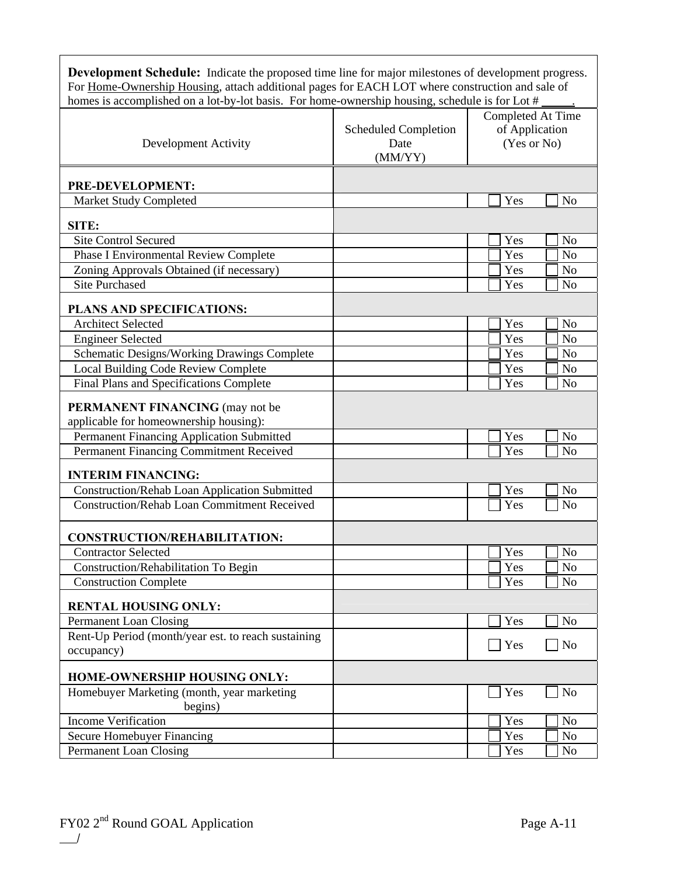| <b>Development Schedule:</b> Indicate the proposed time line for major milestones of development progress.<br>For Home-Ownership Housing, attach additional pages for EACH LOT where construction and sale of |                                                |                                                    |
|---------------------------------------------------------------------------------------------------------------------------------------------------------------------------------------------------------------|------------------------------------------------|----------------------------------------------------|
| homes is accomplished on a lot-by-lot basis. For home-ownership housing, schedule is for Lot #                                                                                                                |                                                |                                                    |
| Development Activity                                                                                                                                                                                          | <b>Scheduled Completion</b><br>Date<br>(MM/YY) | Completed At Time<br>of Application<br>(Yes or No) |
|                                                                                                                                                                                                               |                                                |                                                    |
| PRE-DEVELOPMENT:                                                                                                                                                                                              |                                                | Yes<br>N <sub>o</sub>                              |
| Market Study Completed                                                                                                                                                                                        |                                                |                                                    |
| SITE:                                                                                                                                                                                                         |                                                |                                                    |
| <b>Site Control Secured</b>                                                                                                                                                                                   |                                                | Yes<br>N <sub>o</sub>                              |
| <b>Phase I Environmental Review Complete</b>                                                                                                                                                                  |                                                | Yes<br>N <sub>o</sub>                              |
| Zoning Approvals Obtained (if necessary)                                                                                                                                                                      |                                                | Yes<br>N <sub>o</sub>                              |
| <b>Site Purchased</b>                                                                                                                                                                                         |                                                | Yes<br>N <sub>0</sub>                              |
| PLANS AND SPECIFICATIONS:                                                                                                                                                                                     |                                                |                                                    |
| <b>Architect Selected</b>                                                                                                                                                                                     |                                                | Yes<br>N <sub>o</sub>                              |
| <b>Engineer Selected</b>                                                                                                                                                                                      |                                                | Yes<br>N <sub>o</sub>                              |
| Schematic Designs/Working Drawings Complete                                                                                                                                                                   |                                                | Yes<br>N <sub>o</sub>                              |
| Local Building Code Review Complete                                                                                                                                                                           |                                                | Yes<br>N <sub>o</sub>                              |
| Final Plans and Specifications Complete                                                                                                                                                                       |                                                | Yes<br>N <sub>o</sub>                              |
| <b>PERMANENT FINANCING</b> (may not be<br>applicable for homeownership housing):                                                                                                                              |                                                |                                                    |
| Permanent Financing Application Submitted                                                                                                                                                                     |                                                | Yes<br>N <sub>o</sub>                              |
| Permanent Financing Commitment Received                                                                                                                                                                       |                                                | Yes<br>No                                          |
| <b>INTERIM FINANCING:</b>                                                                                                                                                                                     |                                                |                                                    |
| <b>Construction/Rehab Loan Application Submitted</b>                                                                                                                                                          |                                                | Yes<br>N <sub>o</sub>                              |
| <b>Construction/Rehab Loan Commitment Received</b>                                                                                                                                                            |                                                | Yes<br>N <sub>o</sub>                              |
|                                                                                                                                                                                                               |                                                |                                                    |
| CONSTRUCTION/REHABILITATION:                                                                                                                                                                                  |                                                |                                                    |
| <b>Contractor Selected</b>                                                                                                                                                                                    |                                                | Yes<br>No                                          |
| Construction/Rehabilitation To Begin                                                                                                                                                                          |                                                | Yes<br>N <sub>o</sub>                              |
| <b>Construction Complete</b>                                                                                                                                                                                  |                                                | Yes<br>No                                          |
| <b>RENTAL HOUSING ONLY:</b>                                                                                                                                                                                   |                                                |                                                    |
| <b>Permanent Loan Closing</b>                                                                                                                                                                                 |                                                | Yes<br>N <sub>o</sub>                              |
| Rent-Up Period (month/year est. to reach sustaining                                                                                                                                                           |                                                |                                                    |
| occupancy)                                                                                                                                                                                                    |                                                | Yes<br>N <sub>o</sub>                              |
| HOME-OWNERSHIP HOUSING ONLY:                                                                                                                                                                                  |                                                |                                                    |
| Homebuyer Marketing (month, year marketing                                                                                                                                                                    |                                                | Yes<br>N <sub>o</sub>                              |
| begins)                                                                                                                                                                                                       |                                                |                                                    |
| <b>Income Verification</b>                                                                                                                                                                                    |                                                | Yes<br>N <sub>o</sub>                              |
| Secure Homebuyer Financing                                                                                                                                                                                    |                                                | Yes<br>N <sub>o</sub>                              |
| <b>Permanent Loan Closing</b>                                                                                                                                                                                 |                                                | Yes<br>No                                          |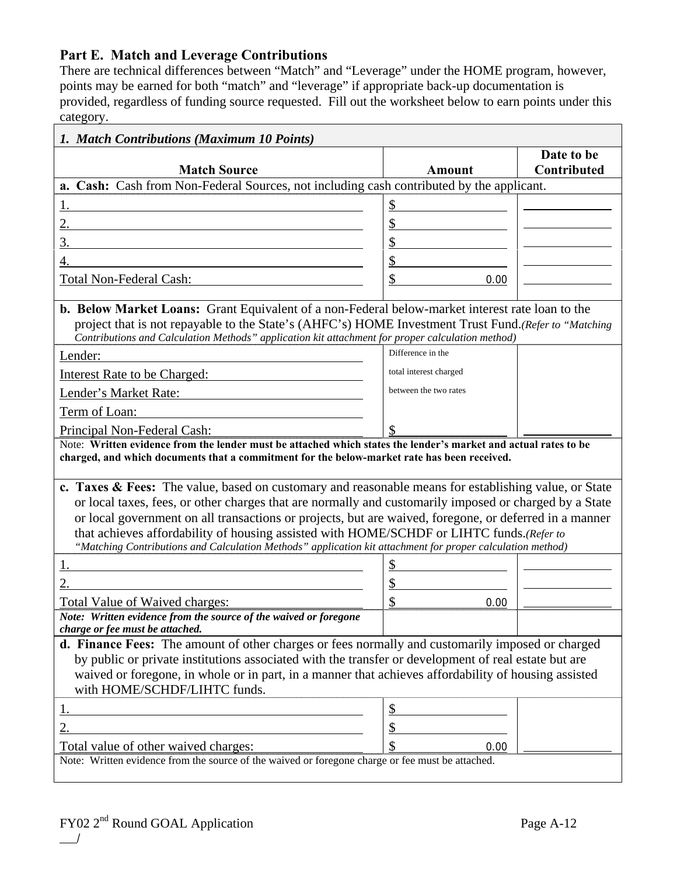## **Part E. Match and Leverage Contributions**

There are technical differences between "Match" and "Leverage" under the HOME program, however, points may be earned for both "match" and "leverage" if appropriate back-up documentation is provided, regardless of funding source requested. Fill out the worksheet below to earn points under this category.

|                                                                                                                                                                                                                                                                                                                                                                                                                                                                                                                                    |                        | Date to be  |
|------------------------------------------------------------------------------------------------------------------------------------------------------------------------------------------------------------------------------------------------------------------------------------------------------------------------------------------------------------------------------------------------------------------------------------------------------------------------------------------------------------------------------------|------------------------|-------------|
| <b>Match Source</b>                                                                                                                                                                                                                                                                                                                                                                                                                                                                                                                | <b>Amount</b>          | Contributed |
| a. Cash: Cash from Non-Federal Sources, not including cash contributed by the applicant.                                                                                                                                                                                                                                                                                                                                                                                                                                           |                        |             |
| 1.                                                                                                                                                                                                                                                                                                                                                                                                                                                                                                                                 | \$                     |             |
|                                                                                                                                                                                                                                                                                                                                                                                                                                                                                                                                    | \$                     |             |
| 3.                                                                                                                                                                                                                                                                                                                                                                                                                                                                                                                                 | \$                     |             |
|                                                                                                                                                                                                                                                                                                                                                                                                                                                                                                                                    | \$                     |             |
| Total Non-Federal Cash:                                                                                                                                                                                                                                                                                                                                                                                                                                                                                                            | \$<br>0.00             |             |
| <b>b. Below Market Loans:</b> Grant Equivalent of a non-Federal below-market interest rate loan to the<br>project that is not repayable to the State's (AHFC's) HOME Investment Trust Fund.(Refer to "Matching<br>Contributions and Calculation Methods" application kit attachment for proper calculation method)                                                                                                                                                                                                                 |                        |             |
| Lender:                                                                                                                                                                                                                                                                                                                                                                                                                                                                                                                            | Difference in the      |             |
| Interest Rate to be Charged:                                                                                                                                                                                                                                                                                                                                                                                                                                                                                                       | total interest charged |             |
| Lender's Market Rate:                                                                                                                                                                                                                                                                                                                                                                                                                                                                                                              | between the two rates  |             |
| Term of Loan:                                                                                                                                                                                                                                                                                                                                                                                                                                                                                                                      |                        |             |
| Principal Non-Federal Cash:                                                                                                                                                                                                                                                                                                                                                                                                                                                                                                        |                        |             |
| c. Taxes & Fees: The value, based on customary and reasonable means for establishing value, or State<br>or local taxes, fees, or other charges that are normally and customarily imposed or charged by a State<br>or local government on all transactions or projects, but are waived, foregone, or deferred in a manner<br>that achieves affordability of housing assisted with HOME/SCHDF or LIHTC funds.(Refer to<br>"Matching Contributions and Calculation Methods" application kit attachment for proper calculation method) |                        |             |
|                                                                                                                                                                                                                                                                                                                                                                                                                                                                                                                                    | \$                     |             |
|                                                                                                                                                                                                                                                                                                                                                                                                                                                                                                                                    |                        |             |
|                                                                                                                                                                                                                                                                                                                                                                                                                                                                                                                                    | \$                     |             |
| Total Value of Waived charges:<br>Note: Written evidence from the source of the waived or foregone<br>charge or fee must be attached.                                                                                                                                                                                                                                                                                                                                                                                              | \$<br>0.00             |             |
| d. Finance Fees: The amount of other charges or fees normally and customarily imposed or charged                                                                                                                                                                                                                                                                                                                                                                                                                                   |                        |             |
| by public or private institutions associated with the transfer or development of real estate but are<br>waived or foregone, in whole or in part, in a manner that achieves affordability of housing assisted<br>with HOME/SCHDF/LIHTC funds.                                                                                                                                                                                                                                                                                       |                        |             |
|                                                                                                                                                                                                                                                                                                                                                                                                                                                                                                                                    | <u>\$</u>              |             |
|                                                                                                                                                                                                                                                                                                                                                                                                                                                                                                                                    |                        |             |
|                                                                                                                                                                                                                                                                                                                                                                                                                                                                                                                                    |                        |             |
| <u>Total value of other waived charges:</u>                                                                                                                                                                                                                                                                                                                                                                                                                                                                                        | \$<br>0.00             |             |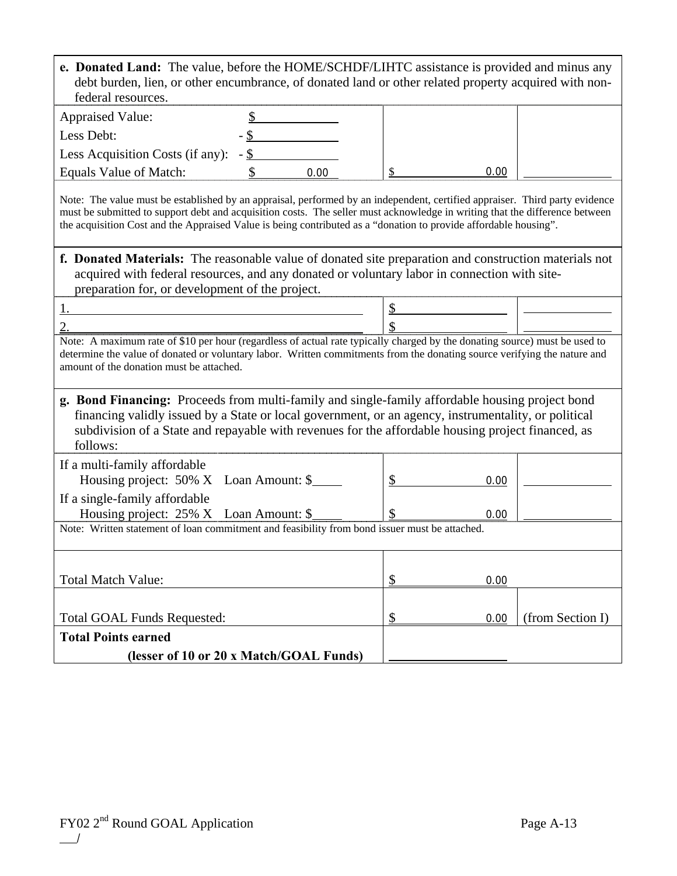| e. Donated Land: The value, before the HOME/SCHDF/LIHTC assistance is provided and minus any<br>debt burden, lien, or other encumbrance, of donated land or other related property acquired with non-<br>federal resources.                                                                                                                                                    |               |      |               |      |                  |
|--------------------------------------------------------------------------------------------------------------------------------------------------------------------------------------------------------------------------------------------------------------------------------------------------------------------------------------------------------------------------------|---------------|------|---------------|------|------------------|
| <b>Appraised Value:</b>                                                                                                                                                                                                                                                                                                                                                        |               |      |               |      |                  |
| Less Debt:                                                                                                                                                                                                                                                                                                                                                                     | $\mathcal{S}$ |      |               |      |                  |
| Less Acquisition Costs (if any): $-\underline{\$}$                                                                                                                                                                                                                                                                                                                             |               |      |               |      |                  |
| Equals Value of Match:                                                                                                                                                                                                                                                                                                                                                         | \$            | 0.00 |               | 0.00 |                  |
| Note: The value must be established by an appraisal, performed by an independent, certified appraiser. Third party evidence<br>must be submitted to support debt and acquisition costs. The seller must acknowledge in writing that the difference between<br>the acquisition Cost and the Appraised Value is being contributed as a "donation to provide affordable housing". |               |      |               |      |                  |
| f. Donated Materials: The reasonable value of donated site preparation and construction materials not<br>acquired with federal resources, and any donated or voluntary labor in connection with site-<br>preparation for, or development of the project.                                                                                                                       |               |      |               |      |                  |
|                                                                                                                                                                                                                                                                                                                                                                                |               |      | \$            |      |                  |
| 2.                                                                                                                                                                                                                                                                                                                                                                             |               |      |               |      |                  |
| Note: A maximum rate of \$10 per hour (regardless of actual rate typically charged by the donating source) must be used to<br>determine the value of donated or voluntary labor. Written commitments from the donating source verifying the nature and<br>amount of the donation must be attached.                                                                             |               |      |               |      |                  |
| g. Bond Financing: Proceeds from multi-family and single-family affordable housing project bond<br>financing validly issued by a State or local government, or an agency, instrumentality, or political<br>subdivision of a State and repayable with revenues for the affordable housing project financed, as<br>follows:                                                      |               |      |               |      |                  |
| If a multi-family affordable                                                                                                                                                                                                                                                                                                                                                   |               |      |               |      |                  |
| Housing project: 50% X Loan Amount: \$                                                                                                                                                                                                                                                                                                                                         |               |      | \$            | 0.00 |                  |
| If a single-family affordable                                                                                                                                                                                                                                                                                                                                                  |               |      |               |      |                  |
| Housing project: 25% X Loan Amount: \$                                                                                                                                                                                                                                                                                                                                         |               |      |               | 0.00 |                  |
| Note: Written statement of loan commitment and feasibility from bond issuer must be attached.                                                                                                                                                                                                                                                                                  |               |      |               |      |                  |
|                                                                                                                                                                                                                                                                                                                                                                                |               |      |               |      |                  |
| <b>Total Match Value:</b>                                                                                                                                                                                                                                                                                                                                                      |               |      | $\frac{1}{2}$ | 0.00 |                  |
|                                                                                                                                                                                                                                                                                                                                                                                |               |      |               |      |                  |
| <b>Total GOAL Funds Requested:</b>                                                                                                                                                                                                                                                                                                                                             |               |      | \$            | 0.00 | (from Section I) |
| <b>Total Points earned</b>                                                                                                                                                                                                                                                                                                                                                     |               |      |               |      |                  |
| (lesser of 10 or 20 x Match/GOAL Funds)                                                                                                                                                                                                                                                                                                                                        |               |      |               |      |                  |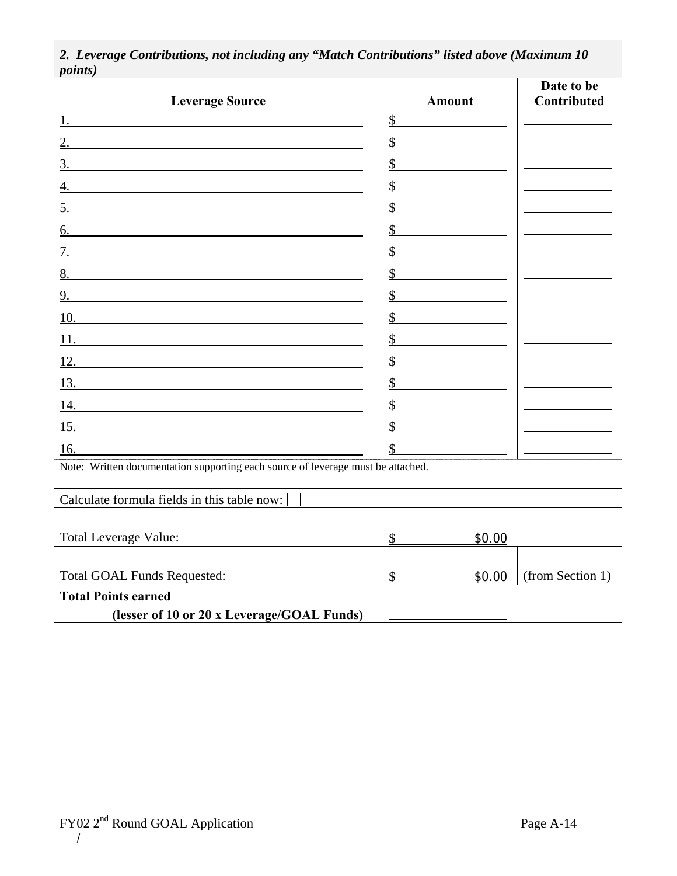| <i>points</i> )                                                                                                                                                                              |               |                           |
|----------------------------------------------------------------------------------------------------------------------------------------------------------------------------------------------|---------------|---------------------------|
| <b>Leverage Source</b>                                                                                                                                                                       | <b>Amount</b> | Date to be<br>Contributed |
| 1. $\blacksquare$                                                                                                                                                                            | \$            |                           |
|                                                                                                                                                                                              | \$            |                           |
| 3.                                                                                                                                                                                           | \$            |                           |
| 4.                                                                                                                                                                                           | \$            |                           |
| 5.                                                                                                                                                                                           | \$            |                           |
| 6.                                                                                                                                                                                           | \$            |                           |
|                                                                                                                                                                                              | \$            |                           |
|                                                                                                                                                                                              | \$            |                           |
| 9.                                                                                                                                                                                           | \$            |                           |
|                                                                                                                                                                                              | \$            |                           |
| 11.<br><u> 1980 - Johann Barn, mars ann an t-Amhain Aonaich an t-Aonaich an t-Aonaich ann an t-Aonaich ann an t-Aonaich</u>                                                                  | \$            |                           |
| 12.                                                                                                                                                                                          | \$            |                           |
|                                                                                                                                                                                              | \$            |                           |
|                                                                                                                                                                                              | \$            |                           |
| $\overline{15}$ .                                                                                                                                                                            | \$            |                           |
| 16.<br>16. Solution 1.5 Section 1.5 Section 1.5 Section 1.5 Section 1.5 Section 1.5 Section 1.5 Section 1.5 Note: Written documentation supporting each source of leverage must be attached. | \$            |                           |
|                                                                                                                                                                                              |               |                           |
| Calculate formula fields in this table now:                                                                                                                                                  |               |                           |
|                                                                                                                                                                                              |               |                           |
| <b>Total Leverage Value:</b>                                                                                                                                                                 | \$<br>\$0.00  |                           |
|                                                                                                                                                                                              |               |                           |
| <b>Total GOAL Funds Requested:</b>                                                                                                                                                           | \$<br>\$0.00  | (from Section 1)          |
| <b>Total Points earned</b>                                                                                                                                                                   |               |                           |
| (lesser of 10 or 20 x Leverage/GOAL Funds)                                                                                                                                                   |               |                           |

*2. Leverage Contributions, not including any "Match Contributions" listed above (Maximum 10*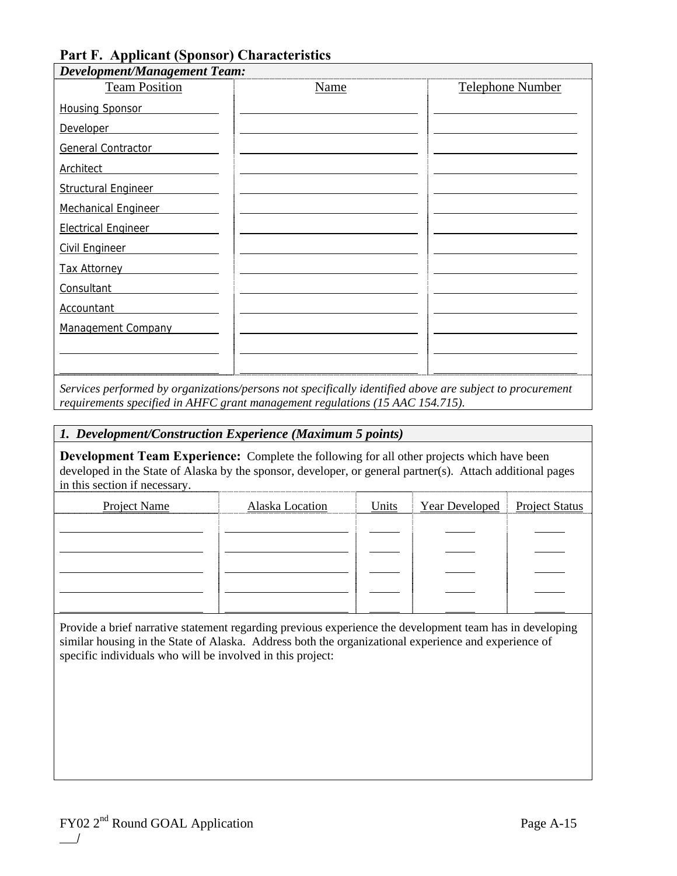## **Part F. Applicant (Sponsor) Characteristics**

| <b>Team Position</b>       | Name | <b>Telephone Number</b> |
|----------------------------|------|-------------------------|
| <b>Housing Sponsor</b>     |      |                         |
| <b>Developer</b>           |      |                         |
| General Contractor         |      |                         |
| Architect                  |      |                         |
| <b>Structural Engineer</b> |      |                         |
| <b>Mechanical Engineer</b> |      |                         |
| <b>Electrical Engineer</b> |      |                         |
| <b>Civil Engineer</b>      |      |                         |
| <b>Tax Attorney</b>        |      |                         |
| Consultant                 |      |                         |
| <b>Accountant</b>          |      |                         |
| Management Company         |      |                         |
|                            |      |                         |
|                            |      |                         |

*Services performed by organizations/persons not specifically identified above are subject to procurement requirements specified in AHFC grant management regulations (15 AAC 154.715).* 

### *1. Development/Construction Experience (Maximum 5 points)*

**Development Team Experience:** Complete the following for all other projects which have been developed in the State of Alaska by the sponsor, developer, or general partner(s). Attach additional pages in this section if necessary.

| <b>Project Name</b> | Alaska Location | Units | Year Developed Project Status |  |
|---------------------|-----------------|-------|-------------------------------|--|
|                     |                 |       |                               |  |
|                     |                 |       |                               |  |
|                     |                 |       |                               |  |
|                     |                 |       |                               |  |
|                     |                 |       |                               |  |

Provide a brief narrative statement regarding previous experience the development team has in developing similar housing in the State of Alaska. Address both the organizational experience and experience of specific individuals who will be involved in this project: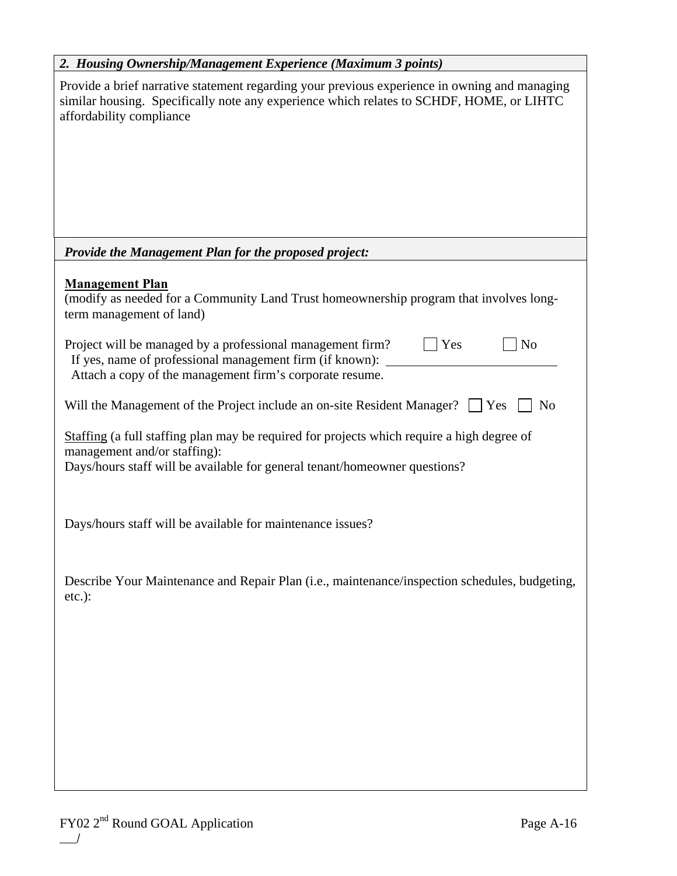| 2. Housing Ownership/Management Experience (Maximum 3 points)                                                                                                                                                         |
|-----------------------------------------------------------------------------------------------------------------------------------------------------------------------------------------------------------------------|
| Provide a brief narrative statement regarding your previous experience in owning and managing<br>similar housing. Specifically note any experience which relates to SCHDF, HOME, or LIHTC<br>affordability compliance |
| <b>Provide the Management Plan for the proposed project:</b>                                                                                                                                                          |
| <b>Management Plan</b><br>(modify as needed for a Community Land Trust homeownership program that involves long-<br>term management of land)                                                                          |
| Project will be managed by a professional management firm?<br>$ N_0$<br>$\vert$ Yes<br>If yes, name of professional management firm (if known): _______<br>Attach a copy of the management firm's corporate resume.   |
| Will the Management of the Project include an on-site Resident Manager? $\Box$ Yes<br>N <sub>0</sub>                                                                                                                  |
| Staffing (a full staffing plan may be required for projects which require a high degree of<br>management and/or staffing):<br>Days/hours staff will be available for general tenant/homeowner questions?              |
| Days/hours staff will be available for maintenance issues?                                                                                                                                                            |
| Describe Your Maintenance and Repair Plan (i.e., maintenance/inspection schedules, budgeting,<br>$etc.$ ):                                                                                                            |
|                                                                                                                                                                                                                       |
|                                                                                                                                                                                                                       |
|                                                                                                                                                                                                                       |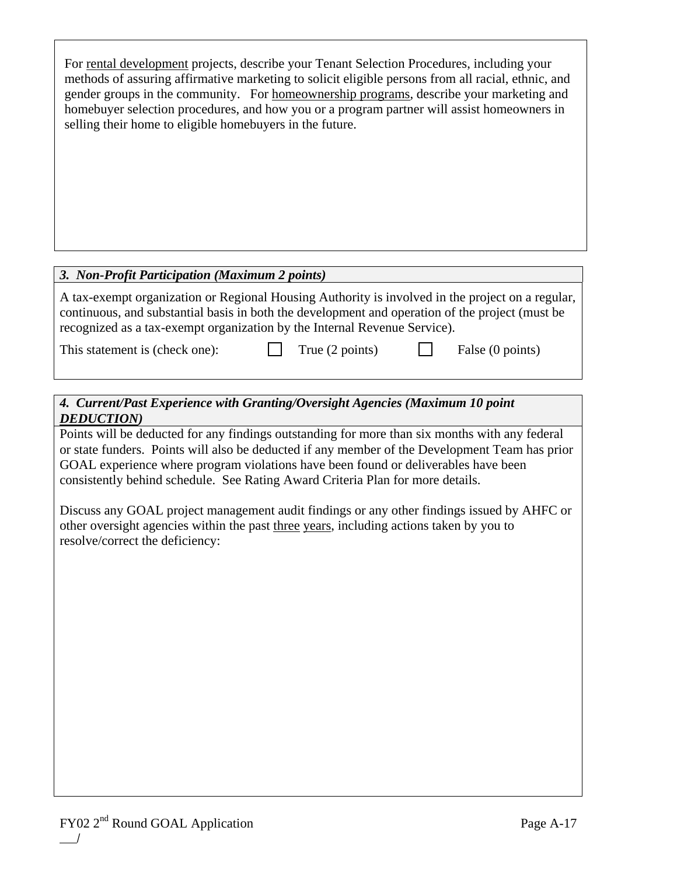| For rental development projects, describe your Tenant Selection Procedures, including your<br>methods of assuring affirmative marketing to solicit eligible persons from all racial, ethnic, and<br>gender groups in the community. For homeownership programs, describe your marketing and<br>homebuyer selection procedures, and how you or a program partner will assist homeowners in<br>selling their home to eligible homebuyers in the future. |
|-------------------------------------------------------------------------------------------------------------------------------------------------------------------------------------------------------------------------------------------------------------------------------------------------------------------------------------------------------------------------------------------------------------------------------------------------------|
|                                                                                                                                                                                                                                                                                                                                                                                                                                                       |

### *3. Non-Profit Participation (Maximum 2 points)*

A tax-exempt organization or Regional Housing Authority is involved in the project on a regular, continuous, and substantial basis in both the development and operation of the project (must be recognized as a tax-exempt organization by the Internal Revenue Service).

This statement is (check one): True (2 points) False (0 points)

## *4. Current/Past Experience with Granting/Oversight Agencies (Maximum 10 point DEDUCTION)*

Points will be deducted for any findings outstanding for more than six months with any federal or state funders. Points will also be deducted if any member of the Development Team has prior GOAL experience where program violations have been found or deliverables have been consistently behind schedule. See Rating Award Criteria Plan for more details.

Discuss any GOAL project management audit findings or any other findings issued by AHFC or other oversight agencies within the past three years, including actions taken by you to resolve/correct the deficiency: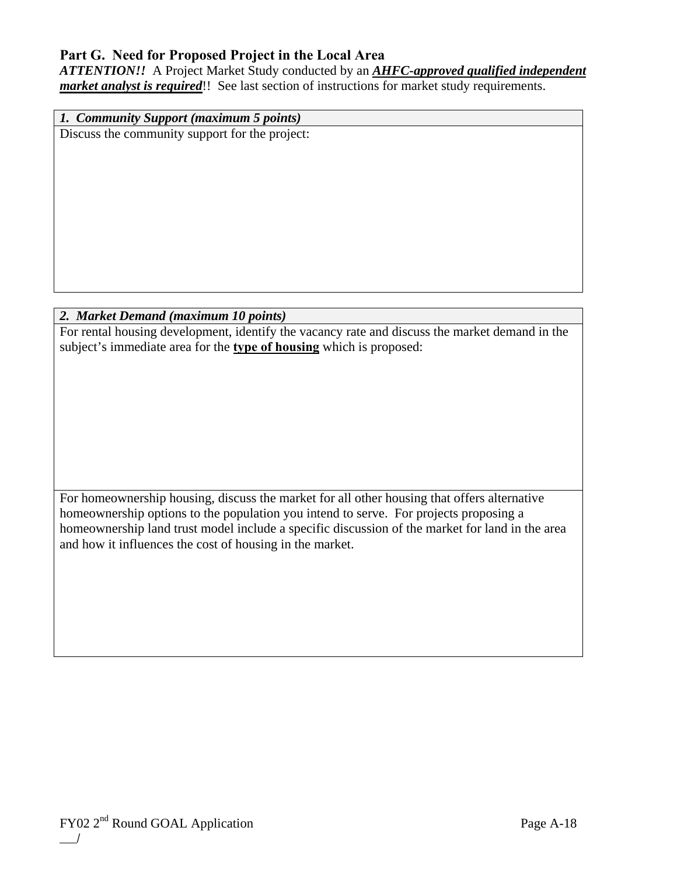## **Part G. Need for Proposed Project in the Local Area**

*ATTENTION!!* A Project Market Study conducted by an *AHFC-approved qualified independent market analyst is required*!! See last section of instructions for market study requirements.

*1. Community Support (maximum 5 points)*  Discuss the community support for the project:

## *2. Market Demand (maximum 10 points)*

For rental housing development, identify the vacancy rate and discuss the market demand in the subject's immediate area for the **type of housing** which is proposed:

For homeownership housing, discuss the market for all other housing that offers alternative homeownership options to the population you intend to serve. For projects proposing a homeownership land trust model include a specific discussion of the market for land in the area and how it influences the cost of housing in the market.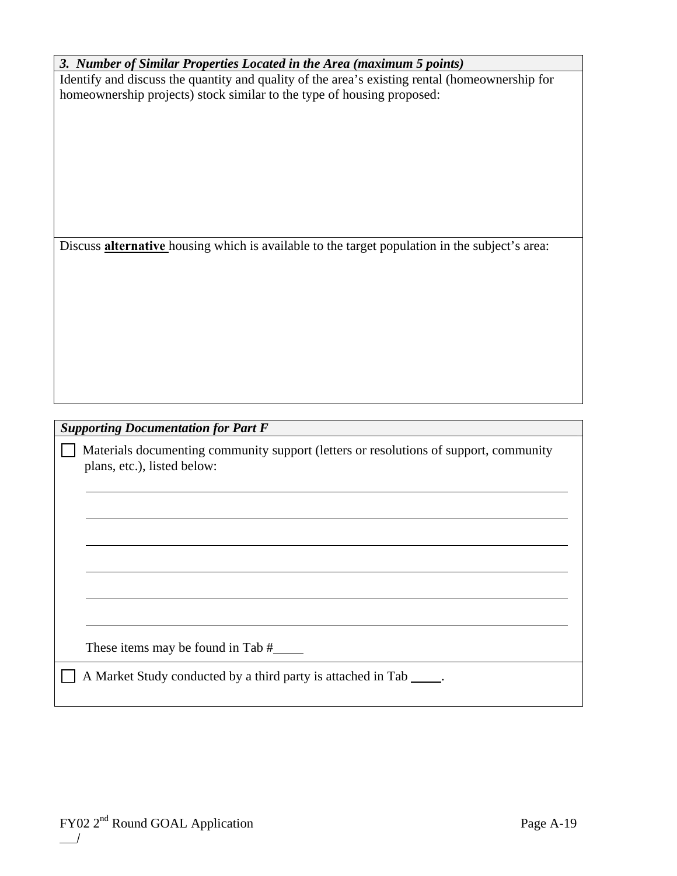| 3. Number of Similar Properties Located in the Area (maximum 5 points)                                |
|-------------------------------------------------------------------------------------------------------|
| Identify and discuss the quantity and quality of the area's existing rental (homeownership for        |
| homeownership projects) stock similar to the type of housing proposed:                                |
|                                                                                                       |
|                                                                                                       |
|                                                                                                       |
|                                                                                                       |
|                                                                                                       |
|                                                                                                       |
|                                                                                                       |
|                                                                                                       |
|                                                                                                       |
|                                                                                                       |
| Discuss <b>alternative</b> housing which is available to the target population in the subject's area: |
|                                                                                                       |
|                                                                                                       |
|                                                                                                       |
|                                                                                                       |
|                                                                                                       |
|                                                                                                       |
|                                                                                                       |
|                                                                                                       |
|                                                                                                       |
|                                                                                                       |
|                                                                                                       |
|                                                                                                       |
| <b>Supporting Documentation for Part F</b>                                                            |
| Materials documenting community support (letters or resolutions of support, community                 |
| plans, etc.), listed below:                                                                           |
|                                                                                                       |
|                                                                                                       |
|                                                                                                       |
|                                                                                                       |
|                                                                                                       |
|                                                                                                       |
|                                                                                                       |
|                                                                                                       |
|                                                                                                       |
|                                                                                                       |
|                                                                                                       |
|                                                                                                       |
|                                                                                                       |
| These items may be found in Tab $#$ _________                                                         |
|                                                                                                       |
| A Market Study conducted by a third party is attached in Tab _____.                                   |
|                                                                                                       |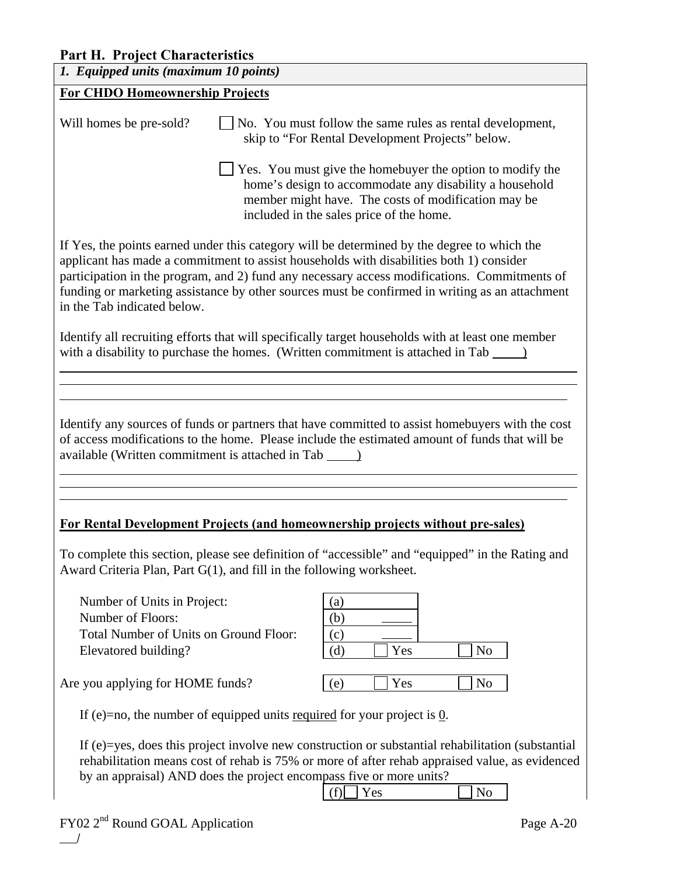## **Part H. Project Characteristics**

| 1. Equipped units (maximum 10 points)                                                                                                                                                                                                                                                                                                                                                                                   |                                                                                                                                                                                                                         |  |  |
|-------------------------------------------------------------------------------------------------------------------------------------------------------------------------------------------------------------------------------------------------------------------------------------------------------------------------------------------------------------------------------------------------------------------------|-------------------------------------------------------------------------------------------------------------------------------------------------------------------------------------------------------------------------|--|--|
| <b>For CHDO Homeownership Projects</b>                                                                                                                                                                                                                                                                                                                                                                                  |                                                                                                                                                                                                                         |  |  |
| Will homes be pre-sold?                                                                                                                                                                                                                                                                                                                                                                                                 | No. You must follow the same rules as rental development,<br>skip to "For Rental Development Projects" below.                                                                                                           |  |  |
|                                                                                                                                                                                                                                                                                                                                                                                                                         | Yes. You must give the homebuyer the option to modify the<br>home's design to accommodate any disability a household<br>member might have. The costs of modification may be<br>included in the sales price of the home. |  |  |
| If Yes, the points earned under this category will be determined by the degree to which the<br>applicant has made a commitment to assist households with disabilities both 1) consider<br>participation in the program, and 2) fund any necessary access modifications. Commitments of<br>funding or marketing assistance by other sources must be confirmed in writing as an attachment<br>in the Tab indicated below. |                                                                                                                                                                                                                         |  |  |
|                                                                                                                                                                                                                                                                                                                                                                                                                         | Identify all recruiting efforts that will specifically target households with at least one member<br>with a disability to purchase the homes. (Written commitment is attached in Tab _______                            |  |  |
|                                                                                                                                                                                                                                                                                                                                                                                                                         |                                                                                                                                                                                                                         |  |  |
| Identify any sources of funds or partners that have committed to assist homebuyers with the cost<br>of access modifications to the home. Please include the estimated amount of funds that will be                                                                                                                                                                                                                      |                                                                                                                                                                                                                         |  |  |
|                                                                                                                                                                                                                                                                                                                                                                                                                         | For Rental Development Projects (and homeownership projects without pre-sales)                                                                                                                                          |  |  |
| To complete this section, please see definition of "accessible" and "equipped" in the Rating and<br>Award Criteria Plan, Part G(1), and fill in the following worksheet.                                                                                                                                                                                                                                                |                                                                                                                                                                                                                         |  |  |
| Number of Units in Project:<br>Number of Floors:<br>Total Number of Units on Ground Floor:                                                                                                                                                                                                                                                                                                                              | $\left( \text{a}\right)$<br>(b)<br>(c)                                                                                                                                                                                  |  |  |
| Elevatored building?                                                                                                                                                                                                                                                                                                                                                                                                    | Yes<br>(d)<br>N <sub>0</sub>                                                                                                                                                                                            |  |  |
| Are you applying for HOME funds?                                                                                                                                                                                                                                                                                                                                                                                        | (e)<br>Yes<br>No                                                                                                                                                                                                        |  |  |
| If (e)=no, the number of equipped units <u>required</u> for your project is $\overline{0}$ .                                                                                                                                                                                                                                                                                                                            |                                                                                                                                                                                                                         |  |  |
| If (e)=yes, does this project involve new construction or substantial rehabilitation (substantial<br>rehabilitation means cost of rehab is 75% or more of after rehab appraised value, as evidenced<br>by an appraisal) AND does the project encompass five or more units?                                                                                                                                              |                                                                                                                                                                                                                         |  |  |
|                                                                                                                                                                                                                                                                                                                                                                                                                         | Yes<br>(f)<br>N <sub>0</sub>                                                                                                                                                                                            |  |  |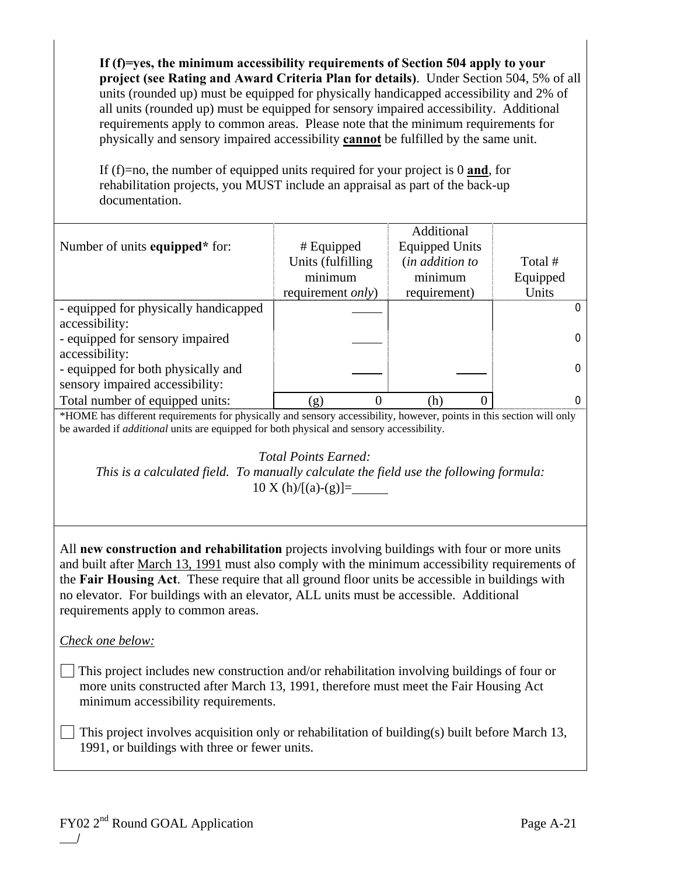**If (f)=yes, the minimum accessibility requirements of Section 504 apply to your project (see Rating and Award Criteria Plan for details)**. Under Section 504, 5% of all units (rounded up) must be equipped for physically handicapped accessibility and 2% of all units (rounded up) must be equipped for sensory impaired accessibility. Additional requirements apply to common areas. Please note that the minimum requirements for physically and sensory impaired accessibility **cannot** be fulfilled by the same unit.

If (f)=no, the number of equipped units required for your project is 0 **and**, for rehabilitation projects, you MUST include an appraisal as part of the back-up documentation.

|                                                                                                                                                                                                                                                                                                                                                                                                                                   |                           | Additional            |             |
|-----------------------------------------------------------------------------------------------------------------------------------------------------------------------------------------------------------------------------------------------------------------------------------------------------------------------------------------------------------------------------------------------------------------------------------|---------------------------|-----------------------|-------------|
| Number of units equipped* for:                                                                                                                                                                                                                                                                                                                                                                                                    | # Equipped                | <b>Equipped Units</b> |             |
|                                                                                                                                                                                                                                                                                                                                                                                                                                   | Units (fulfilling         | (in addition to       | Total #     |
|                                                                                                                                                                                                                                                                                                                                                                                                                                   | minimum                   | minimum               | Equipped    |
|                                                                                                                                                                                                                                                                                                                                                                                                                                   | requirement <i>only</i> ) | requirement)          | Units       |
| - equipped for physically handicapped                                                                                                                                                                                                                                                                                                                                                                                             |                           |                       | $\mathbf 0$ |
| accessibility:                                                                                                                                                                                                                                                                                                                                                                                                                    |                           |                       |             |
| - equipped for sensory impaired                                                                                                                                                                                                                                                                                                                                                                                                   |                           |                       | $\mathbf 0$ |
| accessibility:                                                                                                                                                                                                                                                                                                                                                                                                                    |                           |                       |             |
| - equipped for both physically and                                                                                                                                                                                                                                                                                                                                                                                                |                           |                       | 0           |
| sensory impaired accessibility:                                                                                                                                                                                                                                                                                                                                                                                                   |                           |                       |             |
| Total number of equipped units:                                                                                                                                                                                                                                                                                                                                                                                                   | 0<br>(g)                  | (h)<br>0              | 0           |
| *HOME has different requirements for physically and sensory accessibility, however, points in this section will only                                                                                                                                                                                                                                                                                                              |                           |                       |             |
| be awarded if <i>additional</i> units are equipped for both physical and sensory accessibility.                                                                                                                                                                                                                                                                                                                                   |                           |                       |             |
| <b>Total Points Earned:</b><br>This is a calculated field. To manually calculate the field use the following formula:<br>$10 X(h)/[(a)-(g)] =$                                                                                                                                                                                                                                                                                    |                           |                       |             |
| All new construction and rehabilitation projects involving buildings with four or more units<br>and built after March 13, 1991 must also comply with the minimum accessibility requirements of<br>the Fair Housing Act. These require that all ground floor units be accessible in buildings with<br>no elevator. For buildings with an elevator, ALL units must be accessible. Additional<br>requirements apply to common areas. |                           |                       |             |
| Check one below:                                                                                                                                                                                                                                                                                                                                                                                                                  |                           |                       |             |
| This project includes new construction and/or rehabilitation involving buildings of four or<br>more units constructed after March 13, 1991, therefore must meet the Fair Housing Act<br>minimum accessibility requirements.                                                                                                                                                                                                       |                           |                       |             |
| This project involves acquisition only or rehabilitation of building(s) built before March 13,<br>1991, or buildings with three or fewer units.                                                                                                                                                                                                                                                                                   |                           |                       |             |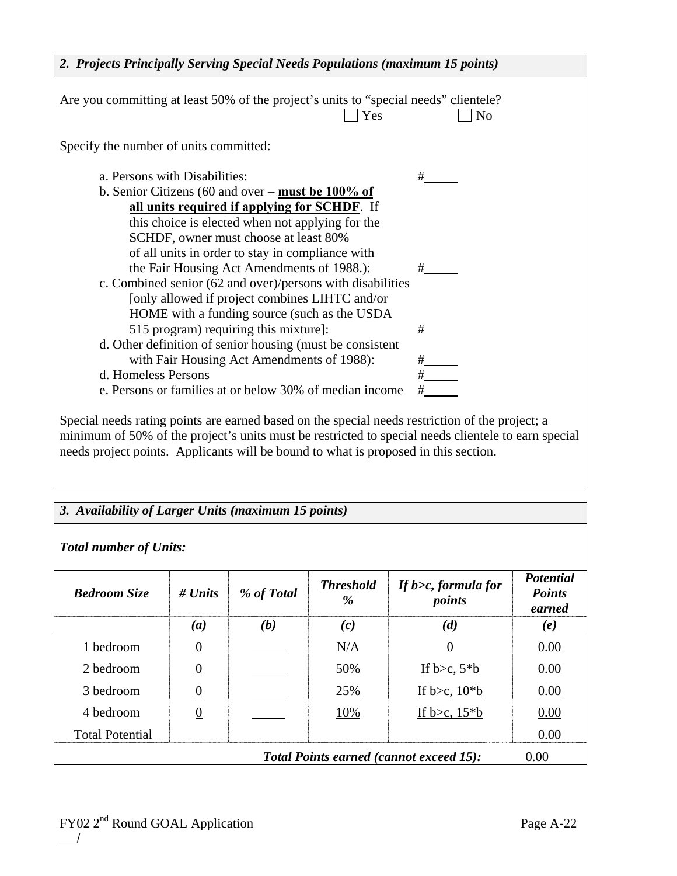| 2. Projects Principally Serving Special Needs Populations (maximum 15 points)                                                                                                                          |                |  |
|--------------------------------------------------------------------------------------------------------------------------------------------------------------------------------------------------------|----------------|--|
| Are you committing at least 50% of the project's units to "special needs" clientele?<br>Yes                                                                                                            | N <sub>o</sub> |  |
| Specify the number of units committed:                                                                                                                                                                 |                |  |
| a. Persons with Disabilities:                                                                                                                                                                          | #              |  |
| b. Senior Citizens (60 and over – must be $100\%$ of                                                                                                                                                   |                |  |
| all units required if applying for SCHDF. If                                                                                                                                                           |                |  |
| this choice is elected when not applying for the                                                                                                                                                       |                |  |
| SCHDF, owner must choose at least 80%                                                                                                                                                                  |                |  |
| of all units in order to stay in compliance with                                                                                                                                                       |                |  |
| the Fair Housing Act Amendments of 1988.):                                                                                                                                                             | #              |  |
| c. Combined senior (62 and over)/persons with disabilities                                                                                                                                             |                |  |
| [only allowed if project combines LIHTC and/or                                                                                                                                                         |                |  |
| HOME with a funding source (such as the USDA                                                                                                                                                           |                |  |
| 515 program) requiring this mixture]:                                                                                                                                                                  |                |  |
| d. Other definition of senior housing (must be consistent                                                                                                                                              |                |  |
| with Fair Housing Act Amendments of 1988):                                                                                                                                                             |                |  |
| d. Homeless Persons                                                                                                                                                                                    | $\frac{+}{+}$  |  |
| e. Persons or families at or below 30% of median income                                                                                                                                                | #              |  |
| Special needs rating points are earned based on the special needs restriction of the project; a<br>minimum of 50% of the project's units must be restricted to special needs clientele to earn special |                |  |

needs project points. Applicants will be bound to what is proposed in this section.

| 3. Availability of Larger Units (maximum 15 points)<br><b>Total number of Units:</b>                                                                        |                  |     |     |                                   |      |
|-------------------------------------------------------------------------------------------------------------------------------------------------------------|------------------|-----|-----|-----------------------------------|------|
| <b>Potential</b><br><b>Threshold</b><br>If $b >c$ , formula for<br># $Units$<br>% of Total<br><b>Points</b><br><b>Bedroom Size</b><br>points<br>%<br>earned |                  |     |     |                                   |      |
|                                                                                                                                                             | $\left(a\right)$ | (b) | (c) | (d)                               | (e)  |
| 1 bedroom                                                                                                                                                   | $\overline{0}$   |     | N/A | $\Omega$                          | 0.00 |
| 2 bedroom                                                                                                                                                   | $\overline{0}$   |     | 50% | If $b > c$ , $5 * b$              | 0.00 |
| 3 bedroom                                                                                                                                                   | $\overline{0}$   |     | 25% | If b $\geq c$ , 10 <sup>*</sup> b | 0.00 |
| 4 bedroom                                                                                                                                                   | $\overline{0}$   |     | 10% | If $b > c$ , $15 * b$             | 0.00 |
| <b>Total Potential</b>                                                                                                                                      |                  |     |     |                                   | 0.00 |
| <b>Total Points earned (cannot exceed 15):</b><br>0.00                                                                                                      |                  |     |     |                                   |      |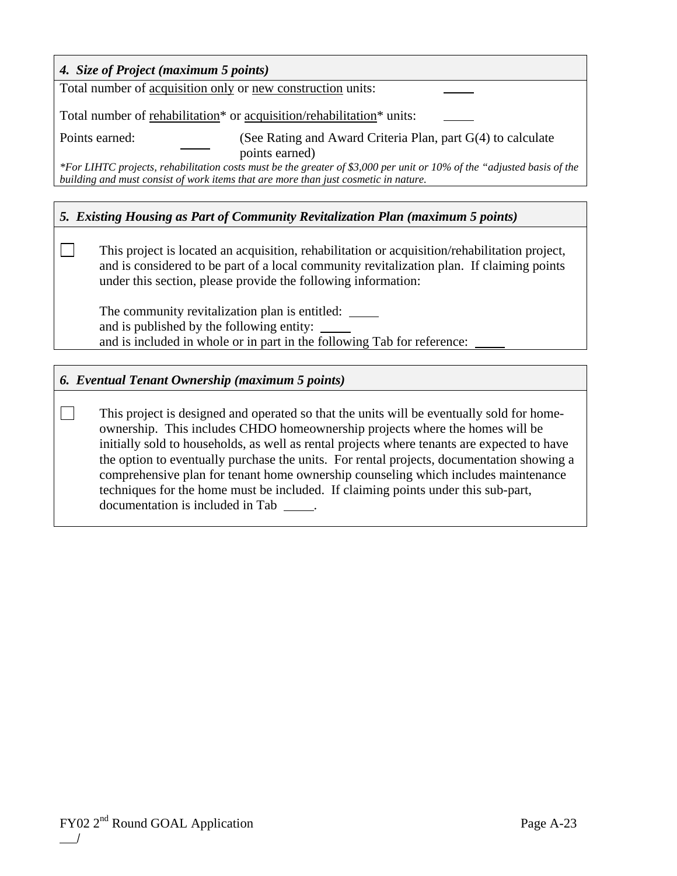| 4. Size of Project (maximum 5 points)                                                                                                                                                                                                                                                                                                                                                                                                                                                                                                                                                       |  |  |  |
|---------------------------------------------------------------------------------------------------------------------------------------------------------------------------------------------------------------------------------------------------------------------------------------------------------------------------------------------------------------------------------------------------------------------------------------------------------------------------------------------------------------------------------------------------------------------------------------------|--|--|--|
| Total number of acquisition only or new construction units:                                                                                                                                                                                                                                                                                                                                                                                                                                                                                                                                 |  |  |  |
| Total number of rehabilitation <sup>*</sup> or acquisition/rehabilitation <sup>*</sup> units:                                                                                                                                                                                                                                                                                                                                                                                                                                                                                               |  |  |  |
| Points earned:<br>(See Rating and Award Criteria Plan, part G(4) to calculate                                                                                                                                                                                                                                                                                                                                                                                                                                                                                                               |  |  |  |
| points earned)<br>*For LIHTC projects, rehabilitation costs must be the greater of \$3,000 per unit or 10% of the "adjusted basis of the<br>building and must consist of work items that are more than just cosmetic in nature.                                                                                                                                                                                                                                                                                                                                                             |  |  |  |
| 5. Existing Housing as Part of Community Revitalization Plan (maximum 5 points)                                                                                                                                                                                                                                                                                                                                                                                                                                                                                                             |  |  |  |
| This project is located an acquisition, rehabilitation or acquisition/rehabilitation project,<br>and is considered to be part of a local community revitalization plan. If claiming points<br>under this section, please provide the following information:                                                                                                                                                                                                                                                                                                                                 |  |  |  |
| The community revitalization plan is entitled: ______<br>and is published by the following entity:<br>and is included in whole or in part in the following Tab for reference:                                                                                                                                                                                                                                                                                                                                                                                                               |  |  |  |
|                                                                                                                                                                                                                                                                                                                                                                                                                                                                                                                                                                                             |  |  |  |
| 6. Eventual Tenant Ownership (maximum 5 points)                                                                                                                                                                                                                                                                                                                                                                                                                                                                                                                                             |  |  |  |
| This project is designed and operated so that the units will be eventually sold for home-<br>ownership. This includes CHDO homeownership projects where the homes will be<br>initially sold to households, as well as rental projects where tenants are expected to have<br>the option to eventually purchase the units. For rental projects, documentation showing a<br>comprehensive plan for tenant home ownership counseling which includes maintenance<br>techniques for the home must be included. If claiming points under this sub-part,<br>documentation is included in Tab _____. |  |  |  |
|                                                                                                                                                                                                                                                                                                                                                                                                                                                                                                                                                                                             |  |  |  |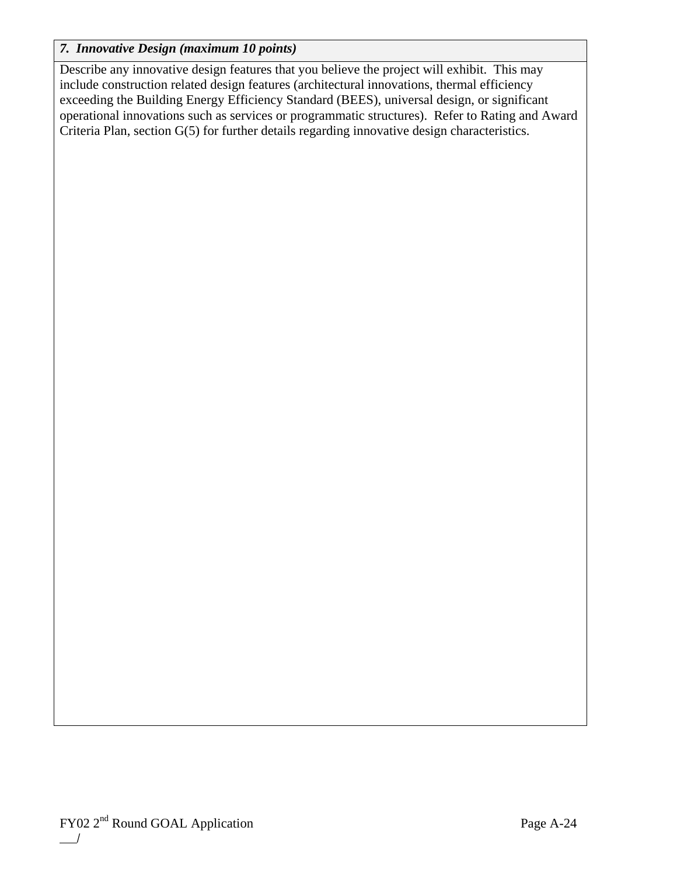## *7. Innovative Design (maximum 10 points)*

Describe any innovative design features that you believe the project will exhibit. This may include construction related design features (architectural innovations, thermal efficiency exceeding the Building Energy Efficiency Standard (BEES), universal design, or significant operational innovations such as services or programmatic structures). Refer to Rating and Award Criteria Plan, section G(5) for further details regarding innovative design characteristics.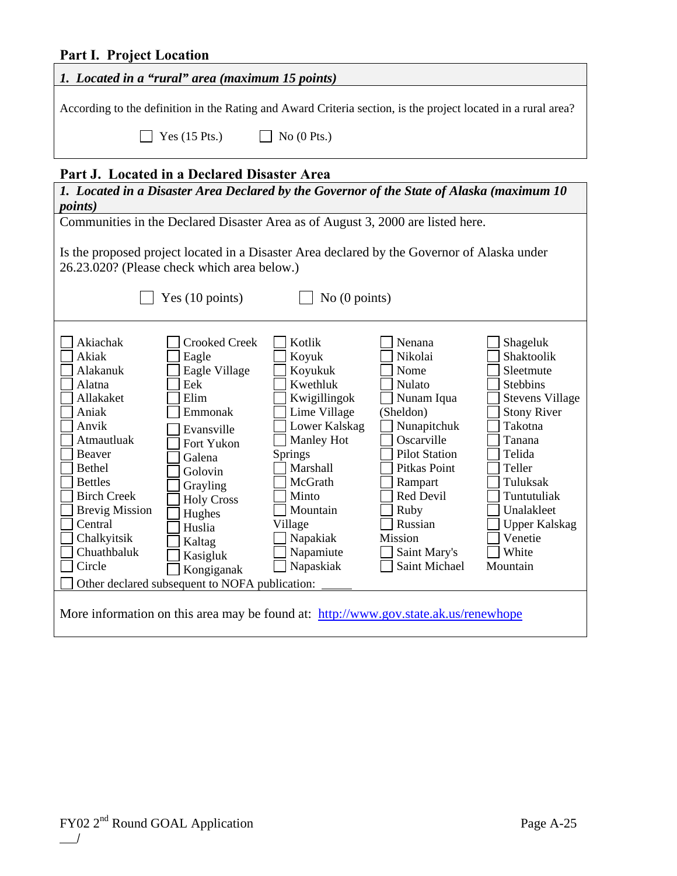## **Part I. Project Location**

| 1. Located in a "rural" area (maximum 15 points)<br>According to the definition in the Rating and Award Criteria section, is the project located in a rural area?<br>Yes $(15$ Pts.)<br>No $(0$ Pts.)<br>Part J. Located in a Declared Disaster Area<br>1. Located in a Disaster Area Declared by the Governor of the State of Alaska (maximum 10<br><i>points</i> )<br>Communities in the Declared Disaster Area as of August 3, 2000 are listed here.<br>Is the proposed project located in a Disaster Area declared by the Governor of Alaska under<br>26.23.020? (Please check which area below.)<br>Yes (10 points)<br>No $(0$ points)<br>Akiachak<br><b>Crooked Creek</b><br>Kotlik<br>Nenana<br>Shageluk<br>Shaktoolik<br>Akiak<br>Nikolai<br>Eagle<br>Koyuk<br>Eagle Village<br>Alakanuk<br>Koyukuk<br>Nome<br>Sleetmute<br>Alatna<br>Eek<br>Kwethluk<br>Nulato<br><b>Stebbins</b><br>Nunam Iqua<br>Allakaket<br>Elim<br>Kwigillingok<br><b>Stevens Village</b><br>Emmonak<br>Lime Village<br>(Sheldon)<br><b>Stony River</b><br>Aniak<br>Lower Kalskag<br>Nunapitchuk<br>Takotna<br>Anvik<br>Evansville<br>Atmautluak<br>Oscarville<br>Manley Hot<br>Tanana<br>Fort Yukon<br>Beaver<br>Springs<br><b>Pilot Station</b><br>Telida<br>Galena<br>Marshall<br>Bethel<br>Pitkas Point<br>Teller<br>Golovin<br><b>Bettles</b><br>McGrath<br>Tuluksak<br>Rampart<br>Grayling<br><b>Birch Creek</b><br>Red Devil<br>Minto<br>Tuntutuliak<br><b>Holy Cross</b><br><b>Brevig Mission</b><br>Mountain<br>Ruby<br>Unalakleet<br>Hughes<br>Central<br>Russian<br>Village<br><b>Upper Kalskag</b><br>Huslia<br>Venetie<br>Chalkyitsik<br>Napakiak<br>Mission<br>Kaltag<br>White<br>Chuathbaluk<br>Napamiute<br>Saint Mary's<br>Kasigluk | raren 110juu Luuanun |  |  |  |  |
|------------------------------------------------------------------------------------------------------------------------------------------------------------------------------------------------------------------------------------------------------------------------------------------------------------------------------------------------------------------------------------------------------------------------------------------------------------------------------------------------------------------------------------------------------------------------------------------------------------------------------------------------------------------------------------------------------------------------------------------------------------------------------------------------------------------------------------------------------------------------------------------------------------------------------------------------------------------------------------------------------------------------------------------------------------------------------------------------------------------------------------------------------------------------------------------------------------------------------------------------------------------------------------------------------------------------------------------------------------------------------------------------------------------------------------------------------------------------------------------------------------------------------------------------------------------------------------------------------------------------------------------------------------------------------------------------------------------------------------|----------------------|--|--|--|--|
|                                                                                                                                                                                                                                                                                                                                                                                                                                                                                                                                                                                                                                                                                                                                                                                                                                                                                                                                                                                                                                                                                                                                                                                                                                                                                                                                                                                                                                                                                                                                                                                                                                                                                                                                    |                      |  |  |  |  |
|                                                                                                                                                                                                                                                                                                                                                                                                                                                                                                                                                                                                                                                                                                                                                                                                                                                                                                                                                                                                                                                                                                                                                                                                                                                                                                                                                                                                                                                                                                                                                                                                                                                                                                                                    |                      |  |  |  |  |
|                                                                                                                                                                                                                                                                                                                                                                                                                                                                                                                                                                                                                                                                                                                                                                                                                                                                                                                                                                                                                                                                                                                                                                                                                                                                                                                                                                                                                                                                                                                                                                                                                                                                                                                                    |                      |  |  |  |  |
|                                                                                                                                                                                                                                                                                                                                                                                                                                                                                                                                                                                                                                                                                                                                                                                                                                                                                                                                                                                                                                                                                                                                                                                                                                                                                                                                                                                                                                                                                                                                                                                                                                                                                                                                    |                      |  |  |  |  |
|                                                                                                                                                                                                                                                                                                                                                                                                                                                                                                                                                                                                                                                                                                                                                                                                                                                                                                                                                                                                                                                                                                                                                                                                                                                                                                                                                                                                                                                                                                                                                                                                                                                                                                                                    |                      |  |  |  |  |
|                                                                                                                                                                                                                                                                                                                                                                                                                                                                                                                                                                                                                                                                                                                                                                                                                                                                                                                                                                                                                                                                                                                                                                                                                                                                                                                                                                                                                                                                                                                                                                                                                                                                                                                                    |                      |  |  |  |  |
| Circle<br>Napaskiak<br>Saint Michael<br>Mountain<br>Kongiganak<br>Other declared subsequent to NOFA publication:<br>More information on this area may be found at: http://www.gov.state.ak.us/renewhope                                                                                                                                                                                                                                                                                                                                                                                                                                                                                                                                                                                                                                                                                                                                                                                                                                                                                                                                                                                                                                                                                                                                                                                                                                                                                                                                                                                                                                                                                                                            |                      |  |  |  |  |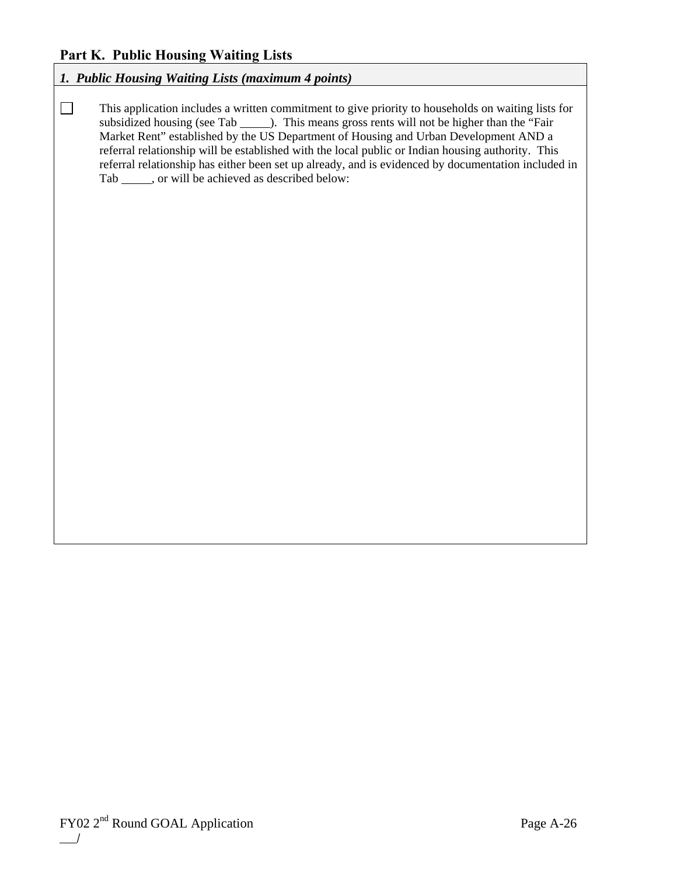## **Part K. Public Housing Waiting Lists**

## *1. Public Housing Waiting Lists (maximum 4 points)*

This application includes a written commitment to give priority to households on waiting lists for subsidized housing (see Tab \_\_\_\_\_\_). This means gross rents will not be higher than the "Fair Market Rent" established by the US Department of Housing and Urban Development AND a referral relationship will be established with the local public or Indian housing authority. This referral relationship has either been set up already, and is evidenced by documentation included in Tab \_\_\_\_\_, or will be achieved as described below: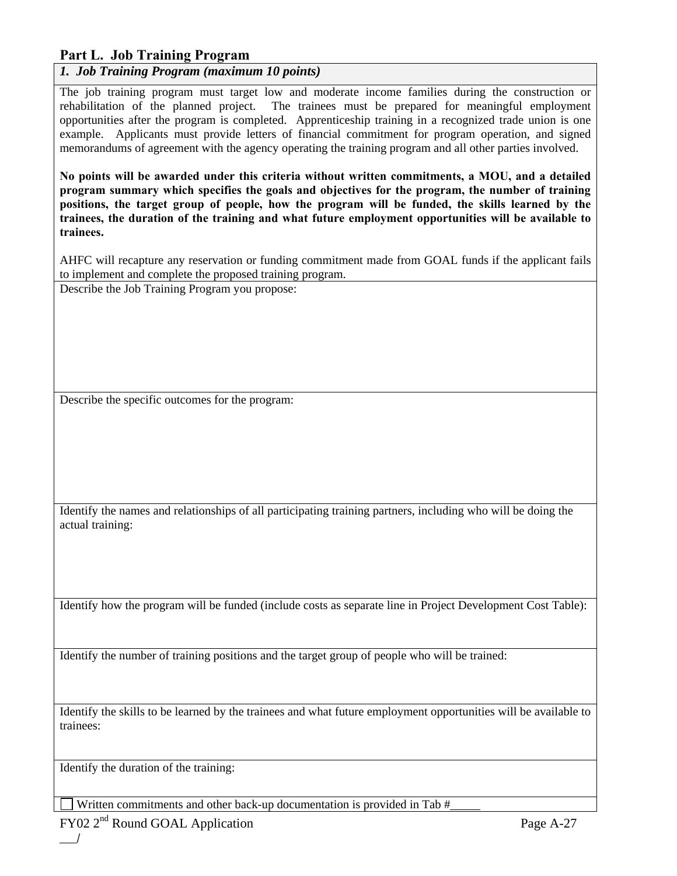## **Part L. Job Training Program**

*1. Job Training Program (maximum 10 points)* 

The job training program must target low and moderate income families during the construction or rehabilitation of the planned project. The trainees must be prepared for meaningful employment opportunities after the program is completed. Apprenticeship training in a recognized trade union is one example. Applicants must provide letters of financial commitment for program operation, and signed memorandums of agreement with the agency operating the training program and all other parties involved.

**No points will be awarded under this criteria without written commitments, a MOU, and a detailed program summary which specifies the goals and objectives for the program, the number of training positions, the target group of people, how the program will be funded, the skills learned by the trainees, the duration of the training and what future employment opportunities will be available to trainees.** 

AHFC will recapture any reservation or funding commitment made from GOAL funds if the applicant fails to implement and complete the proposed training program.

Describe the Job Training Program you propose:

Describe the specific outcomes for the program:

Identify the names and relationships of all participating training partners, including who will be doing the actual training:

Identify how the program will be funded (include costs as separate line in Project Development Cost Table):

Identify the number of training positions and the target group of people who will be trained:

Identify the skills to be learned by the trainees and what future employment opportunities will be available to trainees:

Identify the duration of the training:

Written commitments and other back-up documentation is provided in Tab #

FY02 2<sup>nd</sup> Round GOAL Application Page A-27  $\frac{1}{2}$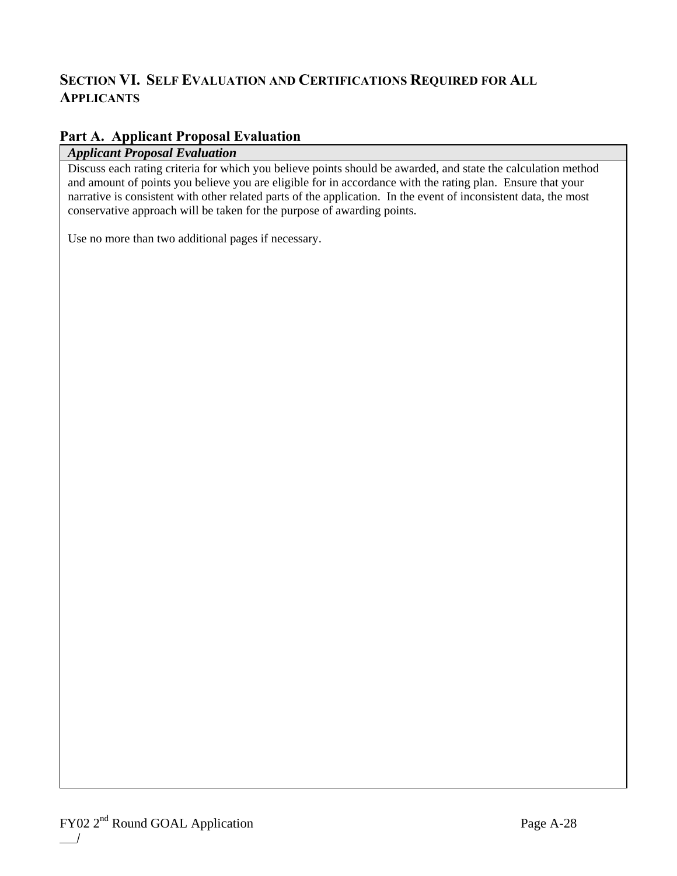## **SECTION VI. SELF EVALUATION AND CERTIFICATIONS REQUIRED FOR ALL APPLICANTS**

## **Part A. Applicant Proposal Evaluation**

### *Applicant Proposal Evaluation*

Discuss each rating criteria for which you believe points should be awarded, and state the calculation method and amount of points you believe you are eligible for in accordance with the rating plan. Ensure that your narrative is consistent with other related parts of the application. In the event of inconsistent data, the most conservative approach will be taken for the purpose of awarding points.

Use no more than two additional pages if necessary.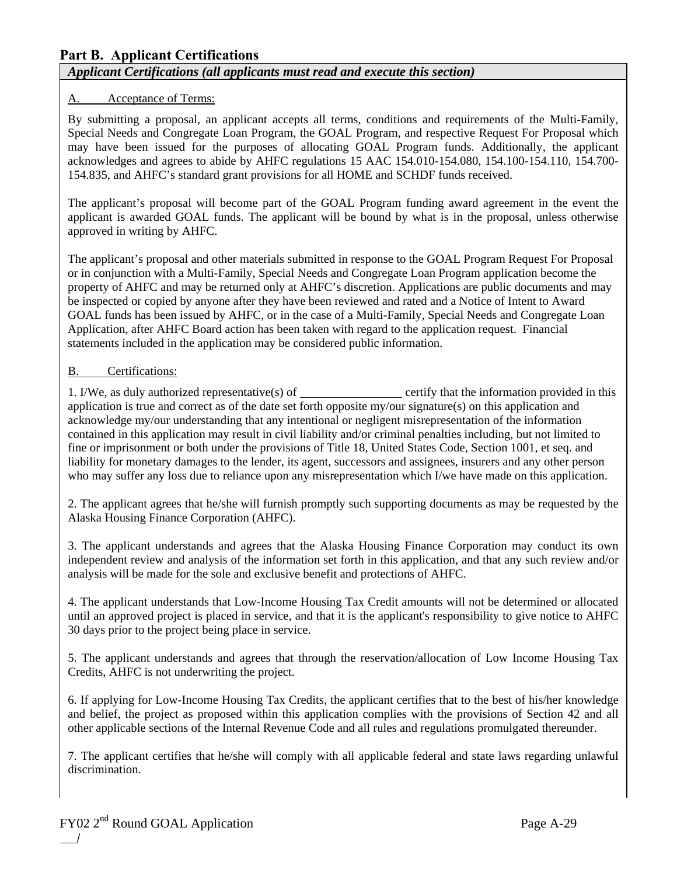## **Part B. Applicant Certifications**  *Applicant Certifications (all applicants must read and execute this section)*

### A. Acceptance of Terms:

By submitting a proposal, an applicant accepts all terms, conditions and requirements of the Multi-Family, Special Needs and Congregate Loan Program, the GOAL Program, and respective Request For Proposal which may have been issued for the purposes of allocating GOAL Program funds. Additionally, the applicant acknowledges and agrees to abide by AHFC regulations 15 AAC 154.010-154.080, 154.100-154.110, 154.700- 154.835, and AHFC's standard grant provisions for all HOME and SCHDF funds received.

The applicant's proposal will become part of the GOAL Program funding award agreement in the event the applicant is awarded GOAL funds. The applicant will be bound by what is in the proposal, unless otherwise approved in writing by AHFC.

The applicant's proposal and other materials submitted in response to the GOAL Program Request For Proposal or in conjunction with a Multi-Family, Special Needs and Congregate Loan Program application become the property of AHFC and may be returned only at AHFC's discretion. Applications are public documents and may be inspected or copied by anyone after they have been reviewed and rated and a Notice of Intent to Award GOAL funds has been issued by AHFC, or in the case of a Multi-Family, Special Needs and Congregate Loan Application, after AHFC Board action has been taken with regard to the application request. Financial statements included in the application may be considered public information.

#### B. Certifications:

1. I/We, as duly authorized representative(s) of certify that the information provided in this application is true and correct as of the date set forth opposite my/our signature(s) on this application and acknowledge my/our understanding that any intentional or negligent misrepresentation of the information contained in this application may result in civil liability and/or criminal penalties including, but not limited to fine or imprisonment or both under the provisions of Title 18, United States Code, Section 1001, et seq. and liability for monetary damages to the lender, its agent, successors and assignees, insurers and any other person who may suffer any loss due to reliance upon any misrepresentation which I/we have made on this application.

2. The applicant agrees that he/she will furnish promptly such supporting documents as may be requested by the Alaska Housing Finance Corporation (AHFC).

3. The applicant understands and agrees that the Alaska Housing Finance Corporation may conduct its own independent review and analysis of the information set forth in this application, and that any such review and/or analysis will be made for the sole and exclusive benefit and protections of AHFC.

4. The applicant understands that Low-Income Housing Tax Credit amounts will not be determined or allocated until an approved project is placed in service, and that it is the applicant's responsibility to give notice to AHFC 30 days prior to the project being place in service.

5. The applicant understands and agrees that through the reservation/allocation of Low Income Housing Tax Credits, AHFC is not underwriting the project.

6. If applying for Low-Income Housing Tax Credits, the applicant certifies that to the best of his/her knowledge and belief, the project as proposed within this application complies with the provisions of Section 42 and all other applicable sections of the Internal Revenue Code and all rules and regulations promulgated thereunder.

7. The applicant certifies that he/she will comply with all applicable federal and state laws regarding unlawful discrimination.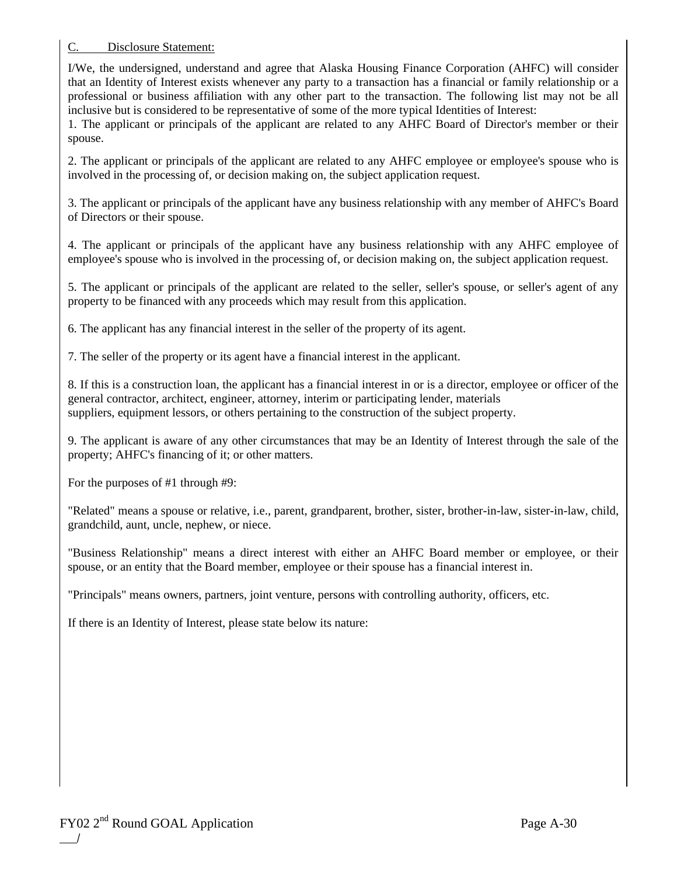#### C. Disclosure Statement:

I/We, the undersigned, understand and agree that Alaska Housing Finance Corporation (AHFC) will consider that an Identity of Interest exists whenever any party to a transaction has a financial or family relationship or a professional or business affiliation with any other part to the transaction. The following list may not be all inclusive but is considered to be representative of some of the more typical Identities of Interest:

1. The applicant or principals of the applicant are related to any AHFC Board of Director's member or their spouse.

2. The applicant or principals of the applicant are related to any AHFC employee or employee's spouse who is involved in the processing of, or decision making on, the subject application request.

3. The applicant or principals of the applicant have any business relationship with any member of AHFC's Board of Directors or their spouse.

4. The applicant or principals of the applicant have any business relationship with any AHFC employee of employee's spouse who is involved in the processing of, or decision making on, the subject application request.

5. The applicant or principals of the applicant are related to the seller, seller's spouse, or seller's agent of any property to be financed with any proceeds which may result from this application.

6. The applicant has any financial interest in the seller of the property of its agent.

7. The seller of the property or its agent have a financial interest in the applicant.

8. If this is a construction loan, the applicant has a financial interest in or is a director, employee or officer of the general contractor, architect, engineer, attorney, interim or participating lender, materials suppliers, equipment lessors, or others pertaining to the construction of the subject property.

9. The applicant is aware of any other circumstances that may be an Identity of Interest through the sale of the property; AHFC's financing of it; or other matters.

For the purposes of #1 through #9:

"Related" means a spouse or relative, i.e., parent, grandparent, brother, sister, brother-in-law, sister-in-law, child, grandchild, aunt, uncle, nephew, or niece.

"Business Relationship" means a direct interest with either an AHFC Board member or employee, or their spouse, or an entity that the Board member, employee or their spouse has a financial interest in.

"Principals" means owners, partners, joint venture, persons with controlling authority, officers, etc.

If there is an Identity of Interest, please state below its nature: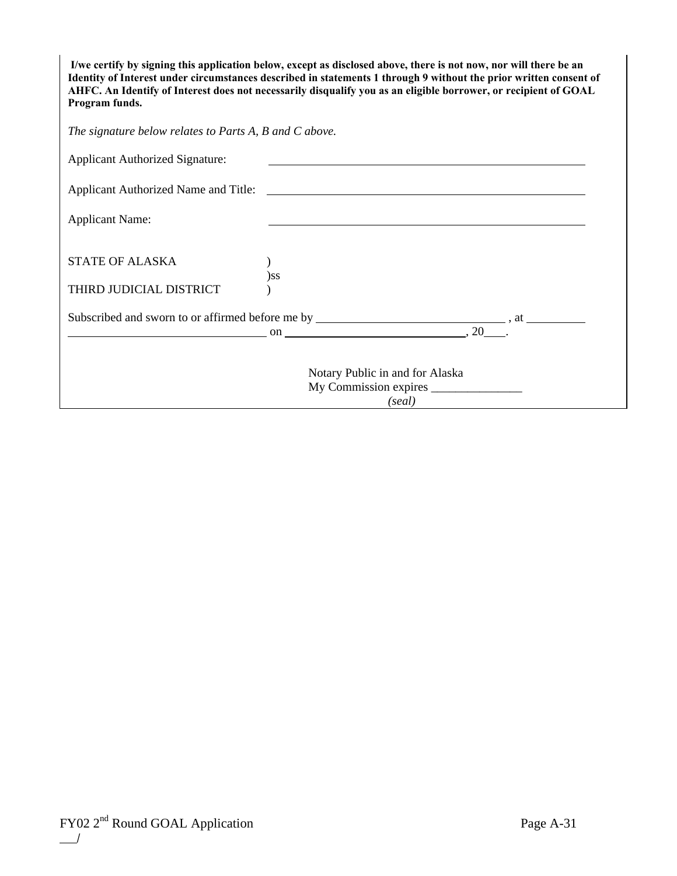**I/we certify by signing this application below, except as disclosed above, there is not now, nor will there be an Identity of Interest under circumstances described in statements 1 through 9 without the prior written consent of AHFC. An Identify of Interest does not necessarily disqualify you as an eligible borrower, or recipient of GOAL Program funds.** 

*The signature below relates to Parts A, B and C above.* 

| <b>Applicant Authorized Signature:</b>                                                                                                                           |                                                                                                                      |  |
|------------------------------------------------------------------------------------------------------------------------------------------------------------------|----------------------------------------------------------------------------------------------------------------------|--|
| Applicant Authorized Name and Title:                                                                                                                             | <u> Andreas Andreas Andreas Andreas Andreas Andreas Andreas Andreas Andreas Andreas Andreas Andreas Andreas Andr</u> |  |
| <b>Applicant Name:</b>                                                                                                                                           |                                                                                                                      |  |
| <b>STATE OF ALASKA</b>                                                                                                                                           |                                                                                                                      |  |
| THIRD JUDICIAL DISTRICT                                                                                                                                          | $)$ ss                                                                                                               |  |
| $\overline{\text{on}}$ $\overline{\text{on}}$ $\overline{\text{on}}$ $\overline{\text{on}}$ $\overline{\text{on}}$ $\overline{\text{on}}$ $\overline{\text{on}}$ |                                                                                                                      |  |
|                                                                                                                                                                  | Notary Public in and for Alaska<br>(seal)                                                                            |  |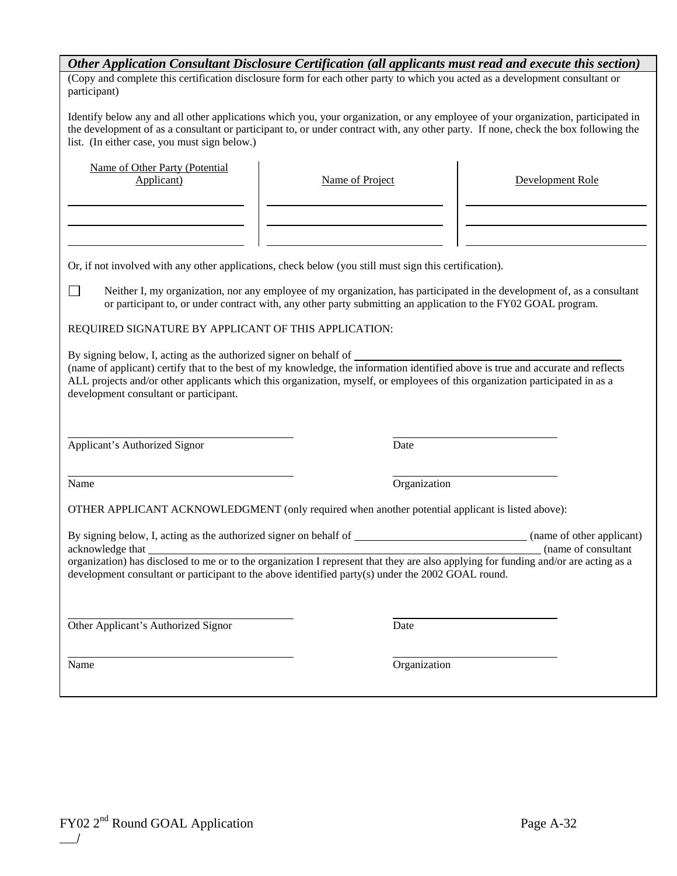| Other Application Consultant Disclosure Certification (all applicants must read and execute this section)                                                                                                                                                                                                                                                                                                                                                                                             |                 |                  |                                                   |  |
|-------------------------------------------------------------------------------------------------------------------------------------------------------------------------------------------------------------------------------------------------------------------------------------------------------------------------------------------------------------------------------------------------------------------------------------------------------------------------------------------------------|-----------------|------------------|---------------------------------------------------|--|
| (Copy and complete this certification disclosure form for each other party to which you acted as a development consultant or<br>participant)                                                                                                                                                                                                                                                                                                                                                          |                 |                  |                                                   |  |
| Identify below any and all other applications which you, your organization, or any employee of your organization, participated in<br>the development of as a consultant or participant to, or under contract with, any other party. If none, check the box following the<br>list. (In either case, you must sign below.)                                                                                                                                                                              |                 |                  |                                                   |  |
| Name of Other Party (Potential<br>Applicant)                                                                                                                                                                                                                                                                                                                                                                                                                                                          | Name of Project | Development Role |                                                   |  |
| Or, if not involved with any other applications, check below (you still must sign this certification).                                                                                                                                                                                                                                                                                                                                                                                                |                 |                  |                                                   |  |
|                                                                                                                                                                                                                                                                                                                                                                                                                                                                                                       |                 |                  |                                                   |  |
| $\blacksquare$<br>Neither I, my organization, nor any employee of my organization, has participated in the development of, as a consultant<br>or participant to, or under contract with, any other party submitting an application to the FY02 GOAL program.                                                                                                                                                                                                                                          |                 |                  |                                                   |  |
| REQUIRED SIGNATURE BY APPLICANT OF THIS APPLICATION:                                                                                                                                                                                                                                                                                                                                                                                                                                                  |                 |                  |                                                   |  |
| By signing below, I, acting as the authorized signer on behalf of ______________<br>by signing below, i, acting as the authorized signer on behalf of <b>container</b> of <b>container</b> (name of applicant) certify that to the best of my knowledge, the information identified above is true and accurate and reflects<br>ALL projects and/or other applicants which this organization, myself, or employees of this organization participated in as a<br>development consultant or participant. |                 |                  |                                                   |  |
| Applicant's Authorized Signor                                                                                                                                                                                                                                                                                                                                                                                                                                                                         | Date            |                  |                                                   |  |
| Name                                                                                                                                                                                                                                                                                                                                                                                                                                                                                                  |                 | Organization     |                                                   |  |
| OTHER APPLICANT ACKNOWLEDGMENT (only required when another potential applicant is listed above):                                                                                                                                                                                                                                                                                                                                                                                                      |                 |                  |                                                   |  |
| By signing below, I, acting as the authorized signer on behalf of<br>acknowledge that                                                                                                                                                                                                                                                                                                                                                                                                                 |                 |                  | (name of other applicant)<br>(name of consultant) |  |
| organization) has disclosed to me or to the organization I represent that they are also applying for funding and/or are acting as a<br>development consultant or participant to the above identified party(s) under the 2002 GOAL round.                                                                                                                                                                                                                                                              |                 |                  |                                                   |  |
| Other Applicant's Authorized Signor                                                                                                                                                                                                                                                                                                                                                                                                                                                                   | Date            |                  |                                                   |  |
| Name                                                                                                                                                                                                                                                                                                                                                                                                                                                                                                  |                 | Organization     |                                                   |  |
|                                                                                                                                                                                                                                                                                                                                                                                                                                                                                                       |                 |                  |                                                   |  |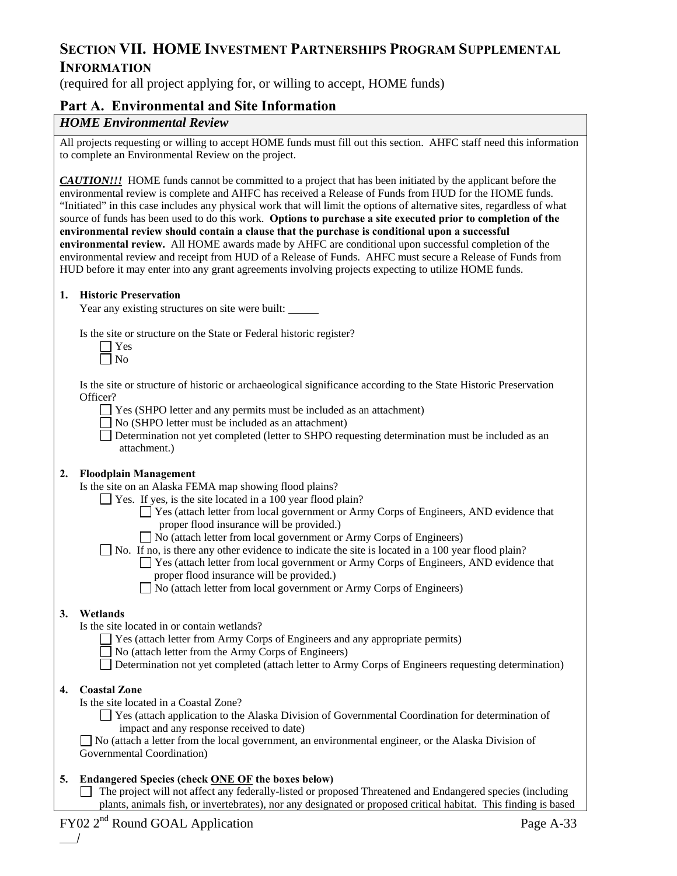## **SECTION VII. HOME INVESTMENT PARTNERSHIPS PROGRAM SUPPLEMENTAL INFORMATION**

(required for all project applying for, or willing to accept, HOME funds)

#### **Part A. Environmental and Site Information**

#### *HOME Environmental Review*

All projects requesting or willing to accept HOME funds must fill out this section. AHFC staff need this information to complete an Environmental Review on the project.

*CAUTION!!!* HOME funds cannot be committed to a project that has been initiated by the applicant before the environmental review is complete and AHFC has received a Release of Funds from HUD for the HOME funds. "Initiated" in this case includes any physical work that will limit the options of alternative sites, regardless of what source of funds has been used to do this work. **Options to purchase a site executed prior to completion of the environmental review should contain a clause that the purchase is conditional upon a successful environmental review.** All HOME awards made by AHFC are conditional upon successful completion of the environmental review and receipt from HUD of a Release of Funds. AHFC must secure a Release of Funds from HUD before it may enter into any grant agreements involving projects expecting to utilize HOME funds.

#### **1. Historic Preservation**

Year any existing structures on site were built:

Is the site or structure on the State or Federal historic register?

Is the site or structure of historic or archaeological significance according to the State Historic Preservation Officer?

Yes (SHPO letter and any permits must be included as an attachment)

 $\Box$  No (SHPO letter must be included as an attachment)

Determination not yet completed (letter to SHPO requesting determination must be included as an attachment.)

#### **2. Floodplain Management**

Is the site on an Alaska FEMA map showing flood plains?

- Yes. If yes, is the site located in a 100 year flood plain?
	- Yes (attach letter from local government or Army Corps of Engineers, AND evidence that proper flood insurance will be provided.)
	- No (attach letter from local government or Army Corps of Engineers)

No. If no, is there any other evidence to indicate the site is located in a 100 year flood plain?

 Yes (attach letter from local government or Army Corps of Engineers, AND evidence that proper flood insurance will be provided.)

No (attach letter from local government or Army Corps of Engineers)

#### **3. Wetlands**

Is the site located in or contain wetlands?

- Yes (attach letter from Army Corps of Engineers and any appropriate permits)
- No (attach letter from the Army Corps of Engineers)
- Determination not yet completed (attach letter to Army Corps of Engineers requesting determination)

#### **4. Coastal Zone**

 $\overline{\phantom{a}}$ 

Is the site located in a Coastal Zone?

 Yes (attach application to the Alaska Division of Governmental Coordination for determination of impact and any response received to date)

 No (attach a letter from the local government, an environmental engineer, or the Alaska Division of Governmental Coordination)

#### **5. Endangered Species (check ONE OF the boxes below)**

 The project will not affect any federally-listed or proposed Threatened and Endangered species (including plants, animals fish, or invertebrates), nor any designated or proposed critical habitat. This finding is based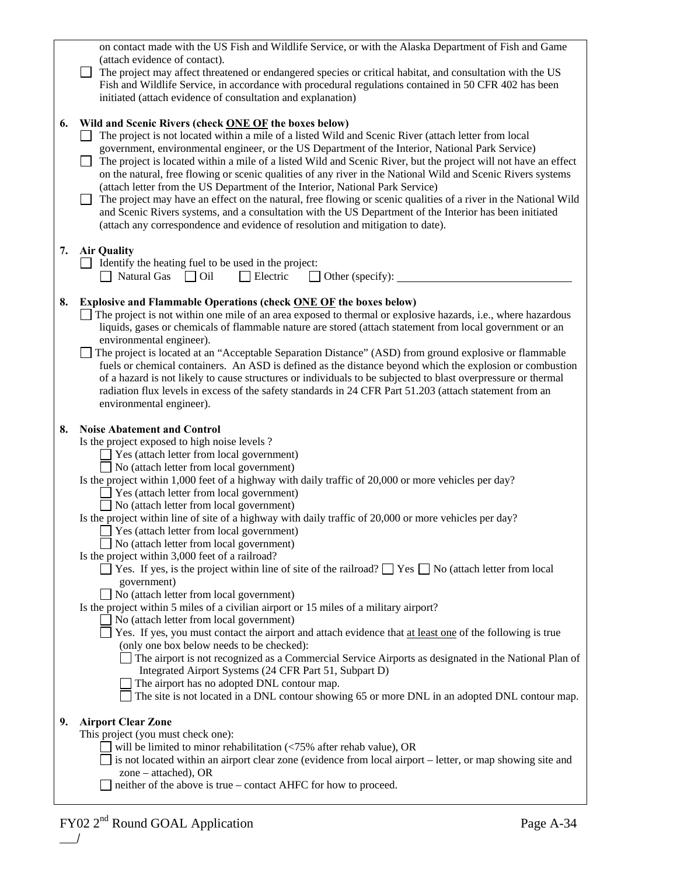|    | on contact made with the US Fish and Wildlife Service, or with the Alaska Department of Fish and Game<br>(attach evidence of contact).                                                                                                                                                                                                                                                                                                                                                                                                                                                                                                             |
|----|----------------------------------------------------------------------------------------------------------------------------------------------------------------------------------------------------------------------------------------------------------------------------------------------------------------------------------------------------------------------------------------------------------------------------------------------------------------------------------------------------------------------------------------------------------------------------------------------------------------------------------------------------|
|    | The project may affect threatened or endangered species or critical habitat, and consultation with the US<br>Fish and Wildlife Service, in accordance with procedural regulations contained in 50 CFR 402 has been<br>initiated (attach evidence of consultation and explanation)                                                                                                                                                                                                                                                                                                                                                                  |
| 6. | Wild and Scenic Rivers (check ONE OF the boxes below)<br>The project is not located within a mile of a listed Wild and Scenic River (attach letter from local                                                                                                                                                                                                                                                                                                                                                                                                                                                                                      |
|    | government, environmental engineer, or the US Department of the Interior, National Park Service)<br>The project is located within a mile of a listed Wild and Scenic River, but the project will not have an effect<br>on the natural, free flowing or scenic qualities of any river in the National Wild and Scenic Rivers systems<br>(attach letter from the US Department of the Interior, National Park Service)<br>The project may have an effect on the natural, free flowing or scenic qualities of a river in the National Wild<br>and Scenic Rivers systems, and a consultation with the US Department of the Interior has been initiated |
|    | (attach any correspondence and evidence of resolution and mitigation to date).                                                                                                                                                                                                                                                                                                                                                                                                                                                                                                                                                                     |
| 7. | <b>Air Quality</b>                                                                                                                                                                                                                                                                                                                                                                                                                                                                                                                                                                                                                                 |
|    | Identify the heating fuel to be used in the project:<br>$\Box$ Natural Gas $\Box$ Oil<br>Electric                                                                                                                                                                                                                                                                                                                                                                                                                                                                                                                                                  |
| 8. | Explosive and Flammable Operations (check ONE OF the boxes below)                                                                                                                                                                                                                                                                                                                                                                                                                                                                                                                                                                                  |
|    | $\Box$ The project is not within one mile of an area exposed to thermal or explosive hazards, i.e., where hazardous<br>liquids, gases or chemicals of flammable nature are stored (attach statement from local government or an                                                                                                                                                                                                                                                                                                                                                                                                                    |
|    | environmental engineer).                                                                                                                                                                                                                                                                                                                                                                                                                                                                                                                                                                                                                           |
|    | The project is located at an "Acceptable Separation Distance" (ASD) from ground explosive or flammable<br>fuels or chemical containers. An ASD is defined as the distance beyond which the explosion or combustion                                                                                                                                                                                                                                                                                                                                                                                                                                 |
|    | of a hazard is not likely to cause structures or individuals to be subjected to blast overpressure or thermal                                                                                                                                                                                                                                                                                                                                                                                                                                                                                                                                      |
|    | radiation flux levels in excess of the safety standards in 24 CFR Part 51.203 (attach statement from an<br>environmental engineer).                                                                                                                                                                                                                                                                                                                                                                                                                                                                                                                |
|    |                                                                                                                                                                                                                                                                                                                                                                                                                                                                                                                                                                                                                                                    |
|    |                                                                                                                                                                                                                                                                                                                                                                                                                                                                                                                                                                                                                                                    |
| 8. | <b>Noise Abatement and Control</b><br>Is the project exposed to high noise levels ?                                                                                                                                                                                                                                                                                                                                                                                                                                                                                                                                                                |
|    | Yes (attach letter from local government)                                                                                                                                                                                                                                                                                                                                                                                                                                                                                                                                                                                                          |
|    | No (attach letter from local government)<br>Is the project within 1,000 feet of a highway with daily traffic of 20,000 or more vehicles per day?                                                                                                                                                                                                                                                                                                                                                                                                                                                                                                   |
|    | Yes (attach letter from local government)                                                                                                                                                                                                                                                                                                                                                                                                                                                                                                                                                                                                          |
|    | No (attach letter from local government)<br>Is the project within line of site of a highway with daily traffic of 20,000 or more vehicles per day?                                                                                                                                                                                                                                                                                                                                                                                                                                                                                                 |
|    | Yes (attach letter from local government)                                                                                                                                                                                                                                                                                                                                                                                                                                                                                                                                                                                                          |
|    | No (attach letter from local government)<br>Is the project within 3,000 feet of a railroad?                                                                                                                                                                                                                                                                                                                                                                                                                                                                                                                                                        |
|    | $\Box$ Yes. If yes, is the project within line of site of the railroad? $\Box$ Yes $\Box$ No (attach letter from local                                                                                                                                                                                                                                                                                                                                                                                                                                                                                                                             |
|    | government)<br>No (attach letter from local government)                                                                                                                                                                                                                                                                                                                                                                                                                                                                                                                                                                                            |
|    | Is the project within 5 miles of a civilian airport or 15 miles of a military airport?                                                                                                                                                                                                                                                                                                                                                                                                                                                                                                                                                             |
|    | No (attach letter from local government)<br>Tes. If yes, you must contact the airport and attach evidence that at least one of the following is true                                                                                                                                                                                                                                                                                                                                                                                                                                                                                               |
|    | (only one box below needs to be checked):<br>The airport is not recognized as a Commercial Service Airports as designated in the National Plan of                                                                                                                                                                                                                                                                                                                                                                                                                                                                                                  |
|    | Integrated Airport Systems (24 CFR Part 51, Subpart D)                                                                                                                                                                                                                                                                                                                                                                                                                                                                                                                                                                                             |
|    | The airport has no adopted DNL contour map.<br>The site is not located in a DNL contour showing 65 or more DNL in an adopted DNL contour map.                                                                                                                                                                                                                                                                                                                                                                                                                                                                                                      |
| 9. | <b>Airport Clear Zone</b>                                                                                                                                                                                                                                                                                                                                                                                                                                                                                                                                                                                                                          |
|    | This project (you must check one):                                                                                                                                                                                                                                                                                                                                                                                                                                                                                                                                                                                                                 |
|    | will be limited to minor rehabilitation $\langle 75\%$ after rehab value), OR<br>is not located within an airport clear zone (evidence from local airport - letter, or map showing site and                                                                                                                                                                                                                                                                                                                                                                                                                                                        |
|    | zone – attached), OR<br>neither of the above is true – contact AHFC for how to proceed.                                                                                                                                                                                                                                                                                                                                                                                                                                                                                                                                                            |

/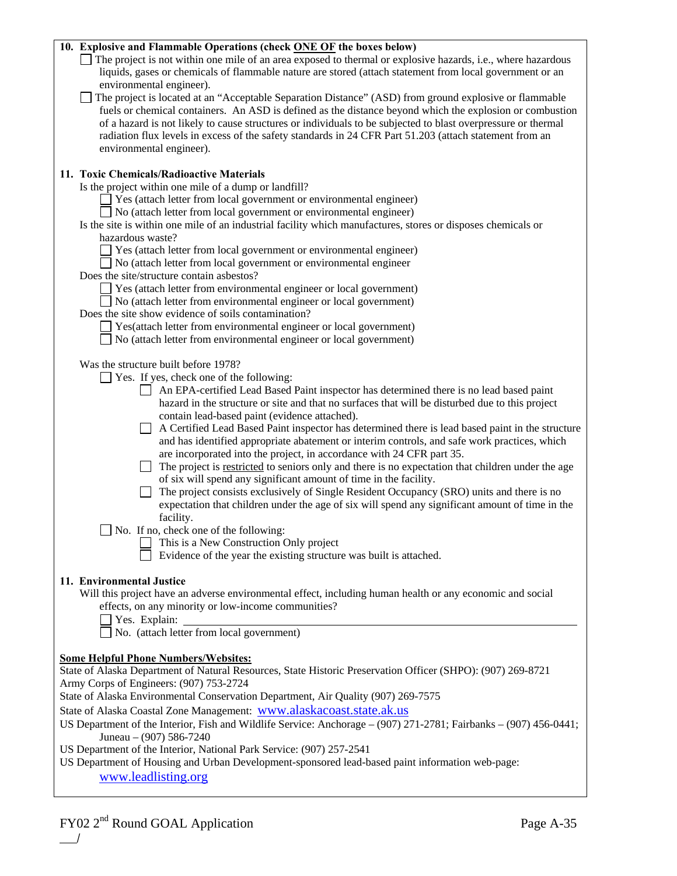| 10. Explosive and Flammable Operations (check ONE OF the boxes below)<br>The project is not within one mile of an area exposed to thermal or explosive hazards, i.e., where hazardous<br>liquids, gases or chemicals of flammable nature are stored (attach statement from local government or an<br>environmental engineer).<br>The project is located at an "Acceptable Separation Distance" (ASD) from ground explosive or flammable<br>fuels or chemical containers. An ASD is defined as the distance beyond which the explosion or combustion<br>of a hazard is not likely to cause structures or individuals to be subjected to blast overpressure or thermal<br>radiation flux levels in excess of the safety standards in 24 CFR Part 51.203 (attach statement from an<br>environmental engineer).                                                                                                                                                                                                                                                                                                                                                    |
|----------------------------------------------------------------------------------------------------------------------------------------------------------------------------------------------------------------------------------------------------------------------------------------------------------------------------------------------------------------------------------------------------------------------------------------------------------------------------------------------------------------------------------------------------------------------------------------------------------------------------------------------------------------------------------------------------------------------------------------------------------------------------------------------------------------------------------------------------------------------------------------------------------------------------------------------------------------------------------------------------------------------------------------------------------------------------------------------------------------------------------------------------------------|
| 11. Toxic Chemicals/Radioactive Materials<br>Is the project within one mile of a dump or landfill?<br>Yes (attach letter from local government or environmental engineer)<br>No (attach letter from local government or environmental engineer)<br>Is the site is within one mile of an industrial facility which manufactures, stores or disposes chemicals or<br>hazardous waste?<br>Yes (attach letter from local government or environmental engineer)<br>No (attach letter from local government or environmental engineer<br>Does the site/structure contain asbestos?<br>Yes (attach letter from environmental engineer or local government)<br>No (attach letter from environmental engineer or local government)<br>Does the site show evidence of soils contamination?<br>Yes(attach letter from environmental engineer or local government)<br>No (attach letter from environmental engineer or local government)                                                                                                                                                                                                                                   |
| Was the structure built before 1978?<br>Yes. If yes, check one of the following:<br>An EPA-certified Lead Based Paint inspector has determined there is no lead based paint<br>hazard in the structure or site and that no surfaces that will be disturbed due to this project<br>contain lead-based paint (evidence attached).<br>A Certified Lead Based Paint inspector has determined there is lead based paint in the structure<br>and has identified appropriate abatement or interim controls, and safe work practices, which<br>are incorporated into the project, in accordance with 24 CFR part 35.<br>The project is restricted to seniors only and there is no expectation that children under the age<br>of six will spend any significant amount of time in the facility.<br>The project consists exclusively of Single Resident Occupancy (SRO) units and there is no<br>expectation that children under the age of six will spend any significant amount of time in the<br>facility.<br>No. If no, check one of the following:<br>This is a New Construction Only project<br>Evidence of the year the existing structure was built is attached. |
| 11. Environmental Justice<br>Will this project have an adverse environmental effect, including human health or any economic and social<br>effects, on any minority or low-income communities?<br>Yes. Explain:<br>No. (attach letter from local government)                                                                                                                                                                                                                                                                                                                                                                                                                                                                                                                                                                                                                                                                                                                                                                                                                                                                                                    |
| <b>Some Helpful Phone Numbers/Websites:</b><br>State of Alaska Department of Natural Resources, State Historic Preservation Officer (SHPO): (907) 269-8721<br>Army Corps of Engineers: (907) 753-2724<br>State of Alaska Environmental Conservation Department, Air Quality (907) 269-7575<br>State of Alaska Coastal Zone Management: www.alaskacoast.state.ak.us<br>US Department of the Interior, Fish and Wildlife Service: Anchorage – (907) 271-2781; Fairbanks – (907) 456-0441;<br>Juneau $-$ (907) 586-7240<br>US Department of the Interior, National Park Service: (907) 257-2541<br>US Department of Housing and Urban Development-sponsored lead-based paint information web-page:<br>www.leadlisting.org                                                                                                                                                                                                                                                                                                                                                                                                                                         |

/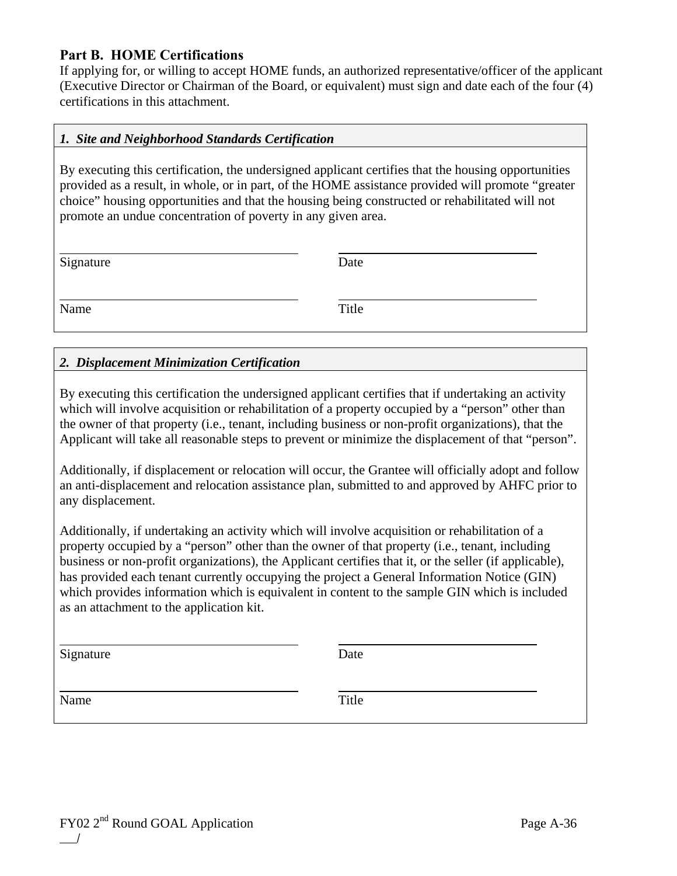## **Part B. HOME Certifications**

If applying for, or willing to accept HOME funds, an authorized representative/officer of the applicant (Executive Director or Chairman of the Board, or equivalent) must sign and date each of the four (4) certifications in this attachment.

#### *1. Site and Neighborhood Standards Certification*

By executing this certification, the undersigned applicant certifies that the housing opportunities provided as a result, in whole, or in part, of the HOME assistance provided will promote "greater choice" housing opportunities and that the housing being constructed or rehabilitated will not promote an undue concentration of poverty in any given area.

| Signature | Date  |
|-----------|-------|
| Name      | Title |

### *2. Displacement Minimization Certification*

By executing this certification the undersigned applicant certifies that if undertaking an activity which will involve acquisition or rehabilitation of a property occupied by a "person" other than the owner of that property (i.e., tenant, including business or non-profit organizations), that the Applicant will take all reasonable steps to prevent or minimize the displacement of that "person".

Additionally, if displacement or relocation will occur, the Grantee will officially adopt and follow an anti-displacement and relocation assistance plan, submitted to and approved by AHFC prior to any displacement.

Additionally, if undertaking an activity which will involve acquisition or rehabilitation of a property occupied by a "person" other than the owner of that property (i.e., tenant, including business or non-profit organizations), the Applicant certifies that it, or the seller (if applicable), has provided each tenant currently occupying the project a General Information Notice (GIN) which provides information which is equivalent in content to the sample GIN which is included as an attachment to the application kit.

| Signature | Date  |
|-----------|-------|
| Name      | Title |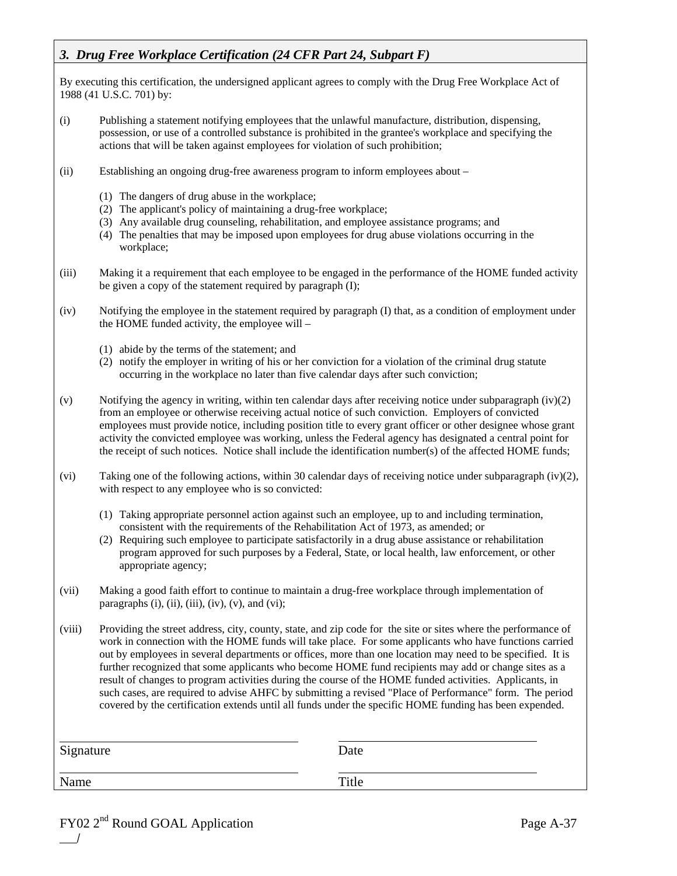## *3. Drug Free Workplace Certification (24 CFR Part 24, Subpart F)*

By executing this certification, the undersigned applicant agrees to comply with the Drug Free Workplace Act of 1988 (41 U.S.C. 701) by:

- (i) Publishing a statement notifying employees that the unlawful manufacture, distribution, dispensing, possession, or use of a controlled substance is prohibited in the grantee's workplace and specifying the actions that will be taken against employees for violation of such prohibition;
- (ii) Establishing an ongoing drug-free awareness program to inform employees about
	- (1) The dangers of drug abuse in the workplace;
	- (2) The applicant's policy of maintaining a drug-free workplace;
	- (3) Any available drug counseling, rehabilitation, and employee assistance programs; and
	- (4) The penalties that may be imposed upon employees for drug abuse violations occurring in the workplace;
- (iii) Making it a requirement that each employee to be engaged in the performance of the HOME funded activity be given a copy of the statement required by paragraph (I);
- (iv) Notifying the employee in the statement required by paragraph (I) that, as a condition of employment under the HOME funded activity, the employee will –
	- (1) abide by the terms of the statement; and
	- (2) notify the employer in writing of his or her conviction for a violation of the criminal drug statute occurring in the workplace no later than five calendar days after such conviction;
- (v) Notifying the agency in writing, within ten calendar days after receiving notice under subparagraph  $(iv)(2)$ from an employee or otherwise receiving actual notice of such conviction. Employers of convicted employees must provide notice, including position title to every grant officer or other designee whose grant activity the convicted employee was working, unless the Federal agency has designated a central point for the receipt of such notices. Notice shall include the identification number(s) of the affected HOME funds;
- (vi) Taking one of the following actions, within 30 calendar days of receiving notice under subparagraph (iv)(2), with respect to any employee who is so convicted:
	- (1) Taking appropriate personnel action against such an employee, up to and including termination, consistent with the requirements of the Rehabilitation Act of 1973, as amended; or
	- (2) Requiring such employee to participate satisfactorily in a drug abuse assistance or rehabilitation program approved for such purposes by a Federal, State, or local health, law enforcement, or other appropriate agency;
- (vii) Making a good faith effort to continue to maintain a drug-free workplace through implementation of paragraphs  $(i)$ ,  $(ii)$ ,  $(iii)$ ,  $(iv)$ ,  $(v)$ , and  $(vi)$ ;

(viii) Providing the street address, city, county, state, and zip code for the site or sites where the performance of work in connection with the HOME funds will take place. For some applicants who have functions carried out by employees in several departments or offices, more than one location may need to be specified. It is further recognized that some applicants who become HOME fund recipients may add or change sites as a result of changes to program activities during the course of the HOME funded activities. Applicants, in such cases, are required to advise AHFC by submitting a revised "Place of Performance" form. The period covered by the certification extends until all funds under the specific HOME funding has been expended.

| Signature | Date  |
|-----------|-------|
| Name      | Title |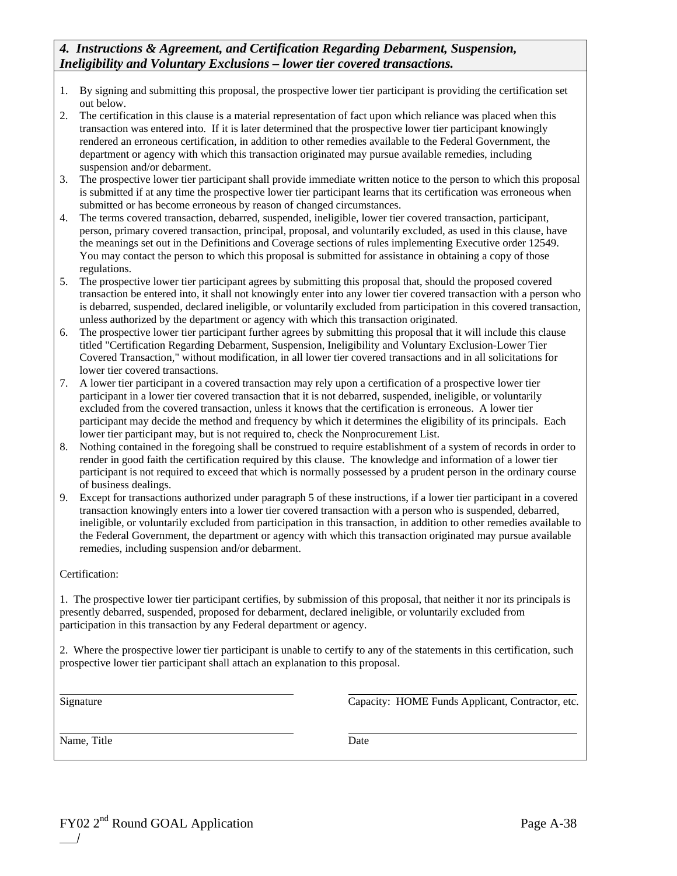#### *4. Instructions & Agreement, and Certification Regarding Debarment, Suspension, Ineligibility and Voluntary Exclusions – lower tier covered transactions.*

- 1. By signing and submitting this proposal, the prospective lower tier participant is providing the certification set out below.
- 2. The certification in this clause is a material representation of fact upon which reliance was placed when this transaction was entered into. If it is later determined that the prospective lower tier participant knowingly rendered an erroneous certification, in addition to other remedies available to the Federal Government, the department or agency with which this transaction originated may pursue available remedies, including suspension and/or debarment.
- 3. The prospective lower tier participant shall provide immediate written notice to the person to which this proposal is submitted if at any time the prospective lower tier participant learns that its certification was erroneous when submitted or has become erroneous by reason of changed circumstances.
- 4. The terms covered transaction, debarred, suspended, ineligible, lower tier covered transaction, participant, person, primary covered transaction, principal, proposal, and voluntarily excluded, as used in this clause, have the meanings set out in the Definitions and Coverage sections of rules implementing Executive order 12549. You may contact the person to which this proposal is submitted for assistance in obtaining a copy of those regulations.
- 5. The prospective lower tier participant agrees by submitting this proposal that, should the proposed covered transaction be entered into, it shall not knowingly enter into any lower tier covered transaction with a person who is debarred, suspended, declared ineligible, or voluntarily excluded from participation in this covered transaction, unless authorized by the department or agency with which this transaction originated.
- 6. The prospective lower tier participant further agrees by submitting this proposal that it will include this clause titled "Certification Regarding Debarment, Suspension, Ineligibility and Voluntary Exclusion-Lower Tier Covered Transaction," without modification, in all lower tier covered transactions and in all solicitations for lower tier covered transactions.
- 7. A lower tier participant in a covered transaction may rely upon a certification of a prospective lower tier participant in a lower tier covered transaction that it is not debarred, suspended, ineligible, or voluntarily excluded from the covered transaction, unless it knows that the certification is erroneous. A lower tier participant may decide the method and frequency by which it determines the eligibility of its principals. Each lower tier participant may, but is not required to, check the Nonprocurement List.
- 8. Nothing contained in the foregoing shall be construed to require establishment of a system of records in order to render in good faith the certification required by this clause. The knowledge and information of a lower tier participant is not required to exceed that which is normally possessed by a prudent person in the ordinary course of business dealings.
- 9. Except for transactions authorized under paragraph 5 of these instructions, if a lower tier participant in a covered transaction knowingly enters into a lower tier covered transaction with a person who is suspended, debarred, ineligible, or voluntarily excluded from participation in this transaction, in addition to other remedies available to the Federal Government, the department or agency with which this transaction originated may pursue available remedies, including suspension and/or debarment.

Certification:

1. The prospective lower tier participant certifies, by submission of this proposal, that neither it nor its principals is presently debarred, suspended, proposed for debarment, declared ineligible, or voluntarily excluded from participation in this transaction by any Federal department or agency.

2. Where the prospective lower tier participant is unable to certify to any of the statements in this certification, such prospective lower tier participant shall attach an explanation to this proposal.

 $\overline{a}$ 

 $\overline{a}$ Signature Capacity: HOME Funds Applicant, Contractor, etc.

Name, Title Date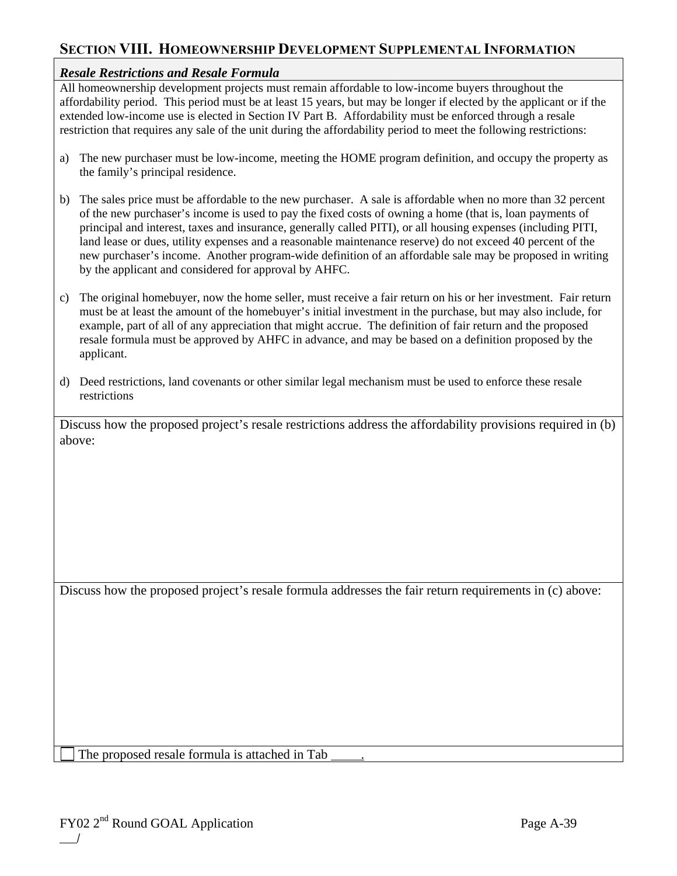## **SECTION VIII. HOMEOWNERSHIP DEVELOPMENT SUPPLEMENTAL INFORMATION**

### *Resale Restrictions and Resale Formula*

All homeownership development projects must remain affordable to low-income buyers throughout the affordability period. This period must be at least 15 years, but may be longer if elected by the applicant or if the extended low-income use is elected in Section IV Part B. Affordability must be enforced through a resale restriction that requires any sale of the unit during the affordability period to meet the following restrictions:

- a) The new purchaser must be low-income, meeting the HOME program definition, and occupy the property as the family's principal residence.
- b) The sales price must be affordable to the new purchaser. A sale is affordable when no more than 32 percent of the new purchaser's income is used to pay the fixed costs of owning a home (that is, loan payments of principal and interest, taxes and insurance, generally called PITI), or all housing expenses (including PITI, land lease or dues, utility expenses and a reasonable maintenance reserve) do not exceed 40 percent of the new purchaser's income. Another program-wide definition of an affordable sale may be proposed in writing by the applicant and considered for approval by AHFC.
- c) The original homebuyer, now the home seller, must receive a fair return on his or her investment. Fair return must be at least the amount of the homebuyer's initial investment in the purchase, but may also include, for example, part of all of any appreciation that might accrue. The definition of fair return and the proposed resale formula must be approved by AHFC in advance, and may be based on a definition proposed by the applicant.
- d) Deed restrictions, land covenants or other similar legal mechanism must be used to enforce these resale restrictions

Discuss how the proposed project's resale restrictions address the affordability provisions required in (b) above:

Discuss how the proposed project's resale formula addresses the fair return requirements in (c) above:

The proposed resale formula is attached in Tab .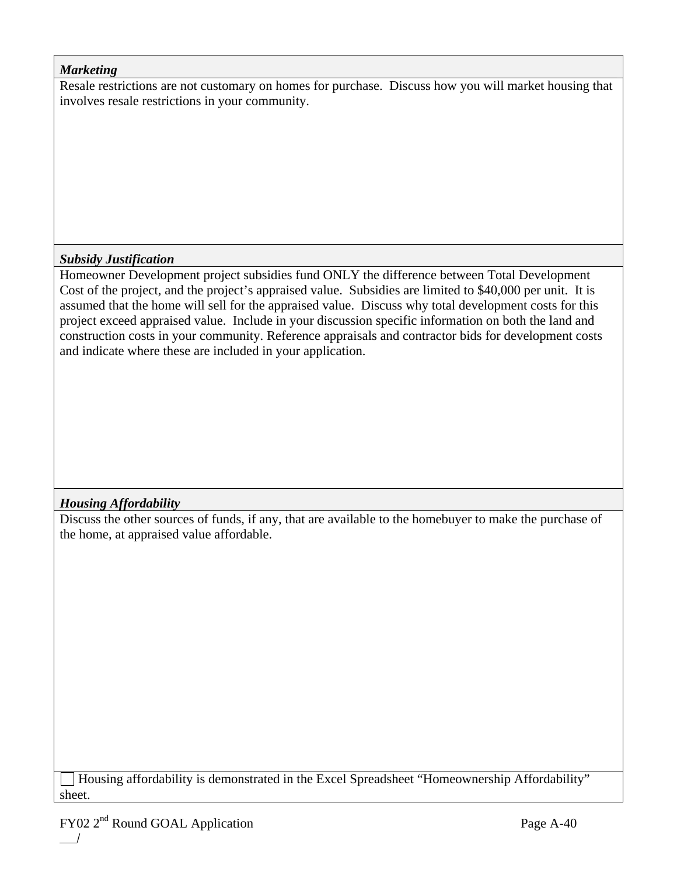### *Marketing*

Resale restrictions are not customary on homes for purchase. Discuss how you will market housing that involves resale restrictions in your community.

## *Subsidy Justification*

Homeowner Development project subsidies fund ONLY the difference between Total Development Cost of the project, and the project's appraised value. Subsidies are limited to \$40,000 per unit. It is assumed that the home will sell for the appraised value. Discuss why total development costs for this project exceed appraised value. Include in your discussion specific information on both the land and construction costs in your community. Reference appraisals and contractor bids for development costs and indicate where these are included in your application.

## *Housing Affordability*

Discuss the other sources of funds, if any, that are available to the homebuyer to make the purchase of the home, at appraised value affordable.

 Housing affordability is demonstrated in the Excel Spreadsheet "Homeownership Affordability" sheet.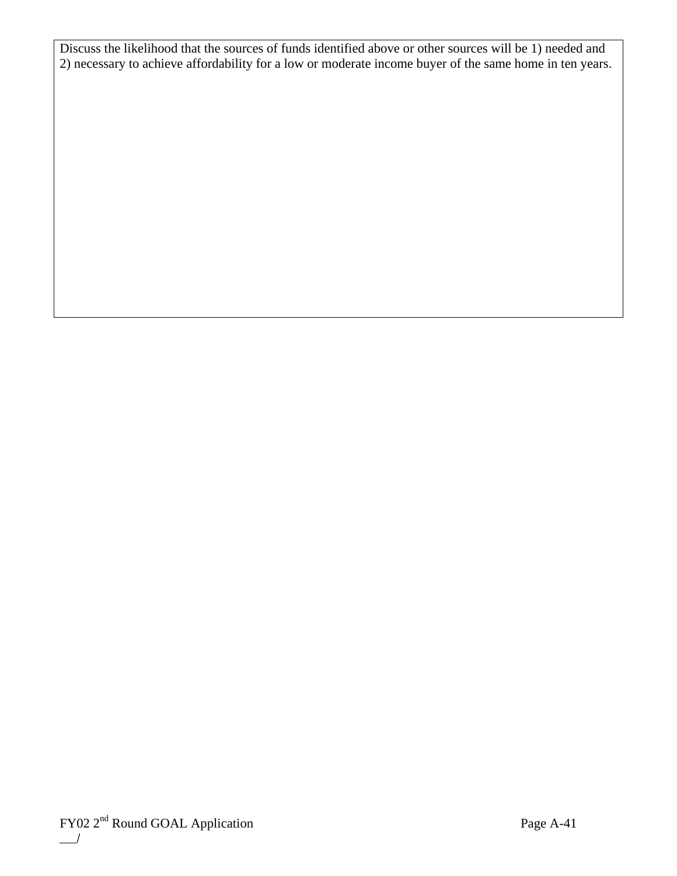Discuss the likelihood that the sources of funds identified above or other sources will be 1) needed and 2) necessary to achieve affordability for a low or moderate income buyer of the same home in ten years.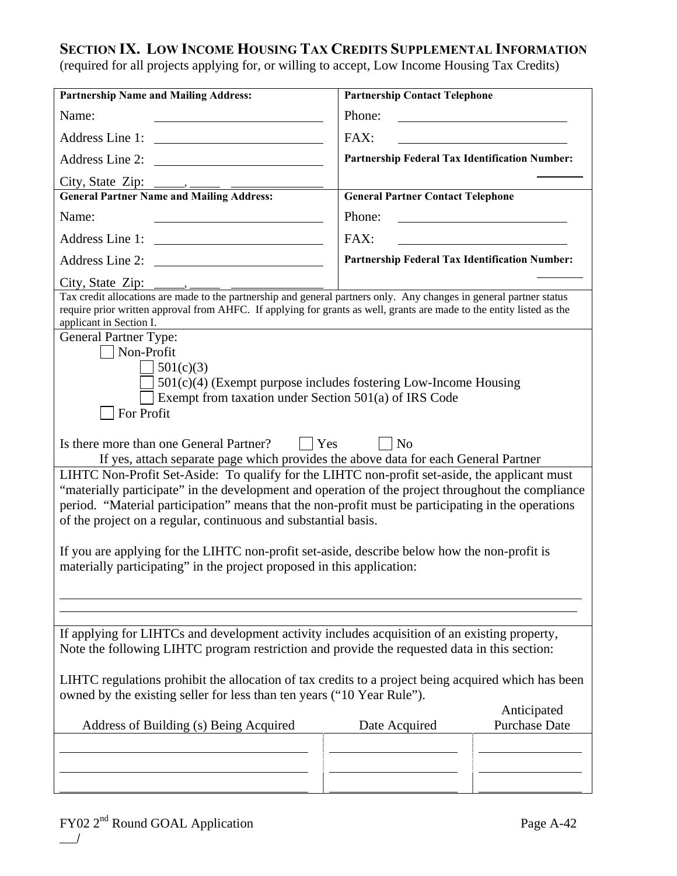## **SECTION IX. LOW INCOME HOUSING TAX CREDITS SUPPLEMENTAL INFORMATION**

(required for all projects applying for, or willing to accept, Low Income Housing Tax Credits)

| <b>Partnership Name and Mailing Address:</b>                                                                                                                                                                                                                                                                                                                                   | <b>Partnership Contact Telephone</b>                                                                                            |  |  |
|--------------------------------------------------------------------------------------------------------------------------------------------------------------------------------------------------------------------------------------------------------------------------------------------------------------------------------------------------------------------------------|---------------------------------------------------------------------------------------------------------------------------------|--|--|
| Name:                                                                                                                                                                                                                                                                                                                                                                          | Phone:<br><u> 1989 - Johann Barbara, martin amerikan basar dan basa dan basa dan basa dalam basa dalam basa dalam basa dala</u> |  |  |
|                                                                                                                                                                                                                                                                                                                                                                                | FAX:                                                                                                                            |  |  |
| Address Line 2: \\concess_                                                                                                                                                                                                                                                                                                                                                     | Partnership Federal Tax Identification Number:                                                                                  |  |  |
|                                                                                                                                                                                                                                                                                                                                                                                |                                                                                                                                 |  |  |
|                                                                                                                                                                                                                                                                                                                                                                                | <b>General Partner Contact Telephone</b>                                                                                        |  |  |
| Name:                                                                                                                                                                                                                                                                                                                                                                          | Phone:                                                                                                                          |  |  |
| Address Line 1:                                                                                                                                                                                                                                                                                                                                                                | FAX:                                                                                                                            |  |  |
|                                                                                                                                                                                                                                                                                                                                                                                | Partnership Federal Tax Identification Number:                                                                                  |  |  |
| City, State Zip:                                                                                                                                                                                                                                                                                                                                                               |                                                                                                                                 |  |  |
| require prior written approval from AHFC. If applying for grants as well, grants are made to the entity listed as the<br>applicant in Section I.<br><b>General Partner Type:</b><br>Non-Profit                                                                                                                                                                                 |                                                                                                                                 |  |  |
| 501(c)(3)<br>$501(c)(4)$ (Exempt purpose includes fostering Low-Income Housing<br>Exempt from taxation under Section 501(a) of IRS Code<br>For Profit                                                                                                                                                                                                                          |                                                                                                                                 |  |  |
| Is there more than one General Partner?<br>$ $ Yes<br>If yes, attach separate page which provides the above data for each General Partner                                                                                                                                                                                                                                      | $ $ No                                                                                                                          |  |  |
| LIHTC Non-Profit Set-Aside: To qualify for the LIHTC non-profit set-aside, the applicant must<br>"materially participate" in the development and operation of the project throughout the compliance<br>period. "Material participation" means that the non-profit must be participating in the operations<br>of the project on a regular, continuous and substantial basis.    |                                                                                                                                 |  |  |
| If you are applying for the LIHTC non-profit set-aside, describe below how the non-profit is<br>materially participating" in the project proposed in this application:                                                                                                                                                                                                         |                                                                                                                                 |  |  |
|                                                                                                                                                                                                                                                                                                                                                                                |                                                                                                                                 |  |  |
| If applying for LIHTCs and development activity includes acquisition of an existing property,<br>Note the following LIHTC program restriction and provide the requested data in this section:<br>LIHTC regulations prohibit the allocation of tax credits to a project being acquired which has been<br>owned by the existing seller for less than ten years ("10 Year Rule"). |                                                                                                                                 |  |  |
| Address of Building (s) Being Acquired                                                                                                                                                                                                                                                                                                                                         | Anticipated<br><b>Purchase Date</b><br>Date Acquired                                                                            |  |  |
|                                                                                                                                                                                                                                                                                                                                                                                |                                                                                                                                 |  |  |
|                                                                                                                                                                                                                                                                                                                                                                                |                                                                                                                                 |  |  |
|                                                                                                                                                                                                                                                                                                                                                                                |                                                                                                                                 |  |  |
|                                                                                                                                                                                                                                                                                                                                                                                |                                                                                                                                 |  |  |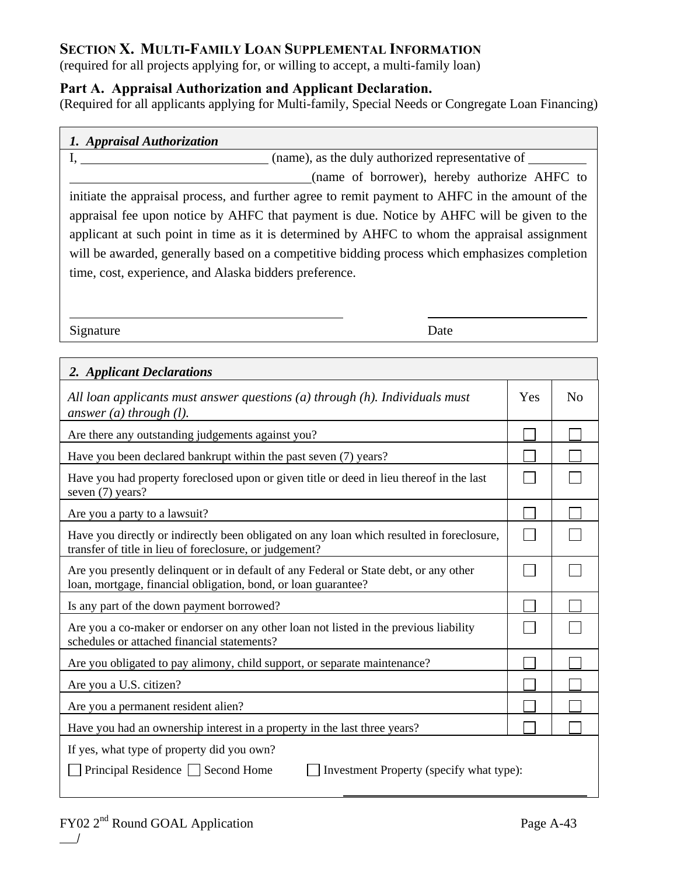## **SECTION X. MULTI-FAMILY LOAN SUPPLEMENTAL INFORMATION**

(required for all projects applying for, or willing to accept, a multi-family loan)

## **Part A. Appraisal Authorization and Applicant Declaration.**

(Required for all applicants applying for Multi-family, Special Needs or Congregate Loan Financing)

| 1. Appraisal Authorization |  |
|----------------------------|--|
|                            |  |

I, (name), as the duly authorized representative of

(name of borrower), hereby authorize AHFC to

initiate the appraisal process, and further agree to remit payment to AHFC in the amount of the appraisal fee upon notice by AHFC that payment is due. Notice by AHFC will be given to the applicant at such point in time as it is determined by AHFC to whom the appraisal assignment will be awarded, generally based on a competitive bidding process which emphasizes completion time, cost, experience, and Alaska bidders preference.

Signature Date

 $\overline{a}$ 

| 2. Applicant Declarations                                                                                                                               |     |                |  |  |  |
|---------------------------------------------------------------------------------------------------------------------------------------------------------|-----|----------------|--|--|--|
| All loan applicants must answer questions $(a)$ through $(h)$ . Individuals must<br>answer $(a)$ through $(l)$ .                                        | Yes | N <sub>0</sub> |  |  |  |
| Are there any outstanding judgements against you?                                                                                                       |     |                |  |  |  |
| Have you been declared bankrupt within the past seven (7) years?                                                                                        |     |                |  |  |  |
| Have you had property foreclosed upon or given title or deed in lieu thereof in the last<br>seven (7) years?                                            |     |                |  |  |  |
| Are you a party to a lawsuit?                                                                                                                           |     |                |  |  |  |
| Have you directly or indirectly been obligated on any loan which resulted in foreclosure,<br>transfer of title in lieu of foreclosure, or judgement?    |     |                |  |  |  |
| Are you presently delinquent or in default of any Federal or State debt, or any other<br>loan, mortgage, financial obligation, bond, or loan guarantee? |     |                |  |  |  |
| Is any part of the down payment borrowed?                                                                                                               |     |                |  |  |  |
| Are you a co-maker or endorser on any other loan not listed in the previous liability<br>schedules or attached financial statements?                    |     |                |  |  |  |
| Are you obligated to pay alimony, child support, or separate maintenance?                                                                               |     |                |  |  |  |
| Are you a U.S. citizen?                                                                                                                                 |     |                |  |  |  |
| Are you a permanent resident alien?                                                                                                                     |     |                |  |  |  |
| Have you had an ownership interest in a property in the last three years?                                                                               |     |                |  |  |  |
| If yes, what type of property did you own?                                                                                                              |     |                |  |  |  |
| Principal Residence   Second Home<br>Investment Property (specify what type):                                                                           |     |                |  |  |  |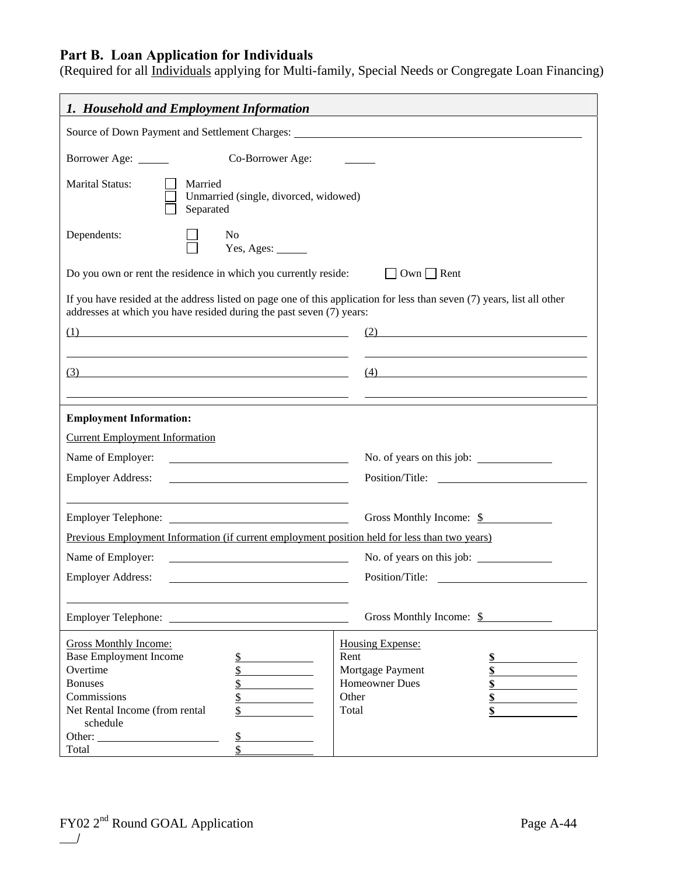## **Part B. Loan Application for Individuals**

(Required for all Individuals applying for Multi-family, Special Needs or Congregate Loan Financing)

| 1. Household and Employment Information                                                                                                                                                                                                                                                                                                                                              |                                                                                                                           |  |  |  |  |  |
|--------------------------------------------------------------------------------------------------------------------------------------------------------------------------------------------------------------------------------------------------------------------------------------------------------------------------------------------------------------------------------------|---------------------------------------------------------------------------------------------------------------------------|--|--|--|--|--|
| Source of Down Payment and Settlement Charges: New York 1989. The Second Line of Down Payment and Settlement Charges:                                                                                                                                                                                                                                                                |                                                                                                                           |  |  |  |  |  |
| Borrower Age: _____                                                                                                                                                                                                                                                                                                                                                                  | Co-Borrower Age:                                                                                                          |  |  |  |  |  |
| <b>Marital Status:</b><br>Married<br>Unmarried (single, divorced, widowed)<br>Separated                                                                                                                                                                                                                                                                                              |                                                                                                                           |  |  |  |  |  |
| Dependents:<br>N <sub>0</sub>                                                                                                                                                                                                                                                                                                                                                        | Yes, Ages: ______                                                                                                         |  |  |  |  |  |
| Do you own or rent the residence in which you currently reside:                                                                                                                                                                                                                                                                                                                      | $\Box$ Own $\Box$ Rent                                                                                                    |  |  |  |  |  |
| addresses at which you have resided during the past seven (7) years:                                                                                                                                                                                                                                                                                                                 | If you have resided at the address listed on page one of this application for less than seven $(7)$ years, list all other |  |  |  |  |  |
| $\left(1\right)$                                                                                                                                                                                                                                                                                                                                                                     | (2)                                                                                                                       |  |  |  |  |  |
| $\overline{3}$ $\overline{2}$ $\overline{3}$ $\overline{3}$ $\overline{3}$ $\overline{3}$ $\overline{3}$ $\overline{3}$ $\overline{3}$ $\overline{3}$ $\overline{3}$ $\overline{3}$ $\overline{3}$ $\overline{3}$ $\overline{3}$ $\overline{3}$ $\overline{3}$ $\overline{3}$ $\overline{3}$ $\overline{3}$ $\overline{3}$ $\overline{3}$ $\overline{3}$ $\overline{3}$ $\overline{$ | $(4) \qquad \qquad \underbrace{\qquad \qquad }$                                                                           |  |  |  |  |  |
| <b>Employment Information:</b>                                                                                                                                                                                                                                                                                                                                                       |                                                                                                                           |  |  |  |  |  |
| <b>Current Employment Information</b>                                                                                                                                                                                                                                                                                                                                                |                                                                                                                           |  |  |  |  |  |
| Name of Employer:<br><u> 1989 - Johann Barbara, martin a</u>                                                                                                                                                                                                                                                                                                                         | No. of years on this job:                                                                                                 |  |  |  |  |  |
| <b>Employer Address:</b><br><u> 1980 - Johann Barn, mars ann an t-Amhain Aonaich an t-Aonaich an t-Aonaich ann an t-Aonaich ann an t-Aonaich</u>                                                                                                                                                                                                                                     |                                                                                                                           |  |  |  |  |  |
| <b>Employer Telephone:</b><br><u> 1990 - Johann Barbara, martin a</u>                                                                                                                                                                                                                                                                                                                | Gross Monthly Income: \$                                                                                                  |  |  |  |  |  |
|                                                                                                                                                                                                                                                                                                                                                                                      | Previous Employment Information (if current employment position held for less than two years)                             |  |  |  |  |  |
| Name of Employer:                                                                                                                                                                                                                                                                                                                                                                    | No. of years on this job:<br><u> 1980 - Johann Barbara, martin amerikan basar da</u>                                      |  |  |  |  |  |
| <b>Employer Address:</b><br>Position/Title:                                                                                                                                                                                                                                                                                                                                          |                                                                                                                           |  |  |  |  |  |
| Gross Monthly Income: \$<br><b>Employer Telephone:</b>                                                                                                                                                                                                                                                                                                                               |                                                                                                                           |  |  |  |  |  |
| <b>Gross Monthly Income:</b><br>Housing Expense:                                                                                                                                                                                                                                                                                                                                     |                                                                                                                           |  |  |  |  |  |
| <b>Base Employment Income</b><br>$\frac{1}{2}$                                                                                                                                                                                                                                                                                                                                       | Rent<br>\$                                                                                                                |  |  |  |  |  |
| Overtime<br>\$                                                                                                                                                                                                                                                                                                                                                                       | Mortgage Payment<br>\$                                                                                                    |  |  |  |  |  |
| <b>Bonuses</b><br>\$                                                                                                                                                                                                                                                                                                                                                                 | <b>Homeowner Dues</b><br>\$                                                                                               |  |  |  |  |  |
| Commissions<br>\$                                                                                                                                                                                                                                                                                                                                                                    | Other<br>\$                                                                                                               |  |  |  |  |  |
| Net Rental Income (from rental<br>\$<br>schedule                                                                                                                                                                                                                                                                                                                                     | Total<br>\$                                                                                                               |  |  |  |  |  |
| $\S$                                                                                                                                                                                                                                                                                                                                                                                 |                                                                                                                           |  |  |  |  |  |
| Total                                                                                                                                                                                                                                                                                                                                                                                |                                                                                                                           |  |  |  |  |  |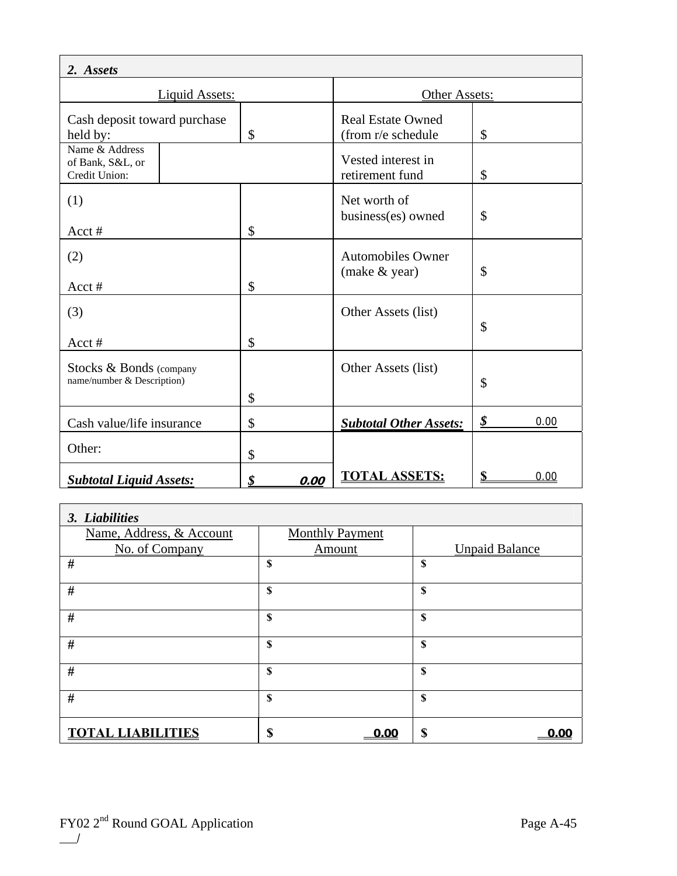| 2. Assets                                             |               |                                                |                     |  |  |
|-------------------------------------------------------|---------------|------------------------------------------------|---------------------|--|--|
| <b>Liquid Assets:</b>                                 |               | Other Assets:                                  |                     |  |  |
| Cash deposit toward purchase<br>held by:              | \$            | <b>Real Estate Owned</b><br>(from r/e schedule | \$                  |  |  |
| Name & Address<br>of Bank, S&L, or<br>Credit Union:   |               | Vested interest in<br>retirement fund          | \$                  |  |  |
| (1)<br>$Acct$ #                                       | \$            | Net worth of<br>business(es) owned             | \$                  |  |  |
| (2)<br>$Acct$ #                                       | $\mathcal{S}$ | <b>Automobiles Owner</b><br>(make & year)      | \$                  |  |  |
| (3)<br>Acct#                                          | \$            | Other Assets (list)                            | \$                  |  |  |
| Stocks & Bonds (company<br>name/number & Description) | \$            | Other Assets (list)                            | \$                  |  |  |
| Cash value/life insurance                             | \$            | <b>Subtotal Other Assets:</b>                  | \$<br>0.00          |  |  |
| Other:                                                | \$            |                                                |                     |  |  |
| <b>Subtotal Liquid Assets:</b>                        | \$<br>0.00    | <b>TOTAL ASSETS:</b>                           | $\mathbf S$<br>0.00 |  |  |

| 3. Liabilities           |                        |                       |  |  |  |  |
|--------------------------|------------------------|-----------------------|--|--|--|--|
| Name, Address, & Account | <b>Monthly Payment</b> |                       |  |  |  |  |
| No. of Company           | Amount                 | <b>Unpaid Balance</b> |  |  |  |  |
| #                        | \$                     | \$                    |  |  |  |  |
| $\#$                     | \$                     | \$                    |  |  |  |  |
| #                        | S                      | \$                    |  |  |  |  |
| $\#$                     | \$                     | \$                    |  |  |  |  |
| #                        | \$                     | \$                    |  |  |  |  |
| #                        | \$                     | \$                    |  |  |  |  |
| <b>TOTAL LIABILITIES</b> | \$<br>0.00             | \$                    |  |  |  |  |

 $\overline{1}$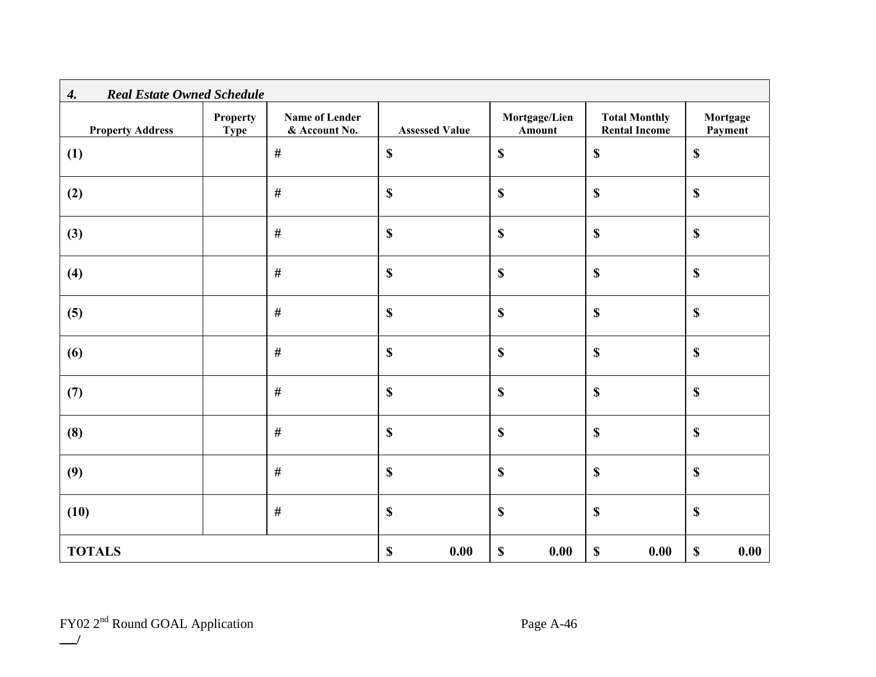| <b>Real Estate Owned Schedule</b><br>$\boldsymbol{4}$ . |                                |                                        |                                   |                         |                                              |                                   |
|---------------------------------------------------------|--------------------------------|----------------------------------------|-----------------------------------|-------------------------|----------------------------------------------|-----------------------------------|
| <b>Property Address</b>                                 | <b>Property</b><br><b>Type</b> | <b>Name of Lender</b><br>& Account No. | <b>Assessed Value</b>             | Mortgage/Lien<br>Amount | <b>Total Monthly</b><br><b>Rental Income</b> | Mortgage<br>Payment               |
| (1)                                                     |                                | $\#$                                   | $\boldsymbol{\mathsf{S}}$         | $\mathbb S$             | $\mathbb S$                                  | $\boldsymbol{\$}$                 |
| (2)                                                     |                                | #                                      | $\mathbb{S}$                      | $\mathbb S$             | $\mathbb S$                                  | $\mathbb S$                       |
| (3)                                                     |                                | $\#$                                   | $\mathbb{S}$                      | $\mathbb S$             | $\mathbb S$                                  | \$                                |
| (4)                                                     |                                | $\#$                                   | $\mathbf S$                       | $\mathbb{S}$            | $\mathbb{S}$                                 | $\mathbf S$                       |
| (5)                                                     |                                | $\#$                                   | $\mathbf S$                       | \$                      | \$                                           | $\boldsymbol{\$}$                 |
| (6)                                                     |                                | $\#$                                   | $\mathbf S$                       | $\boldsymbol{\$}$       | $\mathbb{S}$                                 | $\boldsymbol{\$}$                 |
| (7)                                                     |                                | $\#$                                   | $\mathbf S$                       | $\boldsymbol{\$}$       | $\mathbb{S}$                                 | $\boldsymbol{\$}$                 |
| (8)                                                     |                                | $\#$                                   | \$                                | \$                      | \$                                           | \$                                |
| (9)                                                     |                                | $\#$                                   | $\boldsymbol{\mathsf{S}}$         | \$                      | \$                                           | $\boldsymbol{\$}$                 |
| (10)                                                    |                                | $\#$                                   | $\mathbf S$                       | $\boldsymbol{\$}$       | $\mathbf S$                                  | $\boldsymbol{\$}$                 |
| <b>TOTALS</b>                                           |                                |                                        | $\boldsymbol{\mathsf{S}}$<br>0.00 | $\mathbb S$<br>0.00     | $\mathbb S$<br>0.00                          | $\boldsymbol{\mathsf{S}}$<br>0.00 |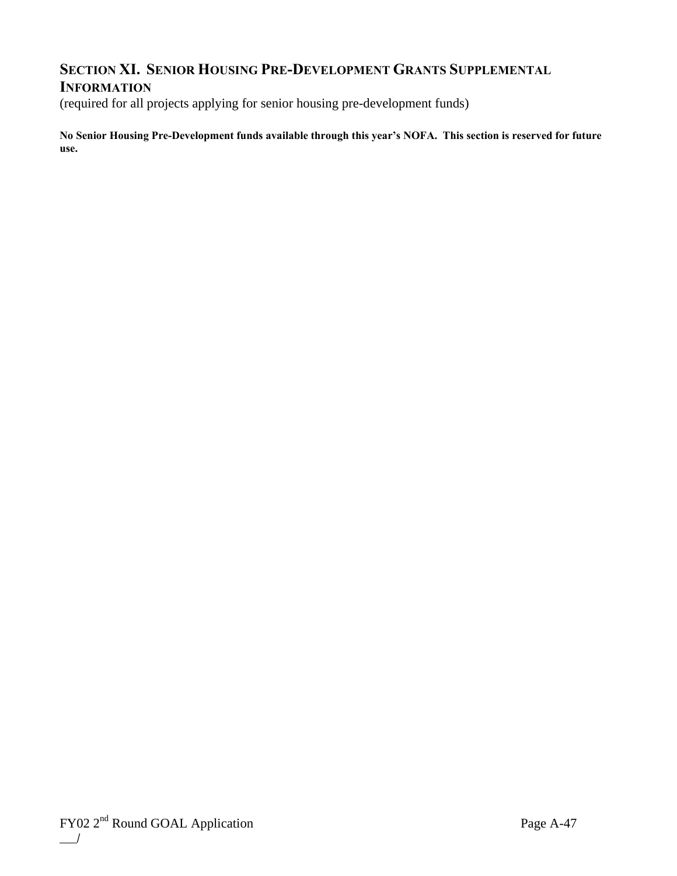## **SECTION XI. SENIOR HOUSING PRE-DEVELOPMENT GRANTS SUPPLEMENTAL**

## **INFORMATION**

(required for all projects applying for senior housing pre-development funds)

**No Senior Housing Pre-Development funds available through this year's NOFA. This section is reserved for future use.**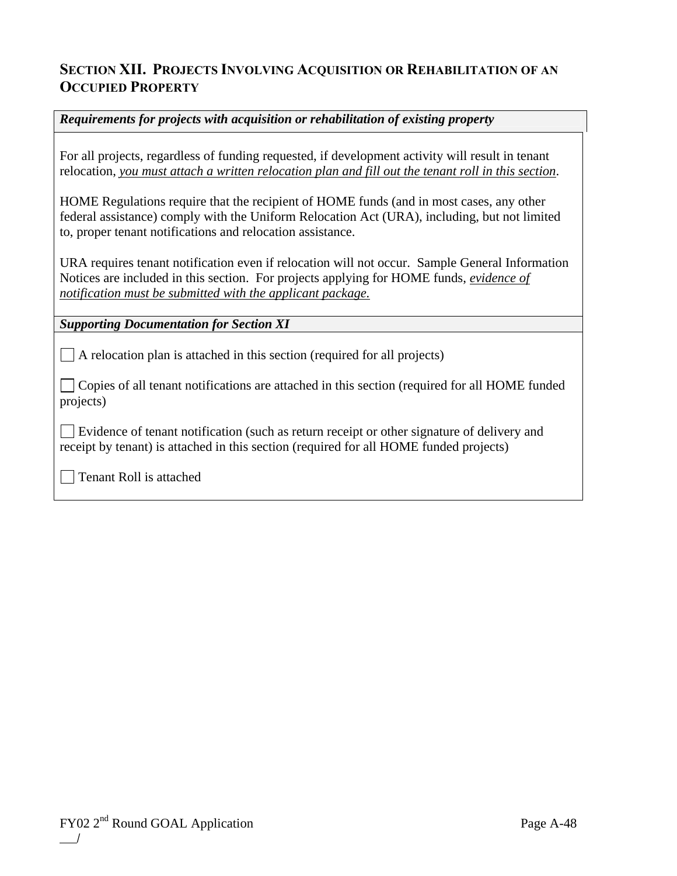## **SECTION XII. PROJECTS INVOLVING ACQUISITION OR REHABILITATION OF AN OCCUPIED PROPERTY**

## *Requirements for projects with acquisition or rehabilitation of existing property*

For all projects, regardless of funding requested, if development activity will result in tenant relocation, *you must attach a written relocation plan and fill out the tenant roll in this section*.

HOME Regulations require that the recipient of HOME funds (and in most cases, any other federal assistance) comply with the Uniform Relocation Act (URA), including, but not limited to, proper tenant notifications and relocation assistance.

URA requires tenant notification even if relocation will not occur. Sample General Information Notices are included in this section. For projects applying for HOME funds, *evidence of notification must be submitted with the applicant package.*

*Supporting Documentation for Section XI* 

 $\Box$  A relocation plan is attached in this section (required for all projects)

 Copies of all tenant notifications are attached in this section (required for all HOME funded projects)

 Evidence of tenant notification (such as return receipt or other signature of delivery and receipt by tenant) is attached in this section (required for all HOME funded projects)

Tenant Roll is attached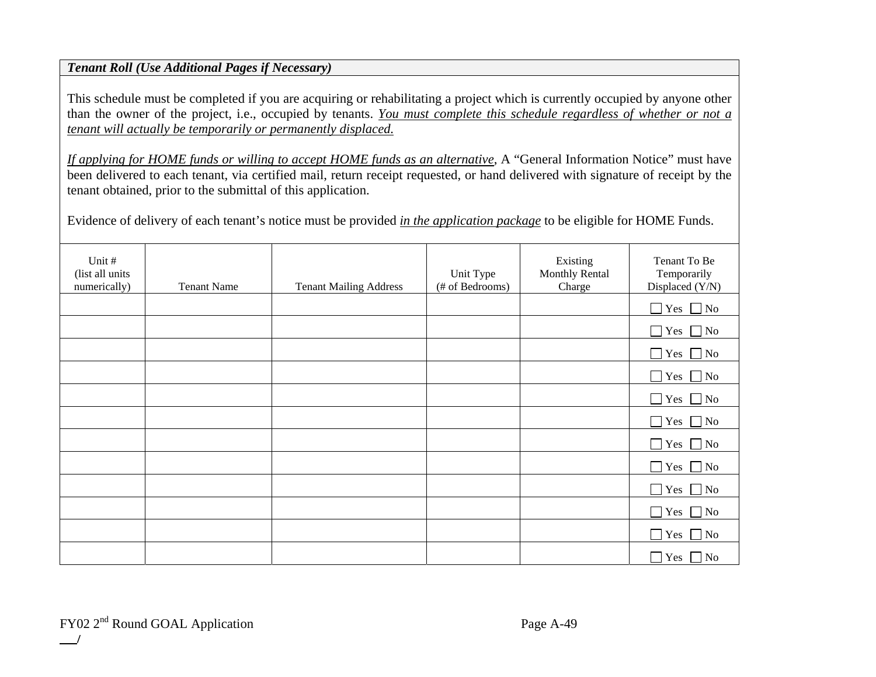## *Tenant Roll (Use Additional Pages if Necessary)*

This schedule must be completed if you are acquiring or rehabilitating a project which is currently occupied by anyone other than the owner of the project, i.e., occupied by tenants. *You must complete this schedule regardless of whether or not a tenant will actually be temporarily or permanently displaced.*

*If applying for HOME funds or willing to accept HOME funds as an alternative*, A "General Information Notice" must have been delivered to each tenant, via certified mail, return receipt requested, or hand delivered with signature of receipt by the tenant obtained, prior to the submittal of this application.

Evidence of delivery of each tenant's notice must be provided *in the application package* to be eligible for HOME Funds.

| Unit #<br>(list all units<br>numerically) | <b>Tenant Name</b> | <b>Tenant Mailing Address</b> | Unit Type<br>(# of Bedrooms) | Existing<br><b>Monthly Rental</b><br>Charge | Tenant To Be<br>Temporarily<br>Displaced (Y/N) |
|-------------------------------------------|--------------------|-------------------------------|------------------------------|---------------------------------------------|------------------------------------------------|
|                                           |                    |                               |                              |                                             | $\Box$ Yes $\Box$ No                           |
|                                           |                    |                               |                              |                                             | $\Box$ Yes $\Box$ No                           |
|                                           |                    |                               |                              |                                             | $\vert$ Yes $\Box$ No<br>$\Box$                |
|                                           |                    |                               |                              |                                             | $\Box$ Yes $\Box$ No                           |
|                                           |                    |                               |                              |                                             | $\Box$ Yes $\Box$ No                           |
|                                           |                    |                               |                              |                                             | $\Box$ Yes $\Box$ No                           |
|                                           |                    |                               |                              |                                             | $\Box$ Yes $\Box$ No                           |
|                                           |                    |                               |                              |                                             | $\Box$ Yes $\Box$ No                           |
|                                           |                    |                               |                              |                                             | $\Box$ Yes $\Box$ No                           |
|                                           |                    |                               |                              |                                             | Yes $\Box$ No<br>$\Box$                        |
|                                           |                    |                               |                              |                                             | $\Box$ Yes $\Box$ No                           |
|                                           |                    |                               |                              |                                             | $\Box$<br>$\vert$ Yes $\Box$ No                |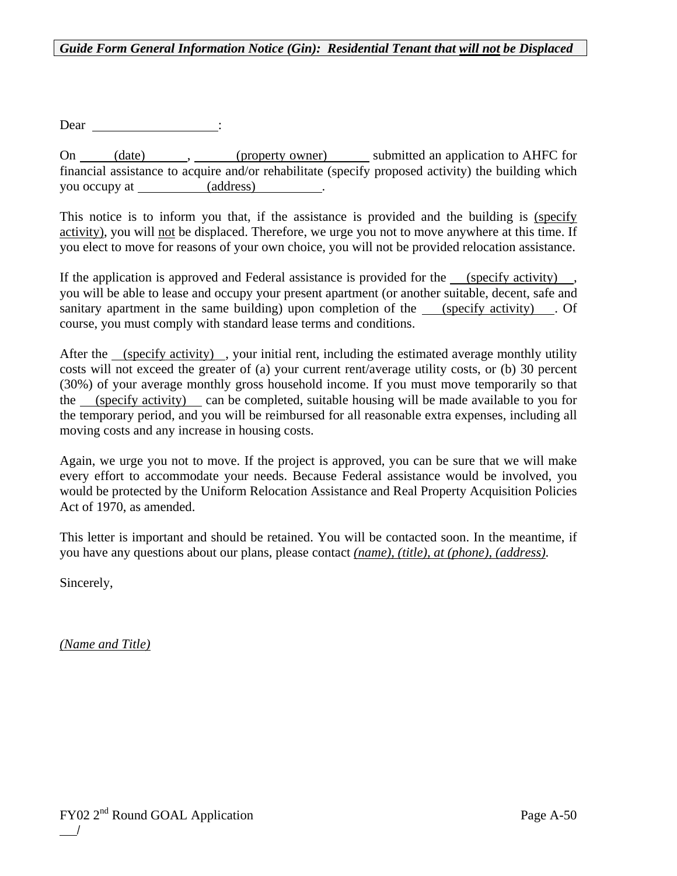### *Guide Form General Information Notice (Gin): Residential Tenant that will not be Displaced*

Dear \_\_\_\_\_\_\_\_\_\_\_\_\_\_\_\_\_\_\_\_\_\_\_:

On (date), (property owner) submitted an application to AHFC for financial assistance to acquire and/or rehabilitate (specify proposed activity) the building which you occupy at (address) .

This notice is to inform you that, if the assistance is provided and the building is (specify activity), you will not be displaced. Therefore, we urge you not to move anywhere at this time. If you elect to move for reasons of your own choice, you will not be provided relocation assistance.

If the application is approved and Federal assistance is provided for the (specify activity), you will be able to lease and occupy your present apartment (or another suitable, decent, safe and sanitary apartment in the same building) upon completion of the (specify activity) . Of course, you must comply with standard lease terms and conditions.

After the (specify activity) , your initial rent, including the estimated average monthly utility costs will not exceed the greater of (a) your current rent/average utility costs, or (b) 30 percent (30%) of your average monthly gross household income. If you must move temporarily so that the (specify activity) can be completed, suitable housing will be made available to you for the temporary period, and you will be reimbursed for all reasonable extra expenses, including all moving costs and any increase in housing costs.

Again, we urge you not to move. If the project is approved, you can be sure that we will make every effort to accommodate your needs. Because Federal assistance would be involved, you would be protected by the Uniform Relocation Assistance and Real Property Acquisition Policies Act of 1970, as amended.

This letter is important and should be retained. You will be contacted soon. In the meantime, if you have any questions about our plans, please contact *(name), (title), at (phone), (address)*.

Sincerely,

*(Name and Title)*